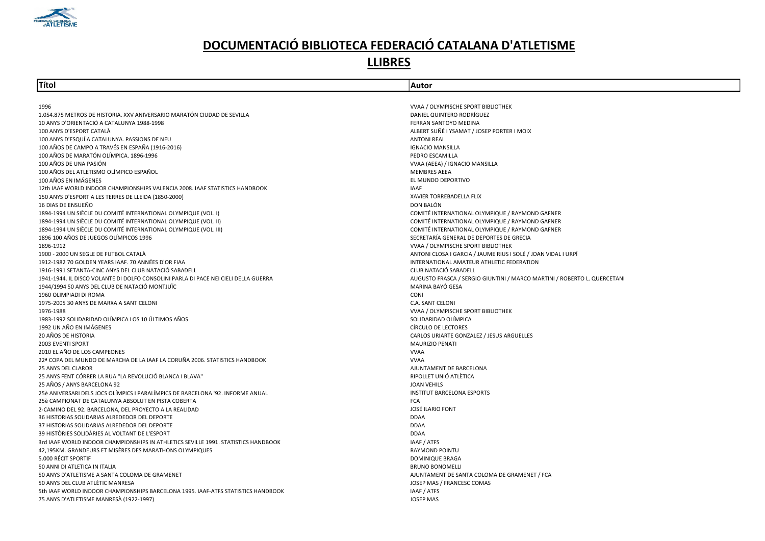

#### LLIBRES

#### Títol Autor

1996 VVAA / OLYMPISCHE SPORT BIBLIOTHEK 1.054.875 METROS DE HISTORIA. XXV ANIVERSARIO MARATÓN CIUDAD DE SEVILLA DANIEL QUINTERO RODRÍGUEZ 10 ANYS D'ORIENTACIÓ A CATALUNYA 1988-1998 FERRAN SANTOYO MEDINA 100 ANYS D'ESPORT CATALÀ ALBERT SUÑÉ I YSAMAT / JOSEP PORTER I MOIX 100 ANYS D'ESQUÍ A CATALUNYA. PASSIONS DE NEU ANTONI REAL 100 AÑOS DE CAMPO A TRAVÉS EN ESPAÑA (1916-2016)<br>100 AÑOS DE MARATÓN OLÍMPICA. 1896-1996 IGNACIONALES EN ENTRE EN ENTRE EN ENTRE EN EL ESPADO ESCAMILLA EN ENTR 100 AÑOS DE MARATÓN OLÍMPICA. 1896-1996<br>100 AÑOS DE UNA PASIÓN 100 AÑOS DEL ATLETISMO OLÍMPICO ESPAÑOL<br>100 AÑOS EN IMÁGENES AEEA EN ENGLÍA EN EL MUNDO DEPORTIVO 100 AÑOS EN IMÁGENES 12th IAAF WORLD INDOOR CHAMPIONSHIPS VALENCIA 2008. IAAF STATISTICS HANDBOOK<br>150 ANYS D'ESPORT A LES TERRES DE LLEIDA (1850-2000) 150 ANYS D'ESPORT A LES TERRES DE LLEIDA (1850-2000) 16 DIAS DE ENSUEÑO<br>1894-1994 UN SIÈCLE DU COMITÉ INTERNATIONAL OLYMPIOUE (VOL. I) NE SONT A SONT ENSUES DE LA COMITÉ INTERNATIONAL OLYMPIOUE / RAYMOND GAFNER<br>1894-1994 UN SIÈCLE DU COMITÉ INTERNATIONAL OLYMPIOUE (VOL. I) 1894-1994 UN SIÈCLE DU COMITÉ INTERNATIONAL OLYMPIQUE (VOL. I) 1894-1994 UN SIÈCLE DU COMITÉ INTERNATIONAL OLYMPIQUE (VOL. II) COMITÉ INTERNATIONAL OLYMPIQUE / RAYMOND GAFNER 1894-1994 UN SIÈCLE DU COMITÉ INTERNATIONAL OLYMPIQUE (VOL. III) COMITÉ INTERNATIONAL OLYMPIQUE / RAYMOND GAFNER 1896 100 AÑOS DE JUEGOS OLÍMPICOS 1996 SECRETARÍA GENERAL DE DEPORTES DE GRECIA 1896-1912 VVAA / OLYMPISCHE SPORT BIBLIOTHEK 1900 - 2000 UN SEGLE DE FUTBOL CATALÀ (1908) I GARCIA (1908) ANTONI CLOSA I GARCIA ANTONI CLOSA I GARCIA ANATEUS I SOLÉ / JOAN VIDAL I URPÍ<br>1912-1982 70 GOLDEN YEARS IAAF. 70 ANNÉES D'OR FIAA 1916-1991 SETANTA-CINC ANYS DEL CLUB NATACIÓ SABADELL CLUB NATACIÓ SABADELL 1941-1944. IL DISCO VOLANTE DI DOLFO CONSOLINI PARLA DI PACE NEI CIELI DELLA GUERRA AUGUSTO ANNO ANTENO CONSOLINI PARLA DI PACE NEI CUELI DELLA GUERRA AUGUSTO ANNO AUGUSTO FRASCA / SERGIO GIUNTINI / MARCO MARTINI / ROBERTO 1944/1994 50 ANYS DEL CLUB DE NATACIÓ MONTJUÏC 1960 OLIMPIADI DI ROMA CONI 1975-2005 30 ANYS DE MARXA A SANT CELONI C.A. SANT CELONI 1976-1988 VVAA / OLYMPISCHE SPORT BIBLIOTHEK 1983-1992 SOLIDARIDAD OLÍMPICA LOS 10 ÚLTIMOS AÑOS SOLIDARIDAD OLÍMPICA 1992 UN AÑO EN IMÁGENES<br>20 AÑOS DE HISTORIA 2003 EVENTI SPORT MAURIZIO PENATI 2010 EL AÑO DE LOS CAMPEONES VVAA 22ª COPA DEL MUNDO DE MARCHA DE LA IAAF LA CORUÑA 2006. STATISTICS HANDBOOK VVAA 25 ANYS DEL CLAROR AJUNTAMENT DE BARCELONA 25 ANYS FENT CÓRRER LA RUA "LA REVOLUCIÓ BLANCA I BLAVA" RIPOLLET UNIÓ ATLÈTICA 25 AÑOS / ANYS BARCELONA 92 JOAN VEHILS 25è ANIVERSARI DELS JOCS OLÍMPICS I PARALÍMPICS DE BARCELONA '92. INFORME ANUAL INSTITUT BARCELONA ESPORTS 25è CAMPIONAT DE CATALUNYA ABSOLUT EN PISTA COBERTA FOR EN ENTRE EN EN ENFIRMENT DE CATALUNYA ABSOLUT EN PISTA COBERTA 2-CAMINO DEL 92. BARCELONA, DEL PROYECTO A LA REALIDAD JOSÉ ILARIO FONT 36 HISTORIAS SOLIDARIAS ALREDEDOR DEL DEPORTE DDAA 37 HISTORIAS SOLIDARIAS ALREDEDOR DEL DEPORTE DDAA 39 HISTÒRIES SOLIDÀRIES AL VOLTANT DE L'ESPORT DDAA 3rd IAAF WORLD INDOOR CHAMPIONSHIPS IN ATHLETICS SEVILLE 1991. STATISTICS HANDBOOK IAAF / ATFS 42,195KM. GRANDEURS ET MISÈRES DES MARATHONS OLYMPIQUES RAYMOND POINTU 5.000 RÉCIT SPORTIF DOMINIQUE BRAGA 50 ANNI DI ATLETICA IN ITALIA BRUNO BONOMELLI 50 ANYS D'ATLETISME A SANTA COLOMA DE GRAMENET ANNO 1999 AND THE SANTA COLOMA DE GRAMENT DE SANTA COLOMA DE GRAMENET / FCA 50 ANYS DEL CLUB ATLÈTIC MANRESA JOSEP MAS / FRANCESC COMAS 5th IAAF WORLD INDOOR CHAMPIONSHIPS BARCELONA 1995. IAAF-ATFS STATISTICS HANDBOOK INVESTIGATION ON THE YATFS 75 ANYS D'ATLETISME MANRESÀ (1922-1997) JOSEP MAS

VVAA (AEEA) / IGNACIO MANSILLA<br>MEMBRES AEEA INTERNATIONAL AMATEUR ATHLETIC FEDERATION CARLOS URIARTE GONZALEZ / JESUS ARGUELLES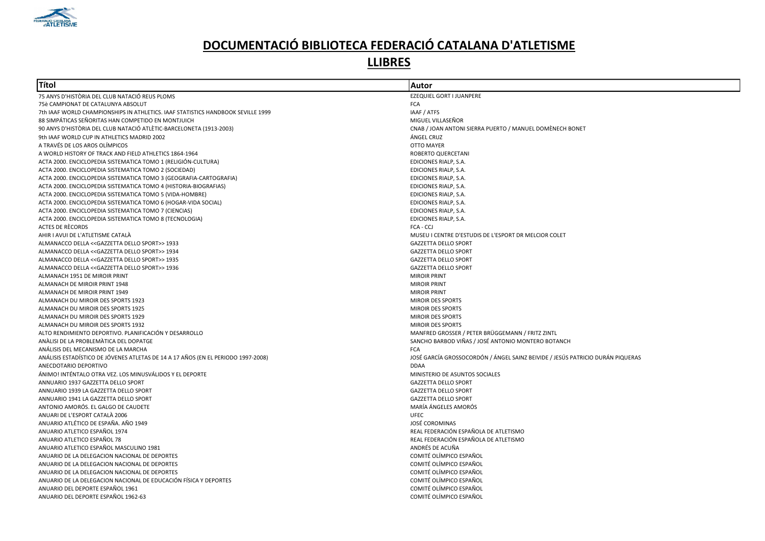

| EZEQUIEL GORT I JUANPERE<br>75 ANYS D'HISTÒRIA DEL CLUB NATACIÓ REUS PLOMS<br>75è CAMPIONAT DE CATALUNYA ABSOLUT<br><b>FCA</b><br>IAAF / ATFS<br>7th IAAF WORLD CHAMPIONSHIPS IN ATHLETICS. IAAF STATISTICS HANDBOOK SEVILLE 1999<br>MIGUEL VILLASEÑOR<br>88 SIMPÁTICAS SEÑORITAS HAN COMPETIDO EN MONTJUICH<br>90 ANYS D'HISTÒRIA DEL CLUB NATACIÓ ATLÈTIC-BARCELONETA (1913-2003)<br>CNAB / JOAN ANTONI SIERRA PUERTO / MANUEL DOMÈNECH BONET<br>9th IAAF WORLD CUP IN ATHLETICS MADRID 2002<br>ÁNGEL CRUZ<br><b>OTTO MAYER</b><br>A TRAVÉS DE LOS AROS OLÍMPICOS<br>A WORLD HISTORY OF TRACK AND FIELD ATHLETICS 1864-1964<br>ROBERTO QUERCETANI<br>ACTA 2000. ENCICLOPEDIA SISTEMATICA TOMO 1 (RELIGIÓN-CULTURA)<br>EDICIONES RIALP, S.A.<br>ACTA 2000. ENCICLOPEDIA SISTEMATICA TOMO 2 (SOCIEDAD)<br>EDICIONES RIALP, S.A.<br>ACTA 2000. ENCICLOPEDIA SISTEMATICA TOMO 3 (GEOGRAFIA-CARTOGRAFIA)<br>EDICIONES RIALP, S.A.<br>ACTA 2000. ENCICLOPEDIA SISTEMATICA TOMO 4 (HISTORIA-BIOGRAFIAS)<br>EDICIONES RIALP, S.A.<br>ACTA 2000. ENCICLOPEDIA SISTEMATICA TOMO 5 (VIDA-HOMBRE)<br>EDICIONES RIALP, S.A.<br>ACTA 2000. ENCICLOPEDIA SISTEMATICA TOMO 6 (HOGAR-VIDA SOCIAL)<br>EDICIONES RIALP, S.A.<br>ACTA 2000. ENCICLOPEDIA SISTEMATICA TOMO 7 (CIENCIAS)<br>EDICIONES RIALP, S.A.<br>ACTA 2000. ENCICLOPEDIA SISTEMATICA TOMO 8 (TECNOLOGIA)<br>EDICIONES RIALP, S.A.<br>ACTES DE RÈCORDS<br>FCA - CCJ<br>AHIR I AVUI DE L'ATLETISME CATALÀ<br>MUSEU I CENTRE D'ESTUDIS DE L'ESPORT DR MELCIOR COLET<br>ALMANACCO DELLA << GAZZETTA DELLO SPORT>> 1933<br><b>GAZZETTA DELLO SPORT</b><br>ALMANACCO DELLA << GAZZETTA DELLO SPORT>> 1934<br><b>GAZZETTA DELLO SPORT</b><br>ALMANACCO DELLA << GAZZETTA DELLO SPORT>> 1935<br><b>GAZZETTA DELLO SPORT</b><br>ALMANACCO DELLA << GAZZETTA DELLO SPORT>> 1936<br><b>GAZZETTA DELLO SPORT</b><br><b>MIROIR PRINT</b><br>ALMANACH 1951 DE MIROIR PRINT<br><b>MIROIR PRINT</b><br>ALMANACH DE MIROIR PRINT 1948<br><b>MIROIR PRINT</b><br>ALMANACH DE MIROIR PRINT 1949<br>ALMANACH DU MIROIR DES SPORTS 1923<br><b>MIROIR DES SPORTS</b><br>ALMANACH DU MIROIR DES SPORTS 1925<br><b>MIROIR DES SPORTS</b><br>ALMANACH DU MIROIR DES SPORTS 1929<br><b>MIROIR DES SPORTS</b><br>ALMANACH DU MIROIR DES SPORTS 1932<br><b>MIROIR DES SPORTS</b><br>MANFRED GROSSER / PETER BRÜGGEMANN / FRITZ ZINTL<br>ALTO RENDIMIENTO DEPORTIVO. PLANIFICACIÓN Y DESARROLLO<br>SANCHO BARBOD VIÑAS / JOSÉ ANTONIO MONTERO BOTANCH<br>ANALISI DE LA PROBLEMATICA DEL DOPATGE<br><b>FCA</b><br>ANÁLISIS DEL MECANISMO DE LA MARCHA<br>JOSÉ GARCÍA GROSSOCORDÓN / ÁNGEL SAINZ BEIVIDE / JESÚS PATRICIO DURÁN PIQUERAS<br>ANÁLISIS ESTADÍSTICO DE JÓVENES ATLETAS DE 14 A 17 AÑOS (EN EL PERIODO 1997-2008)<br>ANECDOTARIO DEPORTIVO<br><b>DDAA</b> |
|----------------------------------------------------------------------------------------------------------------------------------------------------------------------------------------------------------------------------------------------------------------------------------------------------------------------------------------------------------------------------------------------------------------------------------------------------------------------------------------------------------------------------------------------------------------------------------------------------------------------------------------------------------------------------------------------------------------------------------------------------------------------------------------------------------------------------------------------------------------------------------------------------------------------------------------------------------------------------------------------------------------------------------------------------------------------------------------------------------------------------------------------------------------------------------------------------------------------------------------------------------------------------------------------------------------------------------------------------------------------------------------------------------------------------------------------------------------------------------------------------------------------------------------------------------------------------------------------------------------------------------------------------------------------------------------------------------------------------------------------------------------------------------------------------------------------------------------------------------------------------------------------------------------------------------------------------------------------------------------------------------------------------------------------------------------------------------------------------------------------------------------------------------------------------------------------------------------------------------------------------------------------------------------------------------------------------------------------------------------------------------------------------------------------------------------------------------------------------------------------------------------------------------------------------------------------------------------------------------------------------------------------------------------------------------------------------------------------------------------------------------------------------------------|
|                                                                                                                                                                                                                                                                                                                                                                                                                                                                                                                                                                                                                                                                                                                                                                                                                                                                                                                                                                                                                                                                                                                                                                                                                                                                                                                                                                                                                                                                                                                                                                                                                                                                                                                                                                                                                                                                                                                                                                                                                                                                                                                                                                                                                                                                                                                                                                                                                                                                                                                                                                                                                                                                                                                                                                                        |
|                                                                                                                                                                                                                                                                                                                                                                                                                                                                                                                                                                                                                                                                                                                                                                                                                                                                                                                                                                                                                                                                                                                                                                                                                                                                                                                                                                                                                                                                                                                                                                                                                                                                                                                                                                                                                                                                                                                                                                                                                                                                                                                                                                                                                                                                                                                                                                                                                                                                                                                                                                                                                                                                                                                                                                                        |
|                                                                                                                                                                                                                                                                                                                                                                                                                                                                                                                                                                                                                                                                                                                                                                                                                                                                                                                                                                                                                                                                                                                                                                                                                                                                                                                                                                                                                                                                                                                                                                                                                                                                                                                                                                                                                                                                                                                                                                                                                                                                                                                                                                                                                                                                                                                                                                                                                                                                                                                                                                                                                                                                                                                                                                                        |
|                                                                                                                                                                                                                                                                                                                                                                                                                                                                                                                                                                                                                                                                                                                                                                                                                                                                                                                                                                                                                                                                                                                                                                                                                                                                                                                                                                                                                                                                                                                                                                                                                                                                                                                                                                                                                                                                                                                                                                                                                                                                                                                                                                                                                                                                                                                                                                                                                                                                                                                                                                                                                                                                                                                                                                                        |
|                                                                                                                                                                                                                                                                                                                                                                                                                                                                                                                                                                                                                                                                                                                                                                                                                                                                                                                                                                                                                                                                                                                                                                                                                                                                                                                                                                                                                                                                                                                                                                                                                                                                                                                                                                                                                                                                                                                                                                                                                                                                                                                                                                                                                                                                                                                                                                                                                                                                                                                                                                                                                                                                                                                                                                                        |
|                                                                                                                                                                                                                                                                                                                                                                                                                                                                                                                                                                                                                                                                                                                                                                                                                                                                                                                                                                                                                                                                                                                                                                                                                                                                                                                                                                                                                                                                                                                                                                                                                                                                                                                                                                                                                                                                                                                                                                                                                                                                                                                                                                                                                                                                                                                                                                                                                                                                                                                                                                                                                                                                                                                                                                                        |
|                                                                                                                                                                                                                                                                                                                                                                                                                                                                                                                                                                                                                                                                                                                                                                                                                                                                                                                                                                                                                                                                                                                                                                                                                                                                                                                                                                                                                                                                                                                                                                                                                                                                                                                                                                                                                                                                                                                                                                                                                                                                                                                                                                                                                                                                                                                                                                                                                                                                                                                                                                                                                                                                                                                                                                                        |
|                                                                                                                                                                                                                                                                                                                                                                                                                                                                                                                                                                                                                                                                                                                                                                                                                                                                                                                                                                                                                                                                                                                                                                                                                                                                                                                                                                                                                                                                                                                                                                                                                                                                                                                                                                                                                                                                                                                                                                                                                                                                                                                                                                                                                                                                                                                                                                                                                                                                                                                                                                                                                                                                                                                                                                                        |
|                                                                                                                                                                                                                                                                                                                                                                                                                                                                                                                                                                                                                                                                                                                                                                                                                                                                                                                                                                                                                                                                                                                                                                                                                                                                                                                                                                                                                                                                                                                                                                                                                                                                                                                                                                                                                                                                                                                                                                                                                                                                                                                                                                                                                                                                                                                                                                                                                                                                                                                                                                                                                                                                                                                                                                                        |
|                                                                                                                                                                                                                                                                                                                                                                                                                                                                                                                                                                                                                                                                                                                                                                                                                                                                                                                                                                                                                                                                                                                                                                                                                                                                                                                                                                                                                                                                                                                                                                                                                                                                                                                                                                                                                                                                                                                                                                                                                                                                                                                                                                                                                                                                                                                                                                                                                                                                                                                                                                                                                                                                                                                                                                                        |
|                                                                                                                                                                                                                                                                                                                                                                                                                                                                                                                                                                                                                                                                                                                                                                                                                                                                                                                                                                                                                                                                                                                                                                                                                                                                                                                                                                                                                                                                                                                                                                                                                                                                                                                                                                                                                                                                                                                                                                                                                                                                                                                                                                                                                                                                                                                                                                                                                                                                                                                                                                                                                                                                                                                                                                                        |
|                                                                                                                                                                                                                                                                                                                                                                                                                                                                                                                                                                                                                                                                                                                                                                                                                                                                                                                                                                                                                                                                                                                                                                                                                                                                                                                                                                                                                                                                                                                                                                                                                                                                                                                                                                                                                                                                                                                                                                                                                                                                                                                                                                                                                                                                                                                                                                                                                                                                                                                                                                                                                                                                                                                                                                                        |
|                                                                                                                                                                                                                                                                                                                                                                                                                                                                                                                                                                                                                                                                                                                                                                                                                                                                                                                                                                                                                                                                                                                                                                                                                                                                                                                                                                                                                                                                                                                                                                                                                                                                                                                                                                                                                                                                                                                                                                                                                                                                                                                                                                                                                                                                                                                                                                                                                                                                                                                                                                                                                                                                                                                                                                                        |
|                                                                                                                                                                                                                                                                                                                                                                                                                                                                                                                                                                                                                                                                                                                                                                                                                                                                                                                                                                                                                                                                                                                                                                                                                                                                                                                                                                                                                                                                                                                                                                                                                                                                                                                                                                                                                                                                                                                                                                                                                                                                                                                                                                                                                                                                                                                                                                                                                                                                                                                                                                                                                                                                                                                                                                                        |
|                                                                                                                                                                                                                                                                                                                                                                                                                                                                                                                                                                                                                                                                                                                                                                                                                                                                                                                                                                                                                                                                                                                                                                                                                                                                                                                                                                                                                                                                                                                                                                                                                                                                                                                                                                                                                                                                                                                                                                                                                                                                                                                                                                                                                                                                                                                                                                                                                                                                                                                                                                                                                                                                                                                                                                                        |
|                                                                                                                                                                                                                                                                                                                                                                                                                                                                                                                                                                                                                                                                                                                                                                                                                                                                                                                                                                                                                                                                                                                                                                                                                                                                                                                                                                                                                                                                                                                                                                                                                                                                                                                                                                                                                                                                                                                                                                                                                                                                                                                                                                                                                                                                                                                                                                                                                                                                                                                                                                                                                                                                                                                                                                                        |
|                                                                                                                                                                                                                                                                                                                                                                                                                                                                                                                                                                                                                                                                                                                                                                                                                                                                                                                                                                                                                                                                                                                                                                                                                                                                                                                                                                                                                                                                                                                                                                                                                                                                                                                                                                                                                                                                                                                                                                                                                                                                                                                                                                                                                                                                                                                                                                                                                                                                                                                                                                                                                                                                                                                                                                                        |
|                                                                                                                                                                                                                                                                                                                                                                                                                                                                                                                                                                                                                                                                                                                                                                                                                                                                                                                                                                                                                                                                                                                                                                                                                                                                                                                                                                                                                                                                                                                                                                                                                                                                                                                                                                                                                                                                                                                                                                                                                                                                                                                                                                                                                                                                                                                                                                                                                                                                                                                                                                                                                                                                                                                                                                                        |
|                                                                                                                                                                                                                                                                                                                                                                                                                                                                                                                                                                                                                                                                                                                                                                                                                                                                                                                                                                                                                                                                                                                                                                                                                                                                                                                                                                                                                                                                                                                                                                                                                                                                                                                                                                                                                                                                                                                                                                                                                                                                                                                                                                                                                                                                                                                                                                                                                                                                                                                                                                                                                                                                                                                                                                                        |
|                                                                                                                                                                                                                                                                                                                                                                                                                                                                                                                                                                                                                                                                                                                                                                                                                                                                                                                                                                                                                                                                                                                                                                                                                                                                                                                                                                                                                                                                                                                                                                                                                                                                                                                                                                                                                                                                                                                                                                                                                                                                                                                                                                                                                                                                                                                                                                                                                                                                                                                                                                                                                                                                                                                                                                                        |
|                                                                                                                                                                                                                                                                                                                                                                                                                                                                                                                                                                                                                                                                                                                                                                                                                                                                                                                                                                                                                                                                                                                                                                                                                                                                                                                                                                                                                                                                                                                                                                                                                                                                                                                                                                                                                                                                                                                                                                                                                                                                                                                                                                                                                                                                                                                                                                                                                                                                                                                                                                                                                                                                                                                                                                                        |
|                                                                                                                                                                                                                                                                                                                                                                                                                                                                                                                                                                                                                                                                                                                                                                                                                                                                                                                                                                                                                                                                                                                                                                                                                                                                                                                                                                                                                                                                                                                                                                                                                                                                                                                                                                                                                                                                                                                                                                                                                                                                                                                                                                                                                                                                                                                                                                                                                                                                                                                                                                                                                                                                                                                                                                                        |
|                                                                                                                                                                                                                                                                                                                                                                                                                                                                                                                                                                                                                                                                                                                                                                                                                                                                                                                                                                                                                                                                                                                                                                                                                                                                                                                                                                                                                                                                                                                                                                                                                                                                                                                                                                                                                                                                                                                                                                                                                                                                                                                                                                                                                                                                                                                                                                                                                                                                                                                                                                                                                                                                                                                                                                                        |
|                                                                                                                                                                                                                                                                                                                                                                                                                                                                                                                                                                                                                                                                                                                                                                                                                                                                                                                                                                                                                                                                                                                                                                                                                                                                                                                                                                                                                                                                                                                                                                                                                                                                                                                                                                                                                                                                                                                                                                                                                                                                                                                                                                                                                                                                                                                                                                                                                                                                                                                                                                                                                                                                                                                                                                                        |
|                                                                                                                                                                                                                                                                                                                                                                                                                                                                                                                                                                                                                                                                                                                                                                                                                                                                                                                                                                                                                                                                                                                                                                                                                                                                                                                                                                                                                                                                                                                                                                                                                                                                                                                                                                                                                                                                                                                                                                                                                                                                                                                                                                                                                                                                                                                                                                                                                                                                                                                                                                                                                                                                                                                                                                                        |
|                                                                                                                                                                                                                                                                                                                                                                                                                                                                                                                                                                                                                                                                                                                                                                                                                                                                                                                                                                                                                                                                                                                                                                                                                                                                                                                                                                                                                                                                                                                                                                                                                                                                                                                                                                                                                                                                                                                                                                                                                                                                                                                                                                                                                                                                                                                                                                                                                                                                                                                                                                                                                                                                                                                                                                                        |
|                                                                                                                                                                                                                                                                                                                                                                                                                                                                                                                                                                                                                                                                                                                                                                                                                                                                                                                                                                                                                                                                                                                                                                                                                                                                                                                                                                                                                                                                                                                                                                                                                                                                                                                                                                                                                                                                                                                                                                                                                                                                                                                                                                                                                                                                                                                                                                                                                                                                                                                                                                                                                                                                                                                                                                                        |
|                                                                                                                                                                                                                                                                                                                                                                                                                                                                                                                                                                                                                                                                                                                                                                                                                                                                                                                                                                                                                                                                                                                                                                                                                                                                                                                                                                                                                                                                                                                                                                                                                                                                                                                                                                                                                                                                                                                                                                                                                                                                                                                                                                                                                                                                                                                                                                                                                                                                                                                                                                                                                                                                                                                                                                                        |
|                                                                                                                                                                                                                                                                                                                                                                                                                                                                                                                                                                                                                                                                                                                                                                                                                                                                                                                                                                                                                                                                                                                                                                                                                                                                                                                                                                                                                                                                                                                                                                                                                                                                                                                                                                                                                                                                                                                                                                                                                                                                                                                                                                                                                                                                                                                                                                                                                                                                                                                                                                                                                                                                                                                                                                                        |
|                                                                                                                                                                                                                                                                                                                                                                                                                                                                                                                                                                                                                                                                                                                                                                                                                                                                                                                                                                                                                                                                                                                                                                                                                                                                                                                                                                                                                                                                                                                                                                                                                                                                                                                                                                                                                                                                                                                                                                                                                                                                                                                                                                                                                                                                                                                                                                                                                                                                                                                                                                                                                                                                                                                                                                                        |
|                                                                                                                                                                                                                                                                                                                                                                                                                                                                                                                                                                                                                                                                                                                                                                                                                                                                                                                                                                                                                                                                                                                                                                                                                                                                                                                                                                                                                                                                                                                                                                                                                                                                                                                                                                                                                                                                                                                                                                                                                                                                                                                                                                                                                                                                                                                                                                                                                                                                                                                                                                                                                                                                                                                                                                                        |
|                                                                                                                                                                                                                                                                                                                                                                                                                                                                                                                                                                                                                                                                                                                                                                                                                                                                                                                                                                                                                                                                                                                                                                                                                                                                                                                                                                                                                                                                                                                                                                                                                                                                                                                                                                                                                                                                                                                                                                                                                                                                                                                                                                                                                                                                                                                                                                                                                                                                                                                                                                                                                                                                                                                                                                                        |
|                                                                                                                                                                                                                                                                                                                                                                                                                                                                                                                                                                                                                                                                                                                                                                                                                                                                                                                                                                                                                                                                                                                                                                                                                                                                                                                                                                                                                                                                                                                                                                                                                                                                                                                                                                                                                                                                                                                                                                                                                                                                                                                                                                                                                                                                                                                                                                                                                                                                                                                                                                                                                                                                                                                                                                                        |
|                                                                                                                                                                                                                                                                                                                                                                                                                                                                                                                                                                                                                                                                                                                                                                                                                                                                                                                                                                                                                                                                                                                                                                                                                                                                                                                                                                                                                                                                                                                                                                                                                                                                                                                                                                                                                                                                                                                                                                                                                                                                                                                                                                                                                                                                                                                                                                                                                                                                                                                                                                                                                                                                                                                                                                                        |
| ÁNIMO! INTÉNTALO OTRA VEZ. LOS MINUSVÁLIDOS Y EL DEPORTE<br>MINISTERIO DE ASUNTOS SOCIALES                                                                                                                                                                                                                                                                                                                                                                                                                                                                                                                                                                                                                                                                                                                                                                                                                                                                                                                                                                                                                                                                                                                                                                                                                                                                                                                                                                                                                                                                                                                                                                                                                                                                                                                                                                                                                                                                                                                                                                                                                                                                                                                                                                                                                                                                                                                                                                                                                                                                                                                                                                                                                                                                                             |
| ANNUARIO 1937 GAZZETTA DELLO SPORT<br><b>GAZZETTA DELLO SPORT</b>                                                                                                                                                                                                                                                                                                                                                                                                                                                                                                                                                                                                                                                                                                                                                                                                                                                                                                                                                                                                                                                                                                                                                                                                                                                                                                                                                                                                                                                                                                                                                                                                                                                                                                                                                                                                                                                                                                                                                                                                                                                                                                                                                                                                                                                                                                                                                                                                                                                                                                                                                                                                                                                                                                                      |
| ANNUARIO 1939 LA GAZZETTA DELLO SPORT<br><b>GAZZETTA DELLO SPORT</b>                                                                                                                                                                                                                                                                                                                                                                                                                                                                                                                                                                                                                                                                                                                                                                                                                                                                                                                                                                                                                                                                                                                                                                                                                                                                                                                                                                                                                                                                                                                                                                                                                                                                                                                                                                                                                                                                                                                                                                                                                                                                                                                                                                                                                                                                                                                                                                                                                                                                                                                                                                                                                                                                                                                   |
| ANNUARIO 1941 LA GAZZETTA DELLO SPORT<br><b>GAZZETTA DELLO SPORT</b>                                                                                                                                                                                                                                                                                                                                                                                                                                                                                                                                                                                                                                                                                                                                                                                                                                                                                                                                                                                                                                                                                                                                                                                                                                                                                                                                                                                                                                                                                                                                                                                                                                                                                                                                                                                                                                                                                                                                                                                                                                                                                                                                                                                                                                                                                                                                                                                                                                                                                                                                                                                                                                                                                                                   |
| MARÍA ÁNGELES AMORÓS<br>ANTONIO AMORÓS. EL GALGO DE CAUDETE                                                                                                                                                                                                                                                                                                                                                                                                                                                                                                                                                                                                                                                                                                                                                                                                                                                                                                                                                                                                                                                                                                                                                                                                                                                                                                                                                                                                                                                                                                                                                                                                                                                                                                                                                                                                                                                                                                                                                                                                                                                                                                                                                                                                                                                                                                                                                                                                                                                                                                                                                                                                                                                                                                                            |
| ANUARI DE L'ESPORT CATALÀ 2006<br><b>UFEC</b>                                                                                                                                                                                                                                                                                                                                                                                                                                                                                                                                                                                                                                                                                                                                                                                                                                                                                                                                                                                                                                                                                                                                                                                                                                                                                                                                                                                                                                                                                                                                                                                                                                                                                                                                                                                                                                                                                                                                                                                                                                                                                                                                                                                                                                                                                                                                                                                                                                                                                                                                                                                                                                                                                                                                          |
| JOSÉ COROMINAS<br>ANUARIO ATLÉTICO DE ESPAÑA. AÑO 1949                                                                                                                                                                                                                                                                                                                                                                                                                                                                                                                                                                                                                                                                                                                                                                                                                                                                                                                                                                                                                                                                                                                                                                                                                                                                                                                                                                                                                                                                                                                                                                                                                                                                                                                                                                                                                                                                                                                                                                                                                                                                                                                                                                                                                                                                                                                                                                                                                                                                                                                                                                                                                                                                                                                                 |
| ANUARIO ATLETICO ESPAÑOL 1974<br>REAL FEDERACIÓN ESPAÑOLA DE ATLETISMO                                                                                                                                                                                                                                                                                                                                                                                                                                                                                                                                                                                                                                                                                                                                                                                                                                                                                                                                                                                                                                                                                                                                                                                                                                                                                                                                                                                                                                                                                                                                                                                                                                                                                                                                                                                                                                                                                                                                                                                                                                                                                                                                                                                                                                                                                                                                                                                                                                                                                                                                                                                                                                                                                                                 |
| ANUARIO ATLETICO ESPAÑOL 78<br>REAL FEDERACIÓN ESPAÑOLA DE ATLETISMO                                                                                                                                                                                                                                                                                                                                                                                                                                                                                                                                                                                                                                                                                                                                                                                                                                                                                                                                                                                                                                                                                                                                                                                                                                                                                                                                                                                                                                                                                                                                                                                                                                                                                                                                                                                                                                                                                                                                                                                                                                                                                                                                                                                                                                                                                                                                                                                                                                                                                                                                                                                                                                                                                                                   |
| ANDRÉS DE ACUÑA<br>ANUARIO ATLETICO ESPAÑOL MASCULINO 1981                                                                                                                                                                                                                                                                                                                                                                                                                                                                                                                                                                                                                                                                                                                                                                                                                                                                                                                                                                                                                                                                                                                                                                                                                                                                                                                                                                                                                                                                                                                                                                                                                                                                                                                                                                                                                                                                                                                                                                                                                                                                                                                                                                                                                                                                                                                                                                                                                                                                                                                                                                                                                                                                                                                             |
| COMITÉ OLÍMPICO ESPAÑOL<br>ANUARIO DE LA DELEGACION NACIONAL DE DEPORTES                                                                                                                                                                                                                                                                                                                                                                                                                                                                                                                                                                                                                                                                                                                                                                                                                                                                                                                                                                                                                                                                                                                                                                                                                                                                                                                                                                                                                                                                                                                                                                                                                                                                                                                                                                                                                                                                                                                                                                                                                                                                                                                                                                                                                                                                                                                                                                                                                                                                                                                                                                                                                                                                                                               |
| COMITÉ OLÍMPICO ESPAÑOL<br>ANUARIO DE LA DELEGACION NACIONAL DE DEPORTES                                                                                                                                                                                                                                                                                                                                                                                                                                                                                                                                                                                                                                                                                                                                                                                                                                                                                                                                                                                                                                                                                                                                                                                                                                                                                                                                                                                                                                                                                                                                                                                                                                                                                                                                                                                                                                                                                                                                                                                                                                                                                                                                                                                                                                                                                                                                                                                                                                                                                                                                                                                                                                                                                                               |
| COMITÉ OLÍMPICO ESPAÑOL<br>ANUARIO DE LA DELEGACION NACIONAL DE DEPORTES                                                                                                                                                                                                                                                                                                                                                                                                                                                                                                                                                                                                                                                                                                                                                                                                                                                                                                                                                                                                                                                                                                                                                                                                                                                                                                                                                                                                                                                                                                                                                                                                                                                                                                                                                                                                                                                                                                                                                                                                                                                                                                                                                                                                                                                                                                                                                                                                                                                                                                                                                                                                                                                                                                               |
| COMITÉ OLÍMPICO ESPAÑOL<br>ANUARIO DE LA DELEGACION NACIONAL DE EDUCACIÓN FÍSICA Y DEPORTES                                                                                                                                                                                                                                                                                                                                                                                                                                                                                                                                                                                                                                                                                                                                                                                                                                                                                                                                                                                                                                                                                                                                                                                                                                                                                                                                                                                                                                                                                                                                                                                                                                                                                                                                                                                                                                                                                                                                                                                                                                                                                                                                                                                                                                                                                                                                                                                                                                                                                                                                                                                                                                                                                            |
| ANUARIO DEL DEPORTE ESPAÑOL 1961<br>COMITÉ OLÍMPICO ESPAÑOL                                                                                                                                                                                                                                                                                                                                                                                                                                                                                                                                                                                                                                                                                                                                                                                                                                                                                                                                                                                                                                                                                                                                                                                                                                                                                                                                                                                                                                                                                                                                                                                                                                                                                                                                                                                                                                                                                                                                                                                                                                                                                                                                                                                                                                                                                                                                                                                                                                                                                                                                                                                                                                                                                                                            |
| ANUARIO DEL DEPORTE ESPAÑOL 1962-63<br>COMITÉ OLÍMPICO ESPAÑOL                                                                                                                                                                                                                                                                                                                                                                                                                                                                                                                                                                                                                                                                                                                                                                                                                                                                                                                                                                                                                                                                                                                                                                                                                                                                                                                                                                                                                                                                                                                                                                                                                                                                                                                                                                                                                                                                                                                                                                                                                                                                                                                                                                                                                                                                                                                                                                                                                                                                                                                                                                                                                                                                                                                         |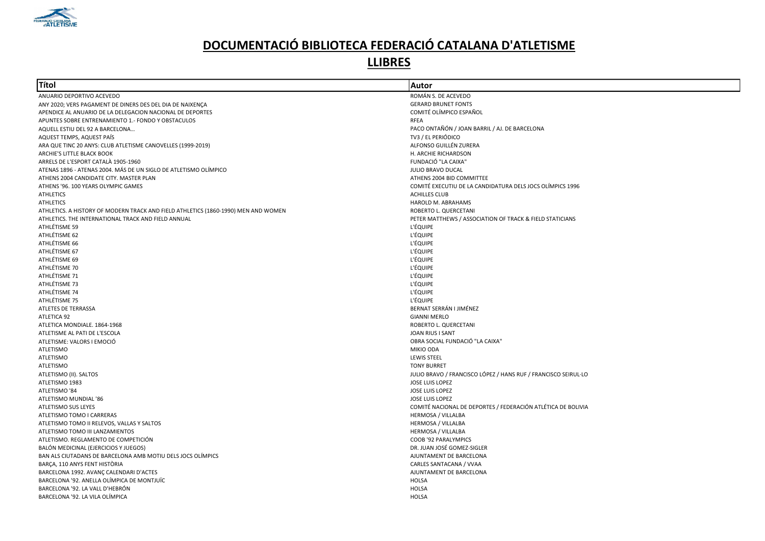

| Títol                                                                              | Autor                                                          |
|------------------------------------------------------------------------------------|----------------------------------------------------------------|
| ANUARIO DEPORTIVO ACEVEDO                                                          | ROMÁN S. DE ACEVEDO                                            |
| ANY 2020; VERS PAGAMENT DE DINERS DES DEL DIA DE NAIXENÇA                          | <b>GERARD BRUNET FONTS</b>                                     |
| APENDICE AL ANUARIO DE LA DELEGACION NACIONAL DE DEPORTES                          | COMITÉ OLÍMPICO ESPAÑOL                                        |
| APUNTES SOBRE ENTRENAMIENTO 1.- FONDO Y OBSTACULOS                                 | RFEA                                                           |
| AQUELL ESTIU DEL 92 A BARCELONA                                                    | PACO ONTAÑÓN / JOAN BARRIL / AJ. DE BARCELONA                  |
| AQUEST TEMPS, AQUEST PAÍS                                                          | TV3 / EL PERIÓDICO                                             |
| ARA QUE TINC 20 ANYS: CLUB ATLETISME CANOVELLES (1999-2019)                        | ALFONSO GUILLÉN ZURERA                                         |
| ARCHIE'S LITTLE BLACK BOOK                                                         | H. ARCHIE RICHARDSON                                           |
| ARRELS DE L'ESPORT CATALÀ 1905-1960                                                | FUNDACIÓ "LA CAIXA"                                            |
| ATENAS 1896 - ATENAS 2004. MÁS DE UN SIGLO DE ATLETISMO OLÍMPICO                   | <b>JULIO BRAVO DUCAL</b>                                       |
| ATHENS 2004 CANDIDATE CITY. MASTER PLAN                                            | ATHENS 2004 BID COMMITTEE                                      |
| ATHENS '96. 100 YEARS OLYMPIC GAMES                                                | COMITÉ EXECUTIU DE LA CANDIDATURA DELS JOCS OLÍMPICS 1996      |
| <b>ATHLETICS</b>                                                                   | <b>ACHILLES CLUB</b>                                           |
| <b>ATHLETICS</b>                                                                   | HAROLD M. ABRAHAMS                                             |
| ATHLETICS. A HISTORY OF MODERN TRACK AND FIELD ATHLETICS (1860-1990) MEN AND WOMEN | ROBERTO L. QUERCETANI                                          |
| ATHLETICS. THE INTERNATIONAL TRACK AND FIELD ANNUAL                                | PETER MATTHEWS / ASSOCIATION OF TRACK & FIELD STATICIANS       |
| ATHLÉTISME 59                                                                      | <b>L'ÉQUIPE</b>                                                |
| ATHLÉTISME 62                                                                      | <b>L'ÉQUIPE</b>                                                |
| ATHLÉTISME 66                                                                      | <b>L'ÉQUIPE</b>                                                |
| ATHLÉTISME 67                                                                      | <b>L'ÉQUIPE</b>                                                |
| ATHLÉTISME 69                                                                      | <b>L'ÉQUIPE</b>                                                |
| ATHLÉTISME 70                                                                      | <b>L'ÉQUIPE</b>                                                |
| ATHLÉTISME 71                                                                      | <b>L'ÉQUIPE</b>                                                |
| ATHLÉTISME 73                                                                      | <b>L'ÉQUIPE</b>                                                |
| ATHLÉTISME 74                                                                      | <b>L'ÉQUIPE</b>                                                |
| ATHLÉTISME 75                                                                      | <b>L'ÉQUIPE</b>                                                |
| ATLETES DE TERRASSA                                                                | BERNAT SERRÁN I JIMÉNEZ                                        |
| ATLETICA 92                                                                        | <b>GIANNI MERLO</b>                                            |
| ATLETICA MONDIALE. 1864-1968                                                       | ROBERTO L. QUERCETANI                                          |
| ATLETISME AL PATI DE L'ESCOLA                                                      | JOAN RIUS I SANT                                               |
| ATLETISME: VALORS I EMOCIÓ                                                         | OBRA SOCIAL FUNDACIÓ "LA CAIXA"                                |
| <b>ATLETISMO</b>                                                                   | MIKIO ODA                                                      |
| <b>ATLETISMO</b>                                                                   | <b>LEWIS STEEL</b>                                             |
| <b>ATLETISMO</b>                                                                   | <b>TONY BURRET</b>                                             |
| ATLETISMO (II). SALTOS                                                             | JULIO BRAVO / FRANCISCO LÓPEZ / HANS RUF / FRANCISCO SEIRUL·LO |
| ATLETISMO 1983                                                                     | JOSE LUIS LOPEZ                                                |
| ATLETISMO '84                                                                      | JOSE LUIS LOPEZ                                                |
| ATLETISMO MUNDIAL '86                                                              | JOSE LUIS LOPEZ                                                |
| ATLETISMO SUS LEYES                                                                | COMITÉ NACIONAL DE DEPORTES / FEDERACIÓN ATLÉTICA DE BOLIVIA   |
| ATLETISMO TOMO I CARRERAS                                                          | HERMOSA / VILLALBA                                             |
| ATLETISMO TOMO II RELEVOS, VALLAS Y SALTOS                                         | HERMOSA / VILLALBA                                             |
| ATLETISMO TOMO III LANZAMIENTOS                                                    | <b>HERMOSA / VILLALBA</b>                                      |
| ATLETISMO. REGLAMENTO DE COMPETICIÓN                                               | COOB '92 PARALYMPICS                                           |
| BALÓN MEDICINAL (EJERCICIOS Y JUEGOS)                                              | DR. JUAN JOSÉ GOMEZ-SIGLER                                     |
| BAN ALS CIUTADANS DE BARCELONA AMB MOTIU DELS JOCS OLÍMPICS                        | AJUNTAMENT DE BARCELONA                                        |
| BARCA, 110 ANYS FENT HISTÒRIA                                                      | CARLES SANTACANA / VVAA                                        |
|                                                                                    |                                                                |
| BARCELONA 1992. AVANÇ CALENDARI D'ACTES                                            | AJUNTAMENT DE BARCELONA                                        |
| BARCELONA '92. ANELLA OLÍMPICA DE MONTJUÏC                                         | <b>HOLSA</b>                                                   |
| BARCELONA '92. LA VALL D'HEBRÓN                                                    | <b>HOLSA</b>                                                   |
| BARCELONA '92. LA VILA OLÍMPICA                                                    | <b>HOLSA</b>                                                   |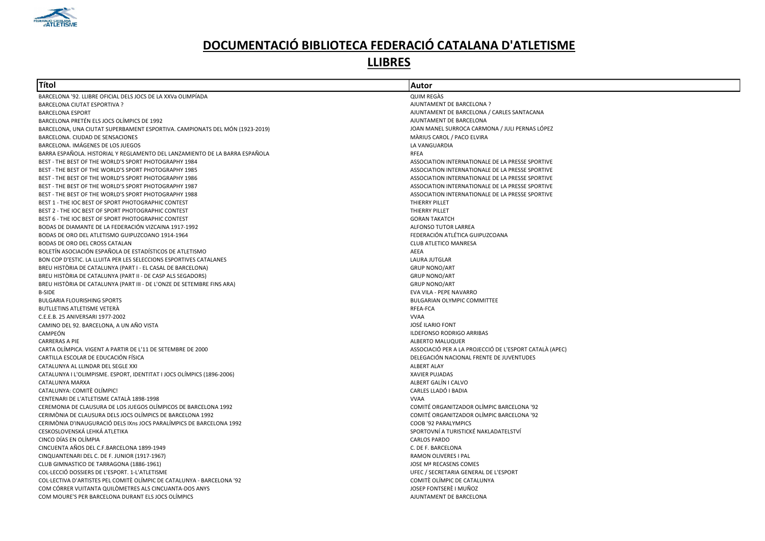

| Títol                                                                       | Autor                                                   |
|-----------------------------------------------------------------------------|---------------------------------------------------------|
| BARCELONA '92. LLIBRE OFICIAL DELS JOCS DE LA XXVa OLIMPÍADA                | QUIM REGAS                                              |
| <b>BARCELONA CIUTAT ESPORTIVA ?</b>                                         | AJUNTAMENT DE BARCELONA ?                               |
| <b>BARCELONA ESPORT</b>                                                     | AJUNTAMENT DE BARCELONA / CARLES SANTACANA              |
| BARCELONA PRETÉN ELS JOCS OLÍMPICS DE 1992                                  | AJUNTAMENT DE BARCELONA                                 |
| BARCELONA, UNA CIUTAT SUPERBAMENT ESPORTIVA. CAMPIONATS DEL MÓN (1923-2019) | JOAN MANEL SURROCA CARMONA / JULI PERNAS LÓPEZ          |
| BARCELONA. CIUDAD DE SENSACIONES                                            | MÀRIUS CAROL / PACO ELVIRA                              |
| BARCELONA. IMÁGENES DE LOS JUEGOS                                           | LA VANGUARDIA                                           |
| BARRA ESPAÑOLA. HISTORIAL Y REGLAMENTO DEL LANZAMIENTO DE LA BARRA ESPAÑOLA | <b>RFEA</b>                                             |
| BEST - THE BEST OF THE WORLD'S SPORT PHOTOGRAPHY 1984                       | ASSOCIATION INTERNATIONALE DE LA PRESSE SPORTIVE        |
| BEST - THE BEST OF THE WORLD'S SPORT PHOTOGRAPHY 1985                       | ASSOCIATION INTERNATIONALE DE LA PRESSE SPORTIVE        |
| BEST - THE BEST OF THE WORLD'S SPORT PHOTOGRAPHY 1986                       | ASSOCIATION INTERNATIONALE DE LA PRESSE SPORTIVE        |
| BEST - THE BEST OF THE WORLD'S SPORT PHOTOGRAPHY 1987                       | ASSOCIATION INTERNATIONALE DE LA PRESSE SPORTIVE        |
| BEST - THE BEST OF THE WORLD'S SPORT PHOTOGRAPHY 1988                       | ASSOCIATION INTERNATIONALE DE LA PRESSE SPORTIVE        |
| BEST 1 - THE IOC BEST OF SPORT PHOTOGRAPHIC CONTEST                         | <b>THIERRY PILLET</b>                                   |
| BEST 2 - THE IOC BEST OF SPORT PHOTOGRAPHIC CONTEST                         | THIERRY PILLET                                          |
| BEST 6 - THE IOC BEST OF SPORT PHOTOGRAPHIC CONTEST                         | <b>GORAN TAKATCH</b>                                    |
| BODAS DE DIAMANTE DE LA FEDERACIÓN VIZCAINA 1917-1992                       | ALFONSO TUTOR LARREA                                    |
| BODAS DE ORO DEL ATLETISMO GUIPUZCOANO 1914-1964                            | FEDERACIÓN ATLÉTICA GUIPUZCOANA                         |
| BODAS DE ORO DEL CROSS CATALAN                                              | <b>CLUB ATLETICO MANRESA</b>                            |
| BOLETÍN ASOCIACIÓN ESPAÑOLA DE ESTADÍSTICOS DE ATLETISMO                    | AEEA                                                    |
| BON COP D'ESTIC. LA LLUITA PER LES SELECCIONS ESPORTIVES CATALANES          | LAURA JUTGLAR                                           |
| BREU HISTÒRIA DE CATALUNYA (PART I - EL CASAL DE BARCELONA)                 | <b>GRUP NONO/ART</b>                                    |
| BREU HISTÒRIA DE CATALUNYA (PART II - DE CASP ALS SEGADORS)                 | <b>GRUP NONO/ART</b>                                    |
| BREU HISTÒRIA DE CATALUNYA (PART III - DE L'ONZE DE SETEMBRE FINS ARA)      | <b>GRUP NONO/ART</b>                                    |
| <b>B-SIDE</b>                                                               | EVA VILA - PEPE NAVARRO                                 |
| <b>BULGARIA FLOURISHING SPORTS</b>                                          | <b>BULGARIAN OLYMPIC COMMITTEE</b>                      |
| BUTLLETINS ATLETISME VETERA                                                 | RFEA-FCA                                                |
| C.E.E.B. 25 ANIVERSARI 1977-2002                                            | <b>VVAA</b>                                             |
| CAMINO DEL 92. BARCELONA, A UN AÑO VISTA                                    | <b>JOSÉ ILARIO FONT</b>                                 |
| CAMPEÓN                                                                     | <b>ILDEFONSO RODRIGO ARRIBAS</b>                        |
| <b>CARRERAS A PIE</b>                                                       | ALBERTO MALUQUER                                        |
| CARTA OLÍMPICA. VIGENT A PARTIR DE L'11 DE SETEMBRE DE 2000                 | ASSOCIACIÓ PER A LA PROJECCIÓ DE L'ESPORT CATALÀ (APEC) |
| CARTILLA ESCOLAR DE EDUCACIÓN FÍSICA                                        | DELEGACIÓN NACIONAL FRENTE DE JUVENTUDES                |
| CATALUNYA AL LLINDAR DEL SEGLE XXI                                          | <b>ALBERT ALAY</b>                                      |
| CATALUNYA I L'OLIMPISME. ESPORT, IDENTITAT I JOCS OLÍMPICS (1896-2006)      | <b>XAVIER PUJADAS</b>                                   |
| CATALUNYA MARXA                                                             | ALBERT GALÍN I CALVO                                    |
| CATALUNYA: COMITÈ OLÍMPIC!                                                  | CARLES LLADÓ I BADIA                                    |
| CENTENARI DE L'ATLETISME CATALÀ 1898-1998                                   | <b>VVAA</b>                                             |
| CEREMONIA DE CLAUSURA DE LOS JUEGOS OLÍMPICOS DE BARCELONA 1992             | COMITÉ ORGANITZADOR OLÍMPIC BARCELONA '92               |
| CERIMÒNIA DE CLAUSURA DELS JOCS OLÍMPICS DE BARCELONA 1992                  | COMITÉ ORGANITZADOR OLÍMPIC BARCELONA '92               |
| CERIMÒNIA D'INAUGURACIÓ DELS IXns JOCS PARALÍMPICS DE BARCELONA 1992        | COOB '92 PARALYMPICS                                    |
| CESKOSLOVENSKÁ LEHKÁ ATLETIKA                                               | SPORTOVNÍ A TURISTICKÉ NAKLADATELSTVÍ                   |
| CINCO DÍAS EN OLÍMPIA                                                       | <b>CARLOS PARDO</b>                                     |
| CINCUENTA AÑOS DEL C.F.BARCELONA 1899-1949                                  | C. DE F. BARCELONA                                      |
| CINQUANTENARI DEL C. DE F. JUNIOR (1917-1967)                               | <b>RAMON OLIVERES I PAL</b>                             |
| CLUB GIMNASTICO DE TARRAGONA (1886-1961)                                    | JOSE Mª RECASENS COMES                                  |
| COL·LECCIÓ DOSSIERS DE L'ESPORT. 1-L'ATLETISME                              | UFEC / SECRETARIA GENERAL DE L'ESPORT                   |
| COL·LECTIVA D'ARTISTES PEL COMITÈ OLÍMPIC DE CATALUNYA - BARCELONA '92      | COMITÈ OLÍMPIC DE CATALUNYA                             |
| COM CÓRRER VUITANTA QUILÒMETRES ALS CINCUANTA-DOS ANYS                      | JOSEP FONTSERÈ I MUÑOZ                                  |
| COM MOURE'S PER BARCELONA DURANT ELS JOCS OLÍMPICS                          | AJUNTAMENT DE BARCELONA                                 |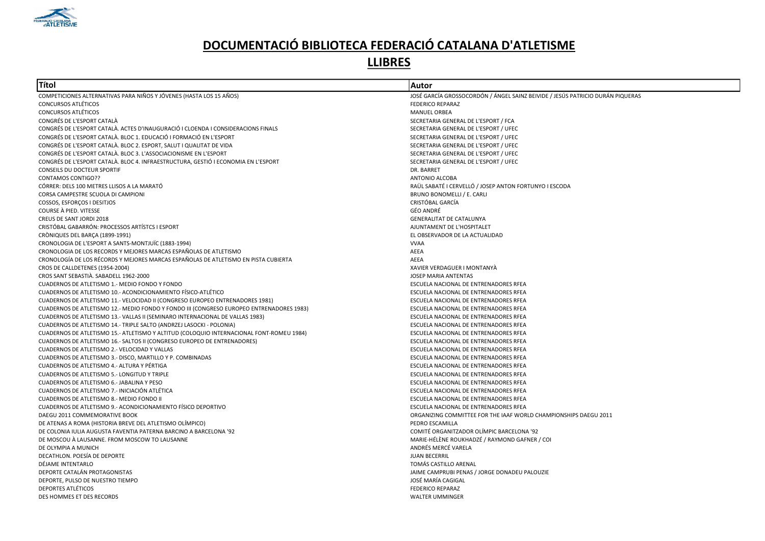

| Títol                                                                                    | Autor                                                                          |
|------------------------------------------------------------------------------------------|--------------------------------------------------------------------------------|
| COMPETICIONES ALTERNATIVAS PARA NIÑOS Y JÓVENES (HASTA LOS 15 AÑOS)                      | JOSÉ GARCÍA GROSSOCORDÓN / ÁNGEL SAINZ BEIVIDE / JESÚS PATRICIO DURÁN PIQUERAS |
| <b>CONCURSOS ATLÉTICOS</b>                                                               | <b>FEDERICO REPARAZ</b>                                                        |
| <b>CONCURSOS ATLÉTICOS</b>                                                               | <b>MANUEL ORBEA</b>                                                            |
| CONGRÉS DE L'ESPORT CATALÀ                                                               | SECRETARIA GENERAL DE L'ESPORT / FCA                                           |
| CONGRÉS DE L'ESPORT CATALÀ. ACTES D'INAUGURACIÓ I CLOENDA I CONSIDERACIONS FINALS        | SECRETARIA GENERAL DE L'ESPORT / UFEC                                          |
| CONGRÉS DE L'ESPORT CATALÀ, BLOC 1, EDUCACIÓ I FORMACIÓ EN L'ESPORT                      | SECRETARIA GENERAL DE L'ESPORT / UFEC                                          |
| CONGRÉS DE L'ESPORT CATALÀ. BLOC 2. ESPORT, SALUT I QUALITAT DE VIDA                     | SECRETARIA GENERAL DE L'ESPORT / UFEC                                          |
| CONGRÉS DE L'ESPORT CATALÀ. BLOC 3. L'ASSOCIACIONISME EN L'ESPORT                        | SECRETARIA GENERAL DE L'ESPORT / UFEC                                          |
| CONGRÉS DE L'ESPORT CATALÀ. BLOC 4. INFRAESTRUCTURA, GESTIÓ I ECONOMIA EN L'ESPORT       | SECRETARIA GENERAL DE L'ESPORT / UFEC                                          |
| <b>CONSEILS DU DOCTEUR SPORTIF</b>                                                       | DR. BARRET                                                                     |
| <b>CONTAMOS CONTIGO??</b>                                                                | <b>ANTONIO ALCOBA</b>                                                          |
| CÓRRER: DELS 100 METRES LLISOS A LA MARATÓ                                               | RAÜL SABATÉ I CERVELLÓ / JOSEP ANTON FORTUNYO I ESCODA                         |
| CORSA CAMPESTRE SCUOLA DI CAMPIONI                                                       | BRUNO BONOMELLI / E. CARLI                                                     |
| COSSOS, ESFORÇOS I DESITJOS                                                              | CRISTÓBAL GARCÍA                                                               |
| COURSE À PIED. VITESSE                                                                   | GÉO ANDRÉ                                                                      |
| CREUS DE SANT JORDI 2018                                                                 | <b>GENERALITAT DE CATALUNYA</b>                                                |
| CRISTÓBAL GABARRÓN: PROCESSOS ARTÍSTCS I ESPORT                                          | AJUNTAMENT DE L'HOSPITALET                                                     |
| CRÒNIQUES DEL BARÇA (1899-1991)                                                          | EL OBSERVADOR DE LA ACTUALIDAD                                                 |
| CRONOLOGIA DE L'ESPORT A SANTS-MONTJUÏC (1883-1994)                                      | <b>VVAA</b>                                                                    |
| CRONOLOGIA DE LOS RECORDS Y MEJORES MARCAS ESPAÑOLAS DE ATLETISMO                        | AEEA                                                                           |
| CRONOLOGÍA DE LOS RÉCORDS Y MEJORES MARCAS ESPAÑOLAS DE ATLETISMO EN PISTA CUBIERTA      | AEEA                                                                           |
| CROS DE CALLDETENES (1954-2004)                                                          | XAVIER VERDAGUER I MONTANYÀ                                                    |
| CROS SANT SEBASTIÀ. SABADELL 1962-2000                                                   | <b>JOSEP MARIA ANTENTAS</b>                                                    |
| CUADERNOS DE ATLETISMO 1.- MEDIO FONDO Y FONDO                                           | ESCUELA NACIONAL DE ENTRENADORES RFEA                                          |
| CUADERNOS DE ATLETISMO 10.- ACONDICIONAMIENTO FÍSICO-ATLÉTICO                            | ESCUELA NACIONAL DE ENTRENADORES RFEA                                          |
| CUADERNOS DE ATLETISMO 11.- VELOCIDAD II (CONGRESO EUROPEO ENTRENADORES 1981)            | ESCUELA NACIONAL DE ENTRENADORES RFEA                                          |
| CUADERNOS DE ATLETISMO 12.- MEDIO FONDO Y FONDO III (CONGRESO EUROPEO ENTRENADORES 1983) | ESCUELA NACIONAL DE ENTRENADORES RFEA                                          |
| CUADERNOS DE ATLETISMO 13.- VALLAS II (SEMINARO INTERNACIONAL DE VALLAS 1983)            | ESCUELA NACIONAL DE ENTRENADORES RFEA                                          |
| CUADERNOS DE ATLETISMO 14.- TRIPLE SALTO (ANDRZEJ LASOCKI - POLONIA)                     | ESCUELA NACIONAL DE ENTRENADORES RFEA                                          |
| CUADERNOS DE ATLETISMO 15.- ATLETISMO Y ALTITUD (COLOQUIO INTERNACIONAL FONT-ROMEU 1984) | ESCUELA NACIONAL DE ENTRENADORES RFEA                                          |
| CUADERNOS DE ATLETISMO 16.- SALTOS II (CONGRESO EUROPEO DE ENTRENADORES)                 | ESCUELA NACIONAL DE ENTRENADORES RFEA                                          |
| CUADERNOS DE ATLETISMO 2.- VELOCIDAD Y VALLAS                                            | ESCUELA NACIONAL DE ENTRENADORES RFEA                                          |
| CUADERNOS DE ATLETISMO 3.- DISCO, MARTILLO Y P. COMBINADAS                               | ESCUELA NACIONAL DE ENTRENADORES RFEA                                          |
| CUADERNOS DE ATLETISMO 4.- ALTURA Y PÉRTIGA                                              | ESCUELA NACIONAL DE ENTRENADORES RFEA                                          |
| <b>CUADERNOS DE ATLETISMO 5.- LONGITUD Y TRIPLE</b>                                      | ESCUELA NACIONAL DE ENTRENADORES RFEA                                          |
| CUADERNOS DE ATLETISMO 6.- JABALINA Y PESO                                               | ESCUELA NACIONAL DE ENTRENADORES RFEA                                          |
| CUADERNOS DE ATLETISMO 7.- INICIACIÓN ATLÉTICA                                           | ESCUELA NACIONAL DE ENTRENADORES RFEA                                          |
| CUADERNOS DE ATLETISMO 8.- MEDIO FONDO II                                                | ESCUELA NACIONAL DE ENTRENADORES RFEA                                          |
| CUADERNOS DE ATLETISMO 9.- ACONDICIONAMIENTO FÍSICO DEPORTIVO                            | ESCUELA NACIONAL DE ENTRENADORES RFEA                                          |
| DAEGU 2011 COMMEMORATIVE BOOK                                                            | ORGANIZING COMMITTEE FOR THE IAAF WORLD CHAMPIONSHIPS DAEGU 2011               |
| DE ATENAS A ROMA (HISTORIA BREVE DEL ATLETISMO OLÍMPICO)                                 | PEDRO ESCAMILLA                                                                |
| DE COLONIA IULIA AUGUSTA FAVENTIA PATERNA BARCINO A BARCELONA '92                        | COMITÉ ORGANITZADOR OLÍMPIC BARCELONA '92                                      |
| DE MOSCOU À LAUSANNE. FROM MOSCOW TO LAUSANNE                                            | MARIE-HÉLÈNE ROUKHADZÉ / RAYMOND GAFNER / COI                                  |
| DE OLYMPIA A MUNICH                                                                      | ANDRÉS MERCÉ VARELA                                                            |
| DECATHLON. POESÍA DE DEPORTE                                                             | <b>JUAN BECERRIL</b>                                                           |
| DÉJAME INTENTARLO                                                                        | TOMÁS CASTILLO ARENAL                                                          |
| DEPORTE CATALÁN PROTAGONISTAS                                                            | JAIME CAMPRUBI PENAS / JORGE DONADEU PALOUZIE                                  |
| DEPORTE, PULSO DE NUESTRO TIEMPO                                                         | JOSÉ MARÍA CAGIGAL                                                             |
| DEPORTES ATLÉTICOS                                                                       | <b>FEDERICO REPARAZ</b>                                                        |
| DES HOMMES ET DES RECORDS                                                                | <b>WALTER UMMINGER</b>                                                         |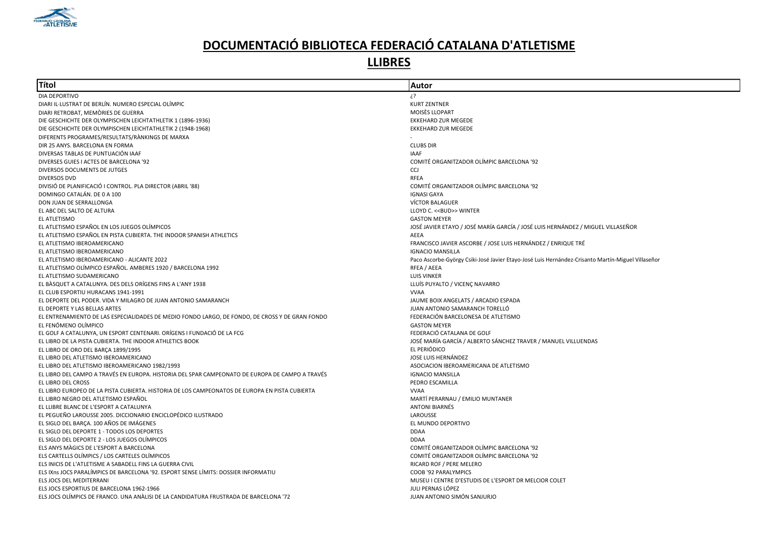

| Títol                                                                                           | Autor                                                                                             |
|-------------------------------------------------------------------------------------------------|---------------------------------------------------------------------------------------------------|
| DIA DEPORTIVO                                                                                   | ? خ                                                                                               |
| DIARI IL·LUSTRAT DE BERLÍN. NUMERO ESPECIAL OLÍMPIC                                             | <b>KURT ZENTNER</b>                                                                               |
| DIARI RETROBAT, MEMORIES DE GUERRA                                                              | MOISES LLOPART                                                                                    |
| DIE GESCHICHTE DER OLYMPISCHEN LEICHTATHLETIK 1 (1896-1936)                                     | <b>EKKEHARD ZUR MEGEDE</b>                                                                        |
| DIE GESCHICHTE DER OLYMPISCHEN LEICHTATHLETIK 2 (1948-1968)                                     | <b>EKKEHARD ZUR MEGEDE</b>                                                                        |
| DIFERENTS PROGRAMES/RESULTATS/RANKINGS DE MARXA                                                 |                                                                                                   |
| DIR 25 ANYS. BARCELONA EN FORMA                                                                 | <b>CLUBS DIR</b>                                                                                  |
| DIVERSAS TABLAS DE PUNTUACIÓN IAAF                                                              | <b>IAAF</b>                                                                                       |
| DIVERSES GUIES I ACTES DE BARCELONA '92                                                         | COMITÉ ORGANITZADOR OLÍMPIC BARCELONA '92                                                         |
| DIVERSOS DOCUMENTS DE JUTGES                                                                    | CCJ                                                                                               |
| <b>DIVERSOS DVD</b>                                                                             | <b>RFEA</b>                                                                                       |
| DIVISIÓ DE PLANIFICACIÓ I CONTROL. PLA DIRECTOR (ABRIL '88)                                     | COMITÉ ORGANITZADOR OLÍMPIC BARCELONA '92                                                         |
| DOMINGO CATALÁN. DE 0 A 100                                                                     | <b>IGNASI GAYA</b>                                                                                |
| DON JUAN DE SERRALLONGA                                                                         | VÍCTOR BALAGUER                                                                                   |
| EL ABC DEL SALTO DE ALTURA                                                                      | LLOYD C. << BUD>> WINTER                                                                          |
| EL ATLETISMO                                                                                    | <b>GASTON MEYER</b>                                                                               |
| EL ATLETISMO ESPAÑOL EN LOS JUEGOS OLÍMPICOS                                                    | JOSÉ JAVIER ETAYO / JOSÉ MARÍA GARCÍA / JOSÉ LUIS HERNÁNDEZ / MIGUEL VILLASEÑOR                   |
| EL ATLETISMO ESPAÑOL EN PISTA CUBIERTA. THE INDOOR SPANISH ATHLETICS                            | AEEA                                                                                              |
| EL ATLETISMO IBEROAMERICANO                                                                     | FRANCISCO JAVIER ASCORBE / JOSE LUIS HERNÁNDEZ / ENRIQUE TRÉ                                      |
| EL ATLETISMO IBEROAMERICANO                                                                     | <b>IGNACIO MANSILLA</b>                                                                           |
| EL ATLETISMO IBEROAMERICANO - ALICANTE 2022                                                     | Paco Ascorbe-György Csiki-José Javier Etayo-José Luis Hernández-Crisanto Martín-Miguel Villaseñor |
| EL ATLETISMO OLÍMPICO ESPAÑOL. AMBERES 1920 / BARCELONA 1992                                    | RFEA / AEEA                                                                                       |
| EL ATLETISMO SUDAMERICANO                                                                       | <b>LUIS VINKER</b>                                                                                |
| EL BÀSQUET A CATALUNYA. DES DELS ORÍGENS FINS A L'ANY 1938                                      | LLUÍS PUYALTO / VICENÇ NAVARRO                                                                    |
| EL CLUB ESPORTIU HURACANS 1941-1991                                                             | <b>VVAA</b>                                                                                       |
| EL DEPORTE DEL PODER. VIDA Y MILAGRO DE JUAN ANTONIO SAMARANCH                                  | JAUME BOIX ANGELATS / ARCADIO ESPADA                                                              |
| EL DEPORTE Y LAS BELLAS ARTES                                                                   | JUAN ANTONIO SAMARANCH TORELLÓ                                                                    |
| EL ENTRENAMIENTO DE LAS ESPECIALIDADES DE MEDIO FONDO LARGO, DE FONDO, DE CROSS Y DE GRAN FONDO | FEDERACIÓN BARCELONESA DE ATLETISMO                                                               |
| EL FENÓMENO OLÍMPICO                                                                            | <b>GASTON MEYER</b>                                                                               |
| EL GOLF A CATALUNYA, UN ESPORT CENTENARI. ORÍGENS I FUNDACIÓ DE LA FCG                          | FEDERACIÓ CATALANA DE GOLF                                                                        |
| EL LIBRO DE LA PISTA CUBIERTA. THE INDOOR ATHLETICS BOOK                                        | JOSÉ MARÍA GARCÍA / ALBERTO SÁNCHEZ TRAVER / MANUEL VILLUENDAS                                    |
| EL LIBRO DE ORO DEL BARÇA 1899/1995                                                             | EL PERIÓDICO                                                                                      |
| EL LIBRO DEL ATLETISMO IBEROAMERICANO                                                           | JOSE LUIS HERNÁNDEZ                                                                               |
| EL LIBRO DEL ATLETISMO IBEROAMERICANO 1982/1993                                                 | ASOCIACION IBEROAMERICANA DE ATLETISMO                                                            |
| EL LIBRO DEL CAMPO A TRAVÉS EN EUROPA. HISTORIA DEL SPAR CAMPEONATO DE EUROPA DE CAMPO A TRAVÉS | <b>IGNACIO MANSILLA</b>                                                                           |
| EL LIBRO DEL CROSS                                                                              | PEDRO ESCAMILLA                                                                                   |
| EL LIBRO EUROPEO DE LA PISTA CUBIERTA. HISTORIA DE LOS CAMPEONATOS DE EUROPA EN PISTA CUBIERTA  | <b>VVAA</b>                                                                                       |
| EL LIBRO NEGRO DEL ATLETISMO ESPAÑOL                                                            | MARTÍ PERARNAU / EMILIO MUNTANER                                                                  |
| EL LLIBRE BLANC DE L'ESPORT A CATALUNYA                                                         | <b>ANTONI BIARNÉS</b>                                                                             |
| EL PEGUEÑO LAROUSSE 2005. DICCIONARIO ENCICLOPÉDICO ILUSTRADO                                   | LAROUSSE                                                                                          |
| EL SIGLO DEL BARCA. 100 AÑOS DE IMÁGENES                                                        | EL MUNDO DEPORTIVO                                                                                |
| EL SIGLO DEL DEPORTE 1 - TODOS LOS DEPORTES                                                     | <b>DDAA</b>                                                                                       |
| EL SIGLO DEL DEPORTE 2 - LOS JUEGOS OLÍMPICOS                                                   | <b>DDAA</b>                                                                                       |
| ELS ANYS MAGICS DE L'ESPORT A BARCELONA                                                         | COMITÉ ORGANITZADOR OLÍMPIC BARCELONA '92                                                         |
| ELS CARTELLS OLÍMPICS / LOS CARTELES OLÍMPICOS                                                  | COMITÉ ORGANITZADOR OLÍMPIC BARCELONA '92                                                         |
| ELS INICIS DE L'ATLETISME A SABADELL FINS LA GUERRA CIVIL                                       | RICARD ROF / PERE MELERO                                                                          |
| ELS IXns JOCS PARALÍMPICS DE BARCELONA '92. ESPORT SENSE LÍMITS: DOSSIER INFORMATIU             | COOB '92 PARALYMPICS                                                                              |
| ELS JOCS DEL MEDITERRANI                                                                        | MUSEU I CENTRE D'ESTUDIS DE L'ESPORT DR MELCIOR COLET                                             |
| ELS JOCS ESPORTIUS DE BARCELONA 1962-1966                                                       | JULI PERNAS LÓPEZ                                                                                 |
| ELS JOCS OLÍMPICS DE FRANCO. UNA ANÀLISI DE LA CANDIDATURA FRUSTRADA DE BARCELONA '72           | JUAN ANTONIO SIMÓN SANJURJO                                                                       |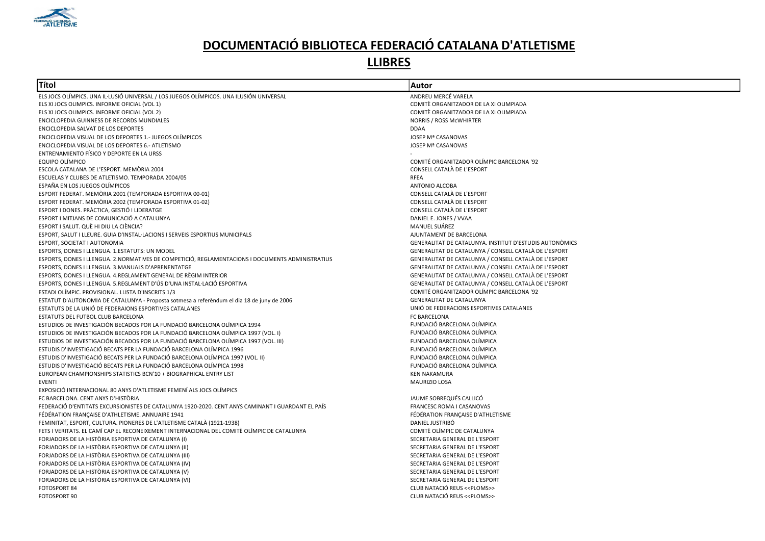

| Títol                                                                                             | Autor                                                   |
|---------------------------------------------------------------------------------------------------|---------------------------------------------------------|
| ELS JOCS OLÍMPICS. UNA IL·LUSIÓ UNIVERSAL / LOS JUEGOS OLÍMPICOS. UNA ILUSIÓN UNIVERSAL           | ANDREU MERCÉ VARELA                                     |
| ELS XI JOCS OLIMPICS. INFORME OFICIAL (VOL 1)                                                     | COMITÈ ORGANITZADOR DE LA XI OLIMPIADA                  |
| ELS XI JOCS OLIMPICS. INFORME OFICIAL (VOL 2)                                                     | COMITÈ ORGANITZADOR DE LA XI OLIMPIADA                  |
| ENCICLOPEDIA GUINNESS DE RECORDS MUNDIALES                                                        | <b>NORRIS / ROSS McWHIRTER</b>                          |
| ENCICLOPEDIA SALVAT DE LOS DEPORTES                                                               | <b>DDAA</b>                                             |
| ENCICLOPEDIA VISUAL DE LOS DEPORTES 1.- JUEGOS OLÍMPICOS                                          | <b>JOSEP Mª CASANOVAS</b>                               |
| ENCICLOPEDIA VISUAL DE LOS DEPORTES 6.- ATLETISMO                                                 | JOSEP Mª CASANOVAS                                      |
| ENTRENAMIENTO FÍSICO Y DEPORTE EN LA URSS                                                         |                                                         |
| EQUIPO OLÍMPICO                                                                                   | COMITÉ ORGANITZADOR OLÍMPIC BARCELONA '92               |
| ESCOLA CATALANA DE L'ESPORT. MEMÒRIA 2004                                                         | CONSELL CATALÀ DE L'ESPORT                              |
| ESCUELAS Y CLUBES DE ATLETISMO. TEMPORADA 2004/05                                                 | RFEA                                                    |
| ESPAÑA EN LOS JUEGOS OLÍMPICOS                                                                    | ANTONIO ALCOBA                                          |
| ESPORT FEDERAT. MEMÒRIA 2001 (TEMPORADA ESPORTIVA 00-01)                                          | CONSELL CATALÀ DE L'ESPORT                              |
| ESPORT FEDERAT. MEMÒRIA 2002 (TEMPORADA ESPORTIVA 01-02)                                          | CONSELL CATALÀ DE L'ESPORT                              |
| ESPORT I DONES. PRÀCTICA, GESTIÓ I LIDERATGE                                                      | CONSELL CATALÀ DE L'ESPORT                              |
| ESPORT I MITJANS DE COMUNICACIÓ A CATALUNYA                                                       | DANIEL E. JONES / VVAA                                  |
| ESPORT I SALUT. QUÈ HI DIU LA CIÈNCIA?                                                            | MANUEL SUÁREZ                                           |
| ESPORT, SALUT I LLEURE. GUIA D'INSTAL·LACIONS I SERVEIS ESPORTIUS MUNICIPALS                      | AJUNTAMENT DE BARCELONA                                 |
| ESPORT, SOCIETAT I AUTONOMIA                                                                      | GENERALITAT DE CATALUNYA. INSTITUT D'ESTUDIS AUTONÒMICS |
| ESPORTS, DONES I LLENGUA. 1.ESTATUTS: UN MODEL                                                    | GENERALITAT DE CATALUNYA / CONSELL CATALÀ DE L'ESPORT   |
| ESPORTS, DONES I LLENGUA. 2.NORMATIVES DE COMPETICIÓ, REGLAMENTACIONS I DOCUMENTS ADMINISTRATIUS  | GENERALITAT DE CATALUNYA / CONSELL CATALÀ DE L'ESPORT   |
| ESPORTS, DONES I LLENGUA. 3.MANUALS D'APRENENTATGE                                                | GENERALITAT DE CATALUNYA / CONSELL CATALÀ DE L'ESPORT   |
| ESPORTS, DONES I LLENGUA. 4.REGLAMENT GENERAL DE RÈGIM INTERIOR                                   | GENERALITAT DE CATALUNYA / CONSELL CATALÀ DE L'ESPORT   |
| ESPORTS, DONES I LLENGUA. 5.REGLAMENT D'ÚS D'UNA INSTAL·LACIÓ ESPORTIVA                           | GENERALITAT DE CATALUNYA / CONSELL CATALÀ DE L'ESPORT   |
| ESTADI OLÍMPIC. PROVISIONAL. LLISTA D'INSCRITS 1/3                                                | COMITÉ ORGANITZADOR OLÍMPIC BARCELONA '92               |
| ESTATUT D'AUTONOMIA DE CATALUNYA - Proposta sotmesa a referèndum el dia 18 de juny de 2006        | <b>GENERALITAT DE CATALUNYA</b>                         |
| ESTATUTS DE LA UNIÓ DE FEDERAIONS ESPORTIVES CATALANES                                            | UNIÓ DE FEDERACIONS ESPORTIVES CATALANES                |
| ESTATUTS DEL FUTBOL CLUB BARCELONA                                                                | FC BARCELONA                                            |
| ESTUDIOS DE INVESTIGACIÓN BECADOS POR LA FUNDACIÓ BARCELONA OLÍMPICA 1994                         | FUNDACIÓ BARCELONA OLÍMPICA                             |
| ESTUDIOS DE INVESTIGACIÓN BECADOS POR LA FUNDACIÓ BARCELONA OLÍMPICA 1997 (VOL. I)                | FUNDACIÓ BARCELONA OLÍMPICA                             |
| ESTUDIOS DE INVESTIGACIÓN BECADOS POR LA FUNDACIÓ BARCELONA OLÍMPICA 1997 (VOL. III)              | FUNDACIÓ BARCELONA OLÍMPICA                             |
| ESTUDIS D'INVESTIGACIÓ BECATS PER LA FUNDACIÓ BARCELONA OLÍMPICA 1996                             | FUNDACIÓ BARCELONA OLÍMPICA                             |
| ESTUDIS D'INVESTIGACIÓ BECATS PER LA FUNDACIÓ BARCELONA OLÍMPICA 1997 (VOL. II)                   | FUNDACIÓ BARCELONA OLÍMPICA                             |
| ESTUDIS D'INVESTIGACIÓ BECATS PER LA FUNDACIÓ BARCELONA OLÍMPICA 1998                             | FUNDACIÓ BARCELONA OLÍMPICA                             |
| EUROPEAN CHAMPIONSHIPS STATISTICS BCN'10 + BIOGRAPHICAL ENTRY LIST                                | <b>KEN NAKAMURA</b>                                     |
| <b>EVENTI</b>                                                                                     | MAURIZIO LOSA                                           |
| EXPOSICIÓ INTERNACIONAL 80 ANYS D'ATLETISME FEMENÍ ALS JOCS OLÍMPICS                              |                                                         |
| FC BARCELONA. CENT ANYS D'HISTÒRIA                                                                | JAUME SOBREQUÉS CALLICÓ                                 |
| FEDERACIÓ D'ENTITATS EXCURSIONISTES DE CATALUNYA 1920-2020. CENT ANYS CAMINANT I GUARDANT EL PAÍS | FRANCESC ROMA I CASANOVAS                               |
| FÉDÉRATION FRANÇAISE D'ATHLETISME. ANNUAIRE 1941                                                  | FÉDÉRATION FRANÇAISE D'ATHLETISME                       |
| FEMINITAT, ESPORT, CULTURA. PIONERES DE L'ATLETISME CATALÀ (1921-1938)                            | DANIEL JUSTRIBÓ                                         |
| FETS I VERITATS. EL CAMÍ CAP EL RECONEIXEMENT INTERNACIONAL DEL COMITÈ OLÍMPIC DE CATALUNYA       | COMITÈ OLÍMPIC DE CATALUNYA                             |
| FORJADORS DE LA HISTÒRIA ESPORTIVA DE CATALUNYA (I)                                               | SECRETARIA GENERAL DE L'ESPORT                          |
| FORJADORS DE LA HISTÒRIA ESPORTIVA DE CATALUNYA (II)                                              | SECRETARIA GENERAL DE L'ESPORT                          |
| FORJADORS DE LA HISTÒRIA ESPORTIVA DE CATALUNYA (III)                                             | SECRETARIA GENERAL DE L'ESPORT                          |
| FORJADORS DE LA HISTÒRIA ESPORTIVA DE CATALUNYA (IV)                                              | SECRETARIA GENERAL DE L'ESPORT                          |
| FORJADORS DE LA HISTÒRIA ESPORTIVA DE CATALUNYA (V)                                               | SECRETARIA GENERAL DE L'ESPORT                          |
| FORJADORS DE LA HISTÒRIA ESPORTIVA DE CATALUNYA (VI)                                              | SECRETARIA GENERAL DE L'ESPORT                          |
| FOTOSPORT 84                                                                                      | CLUB NATACIÓ REUS << PLOMS>>                            |
| FOTOSPORT 90                                                                                      | CLUB NATACIÓ REUS << PLOMS>>                            |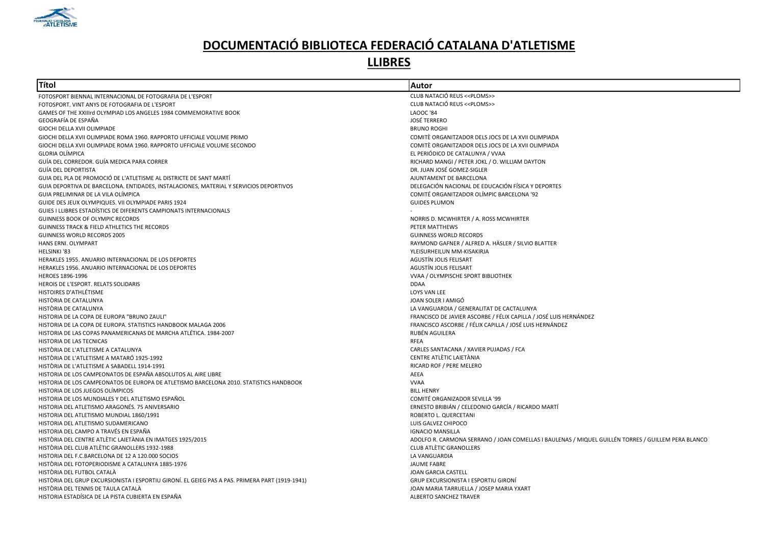

| Títol                                                                                           | Autor                                                                                              |
|-------------------------------------------------------------------------------------------------|----------------------------------------------------------------------------------------------------|
| FOTOSPORT BIENNAL INTERNACIONAL DE FOTOGRAFIA DE L'ESPORT                                       | CLUB NATACIÓ REUS << PLOMS>>                                                                       |
| FOTOSPORT. VINT ANYS DE FOTOGRAFIA DE L'ESPORT                                                  | CLUB NATACIÓ REUS << PLOMS>>                                                                       |
| GAMES OF THE XXIIIrd OLYMPIAD LOS ANGELES 1984 COMMEMORATIVE BOOK                               | <b>LAOOC '84</b>                                                                                   |
| GEOGRAFÍA DE ESPAÑA                                                                             | <b>JOSÉ TERRERO</b>                                                                                |
| GIOCHI DELLA XVII OLIMPIADE                                                                     | <b>BRUNO ROGHI</b>                                                                                 |
| GIOCHI DELLA XVII OLIMPIADE ROMA 1960. RAPPORTO UFFICIALE VOLUME PRIMO                          | COMITÈ ORGANITZADOR DELS JOCS DE LA XVII OLIMPIADA                                                 |
| GIOCHI DELLA XVII OLIMPIADE ROMA 1960. RAPPORTO UFFICIALE VOLUME SECONDO                        | COMITÈ ORGANITZADOR DELS JOCS DE LA XVII OLIMPIADA                                                 |
| <b>GLORIA OLÍMPICA</b>                                                                          | EL PERIÓDICO DE CATALUNYA / VVAA                                                                   |
| GUÍA DEL CORREDOR. GUÍA MEDICA PARA CORRER                                                      | RICHARD MANGI / PETER JOKL / O. WILLIAM DAYTON                                                     |
| GUÍA DEL DEPORTISTA                                                                             | DR. JUAN JOSÉ GOMEZ-SIGLER                                                                         |
| GUIA DEL PLA DE PROMOCIÓ DE L'ATLETISME AL DISTRICTE DE SANT MARTÍ                              | AJUNTAMENT DE BARCELONA                                                                            |
| GUIA DEPORTIVA DE BARCELONA. ENTIDADES, INSTALACIONES, MATERIAL Y SERVICIOS DEPORTIVOS          | DELEGACIÓN NACIONAL DE EDUCACIÓN FÍSICA Y DEPORTES                                                 |
| GUIA PRELIMINAR DE LA VILA OLÍMPICA                                                             | COMITÉ ORGANITZADOR OLÍMPIC BARCELONA '92                                                          |
| GUIDE DES JEUX OLYMPIQUES. VII OLYMPIADE PARIS 1924                                             | <b>GUIDES PLUMON</b>                                                                               |
| GUIES I LLIBRES ESTADÍSTICS DE DIFERENTS CAMPIONATS INTERNACIONALS                              |                                                                                                    |
| GUINNESS BOOK OF OLYMPIC RECORDS                                                                | NORRIS D. MCWHIRTER / A. ROSS MCWHIRTER                                                            |
| <b>GUINNESS TRACK &amp; FIELD ATHLETICS THE RECORDS</b>                                         | PETER MATTHEWS                                                                                     |
| <b>GUINNESS WORLD RECORDS 2005</b>                                                              | <b>GUINNESS WORLD RECORDS</b>                                                                      |
| HANS ERNI. OLYMPART                                                                             | RAYMOND GAFNER / ALFRED A. HÄSLER / SILVIO BLATTER                                                 |
| HELSINKI '83                                                                                    | YLEISURHEILUN MM-KISAKIRJA                                                                         |
| HERAKLES 1955. ANUARIO INTERNACIONAL DE LOS DEPORTES                                            | AGUSTÍN JOLIS FELISART                                                                             |
| HERAKLES 1956. ANUARIO INTERNACIONAL DE LOS DEPORTES                                            | AGUSTÍN JOLIS FELISART                                                                             |
| HEROES 1896-1996                                                                                | VVAA / OLYMPISCHE SPORT BIBLIOTHEK                                                                 |
| HEROIS DE L'ESPORT. RELATS SOLIDARIS                                                            | <b>DDAA</b>                                                                                        |
| HISTOIRES D'ATHLÉTISME                                                                          | LOYS VAN LEE                                                                                       |
| HISTÒRIA DE CATALUNYA                                                                           | JOAN SOLER I AMIGÓ                                                                                 |
| HISTÒRIA DE CATALUNYA                                                                           | LA VANGUARDIA / GENERALITAT DE CACTALUNYA                                                          |
| HISTORIA DE LA COPA DE EUROPA "BRUNO ZAULI"                                                     | FRANCISCO DE JAVIER ASCORBE / FÉLIX CAPILLA / JOSÉ LUIS HERNÁNDEZ                                  |
| HISTORIA DE LA COPA DE EUROPA. STATISTICS HANDBOOK MALAGA 2006                                  | FRANCISCO ASCORBE / FÉLIX CAPILLA / JOSÉ LUIS HERNÁNDEZ                                            |
| HISTORIA DE LAS COPAS PANAMERICANAS DE MARCHA ATLÉTICA, 1984-2007                               | RUBÉN AGUILERA                                                                                     |
| HISTORIA DE LAS TECNICAS                                                                        | <b>RFEA</b>                                                                                        |
| HISTÒRIA DE L'ATLETISME A CATALUNYA                                                             | CARLES SANTACANA / XAVIER PUJADAS / FCA                                                            |
| HISTÒRIA DE L'ATLETISME A MATARÓ 1925-1992                                                      | CENTRE ATLÈTIC LAIETÀNIA                                                                           |
| HISTÒRIA DE L'ATLETISME A SABADELL 1914-1991                                                    | RICARD ROF / PERE MELERO                                                                           |
| HISTORIA DE LOS CAMPEONATOS DE ESPAÑA ABSOLUTOS AL AIRE LIBRE                                   | AEEA                                                                                               |
| HISTORIA DE LOS CAMPEONATOS DE EUROPA DE ATLETISMO BARCELONA 2010. STATISTICS HANDBOOK          | <b>VVAA</b>                                                                                        |
| HISTORIA DE LOS JUEGOS OLÍMPICOS                                                                | <b>BILL HENRY</b>                                                                                  |
| HISTORIA DE LOS MUNDIALES Y DEL ATLETISMO ESPAÑOL                                               | COMITÉ ORGANIZADOR SEVILLA '99                                                                     |
| HISTORIA DEL ATLETISMO ARAGONÉS. 75 ANIVERSARIO                                                 | ERNESTO BRIBIÁN / CELEDONIO GARCÍA / RICARDO MARTÍ                                                 |
| HISTORIA DEL ATLETISMO MUNDIAL 1860/1991                                                        | ROBERTO L. QUERCETANI                                                                              |
| HISTORIA DEL ATLETISMO SUDAMERICANO                                                             | LUIS GALVEZ CHIPOCO                                                                                |
| HISTORIA DEL CAMPO A TRAVÉS EN ESPAÑA                                                           | <b>IGNACIO MANSILLA</b>                                                                            |
| HISTÒRIA DEL CENTRE ATLÈTIC LAIETÀNIA EN IMATGES 1925/2015                                      | ADOLFO R. CARMONA SERRANO / JOAN COMELLAS I BAULENAS / MIQUEL GUILLÉN TORRES / GUILLEM PERA BLANCO |
| HISTÒRIA DEL CLUB ATLÈTIC GRANOLLERS 1932-1988                                                  | <b>CLUB ATLÈTIC GRANOLLERS</b>                                                                     |
| HISTORIA DEL F.C.BARCELONA DE 12 A 120.000 SOCIOS                                               | LA VANGUARDIA                                                                                      |
| HISTÒRIA DEL FOTOPERIODISME A CATALUNYA 1885-1976                                               | <b>JAUME FABRE</b>                                                                                 |
| HISTÒRIA DEL FUTBOL CATALÀ                                                                      | JOAN GARCIA CASTELL                                                                                |
| HISTÒRIA DEL GRUP EXCURSIONISTA I ESPORTIU GIRONÍ. EL GEIEG PAS A PAS. PRIMERA PART (1919-1941) | <b>GRUP EXCURSIONISTA I ESPORTIU GIRONI</b>                                                        |
| HISTÒRIA DEL TENNIS DE TAULA CATALÀ                                                             | JOAN MARIA TARRUELLA / JOSEP MARIA YXART                                                           |
| HISTORIA ESTADÍSICA DE LA PISTA CUBIERTA EN ESPAÑA                                              | <b>ALBERTO SANCHEZ TRAVER</b>                                                                      |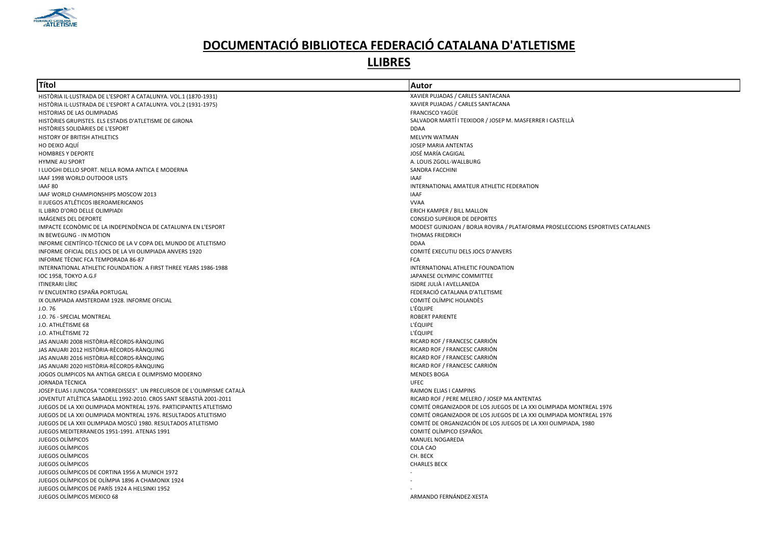

| Títol                                                                                             | <b>Autor</b>                                                                   |
|---------------------------------------------------------------------------------------------------|--------------------------------------------------------------------------------|
| HISTÒRIA IL·LUSTRADA DE L'ESPORT A CATALUNYA. VOL.1 (1870-1931)                                   | XAVIER PUJADAS / CARLES SANTACANA                                              |
| HISTÒRIA IL·LUSTRADA DE L'ESPORT A CATALUNYA. VOL.2 (1931-1975)                                   | XAVIER PUJADAS / CARLES SANTACANA                                              |
| HISTORIAS DE LAS OLIMPIADAS                                                                       | FRANCISCO YAGÜE                                                                |
| HISTÒRIES GRUPISTES. ELS ESTADIS D'ATLETISME DE GIRONA                                            | SALVADOR MARTÍ I TEIXIDOR / JOSEP M. MASFERRER I CASTELLÀ                      |
| HISTÒRIES SOLIDÀRIES DE L'ESPORT                                                                  | <b>DDAA</b>                                                                    |
| HISTORY OF BRITISH ATHLETICS                                                                      | MELVYN WATMAN                                                                  |
| HO DEIXO AQUÍ                                                                                     | JOSEP MARIA ANTENTAS                                                           |
| <b>HOMBRES Y DEPORTE</b>                                                                          | JOSÉ MARÍA CAGIGAL                                                             |
| <b>HYMNE AU SPORT</b>                                                                             | A. LOUIS ZGOLL-WALLBURG                                                        |
| I LUOGHI DELLO SPORT. NELLA ROMA ANTICA E MODERNA                                                 | SANDRA FACCHINI                                                                |
| IAAF 1998 WORLD OUTDOOR LISTS                                                                     | IAAF                                                                           |
| IAAF 80                                                                                           | INTERNATIONAL AMATEUR ATHLETIC FEDERATION                                      |
| IAAF WORLD CHAMPIONSHIPS MOSCOW 2013                                                              | <b>IAAF</b>                                                                    |
| II JUEGOS ATLÉTICOS IBEROAMERICANOS                                                               | <b>VVAA</b>                                                                    |
| IL LIBRO D'ORO DELLE OLIMPIADI                                                                    | <b>ERICH KAMPER / BILL MALLON</b>                                              |
| IMÁGENES DEL DEPORTE                                                                              | <b>CONSEJO SUPERIOR DE DEPORTES</b>                                            |
| IMPACTE ECONOMIC DE LA INDEPENDÈNCIA DE CATALUNYA EN L'ESPORT                                     | MODEST GUINJOAN / BORJA ROVIRA / PLATAFORMA PROSELECCIONS ESPORTIVES CATALANES |
| IN BEWEGUNG - IN MOTION                                                                           | <b>THOMAS FRIEDRICH</b>                                                        |
| INFORME CIENTÍFICO-TÉCNICO DE LA V COPA DEL MUNDO DE ATLETISMO                                    | <b>DDAA</b>                                                                    |
| INFORME OFICIAL DELS JOCS DE LA VII OLIMPIADA ANVERS 1920                                         | COMITÉ EXECUTIU DELS JOCS D'ANVERS                                             |
| INFORME TÈCNIC FCA TEMPORADA 86-87                                                                | <b>FCA</b>                                                                     |
| INTERNATIONAL ATHLETIC FOUNDATION. A FIRST THREE YEARS 1986-1988                                  | INTERNATIONAL ATHLETIC FOUNDATION                                              |
| IOC 1958, TOKYO A.G.F                                                                             | JAPANESE OLYMPIC COMMITTEE                                                     |
| ITINERARI LÍRIC                                                                                   | ISIDRE JULIÀ I AVELLANEDA                                                      |
| IV ENCUENTRO ESPAÑA PORTUGAL                                                                      | FEDERACIÓ CATALANA D'ATLETISME                                                 |
| IX OLIMPIADA AMSTERDAM 1928. INFORME OFICIAL                                                      | COMITÉ OLÍMPIC HOLANDÈS                                                        |
| J.O.76                                                                                            | L'ÉQUIPE                                                                       |
| J.O. 76 - SPECIAL MONTREAL                                                                        | <b>ROBERT PARIENTE</b>                                                         |
| J.O. ATHLÉTISME 68                                                                                | <b>L'ÉQUIPE</b>                                                                |
| J.O. ATHLÉTISME 72                                                                                | <b>L'ÉQUIPE</b>                                                                |
| JAS ANUARI 2008 HISTÒRIA-RÈCORDS-RÀNQUING                                                         | RICARD ROF / FRANCESC CARRIÓN                                                  |
| JAS ANUARI 2012 HISTÒRIA-RÈCORDS-RÀNQUING                                                         | RICARD ROF / FRANCESC CARRIÓN                                                  |
| JAS ANUARI 2016 HISTÒRIA-RÈCORDS-RÀNQUING                                                         |                                                                                |
|                                                                                                   | RICARD ROF / FRANCESC CARRIÓN                                                  |
| JAS ANUARI 2020 HISTÒRIA-RÈCORDS-RÀNQUING<br>JOGOS OLIMPICOS NA ANTIGA GRECIA E OLIMPISMO MODERNO | RICARD ROF / FRANCESC CARRIÓN<br><b>MENDES BOGA</b>                            |
| JORNADA TÈCNICA                                                                                   | <b>UFEC</b>                                                                    |
|                                                                                                   |                                                                                |
| JOSEP ELIAS I JUNCOSA "CORREDISSES". UN PRECURSOR DE L'OLIMPISME CATALÀ                           | RAIMON ELIAS I CAMPINS                                                         |
| JOVENTUT ATLÈTICA SABADELL 1992-2010. CROS SANT SEBASTIÀ 2001-2011                                | RICARD ROF / PERE MELERO / JOSEP MA ANTENTAS                                   |
| JUEGOS DE LA XXI OLIMPIADA MONTREAL 1976. PARTICIPANTES ATLETISMO                                 | COMITÉ ORGANIZADOR DE LOS JUEGOS DE LA XXI OLIMPIADA MONTREAL 1976             |
| JUEGOS DE LA XXI OLIMPIADA MONTREAL 1976. RESULTADOS ATLETISMO                                    | COMITÉ ORGANIZADOR DE LOS JUEGOS DE LA XXI OLIMPIADA MONTREAL 1976             |
| JUEGOS DE LA XXII OLIMPIADA MOSCÚ 1980. RESULTADOS ATLETISMO                                      | COMITÉ DE ORGANIZACIÓN DE LOS JUEGOS DE LA XXII OLIMPIADA, 1980                |
| JUEGOS MEDITERRANEOS 1951-1991. ATENAS 1991                                                       | COMITÉ OLÍMPICO ESPAÑOL                                                        |
| JUEGOS OLÍMPICOS                                                                                  | <b>MANUEL NOGAREDA</b>                                                         |
| JUEGOS OLÍMPICOS                                                                                  | COLA CAO                                                                       |
| JUEGOS OLÍMPICOS                                                                                  | CH. BECK                                                                       |
| JUEGOS OLÍMPICOS                                                                                  | <b>CHARLES BECK</b>                                                            |
| JUEGOS OLÍMPICOS DE CORTINA 1956 A MUNICH 1972                                                    |                                                                                |
| JUEGOS OLÍMPICOS DE OLÍMPIA 1896 A CHAMONIX 1924                                                  |                                                                                |
| JUEGOS OLÍMPICOS DE PARÍS 1924 A HELSINKI 1952                                                    |                                                                                |
| JUEGOS OLÍMPICOS MEXICO 68                                                                        | ARMANDO FERNÁNDEZ-XESTA                                                        |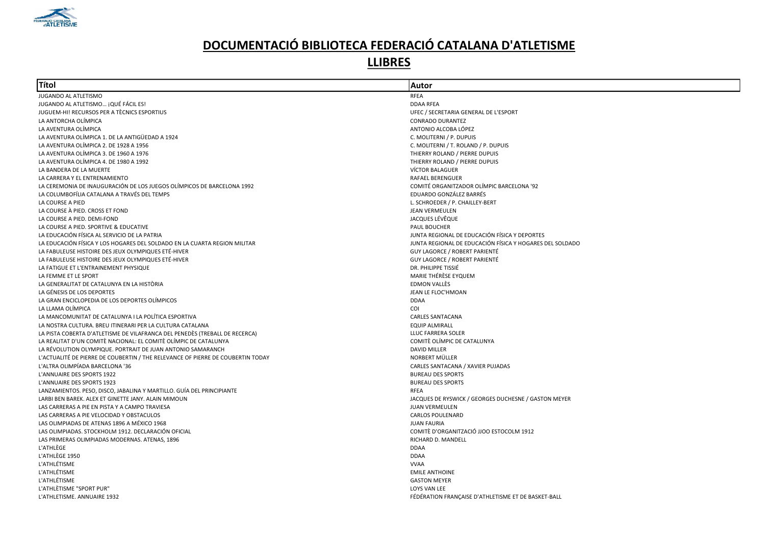

| Títol                                                                           | Autor                                                    |
|---------------------------------------------------------------------------------|----------------------------------------------------------|
| JUGANDO AL ATLETISMO                                                            | RFEA                                                     |
| JUGANDO AL ATLETISMO ¡QUÉ FÁCIL ES!                                             | <b>DDAA RFEA</b>                                         |
| JUGUEM-HI! RECURSOS PER A TÈCNICS ESPORTIUS                                     | UFEC / SECRETARIA GENERAL DE L'ESPORT                    |
| LA ANTORCHA OLÍMPICA                                                            | <b>CONRADO DURANTEZ</b>                                  |
| LA AVENTURA OLÍMPICA                                                            | ANTONIO ALCOBA LÓPEZ                                     |
| LA AVENTURA OLÍMPICA 1. DE LA ANTIGÜEDAD A 1924                                 | C. MOLITERNI / P. DUPUIS                                 |
| LA AVENTURA OLÍMPICA 2. DE 1928 A 1956                                          | C. MOLITERNI / T. ROLAND / P. DUPUIS                     |
| LA AVENTURA OLÍMPICA 3. DE 1960 A 1976                                          | THIERRY ROLAND / PIERRE DUPUIS                           |
| LA AVENTURA OLÍMPICA 4. DE 1980 A 1992                                          | THIERRY ROLAND / PIERRE DUPUIS                           |
| LA BANDERA DE LA MUERTE                                                         | VÍCTOR BALAGUER                                          |
| LA CARRERA Y EL ENTRENAMIENTO                                                   | <b>RAFAEL BERENGUER</b>                                  |
| LA CEREMONIA DE INAUGURACIÓN DE LOS JUEGOS OLÍMPICOS DE BARCELONA 1992          | COMITÉ ORGANITZADOR OLÍMPIC BARCELONA '92                |
| LA COLUMBOFÍLIA CATALANA A TRAVÉS DEL TEMPS                                     | EDUARDO GONZÁLEZ BARRÉS                                  |
| LA COURSE A PIED                                                                | L. SCHROEDER / P. CHAILLEY-BERT                          |
| LA COURSE À PIED. CROSS ET FOND                                                 | <b>JEAN VERMEULEN</b>                                    |
| LA COURSE A PIED. DEMI-FOND                                                     | JACQUES LÉVÊQUE                                          |
| LA COURSE A PIED. SPORTIVE & EDUCATIVE                                          | PAUL BOUCHER                                             |
| LA EDUCACIÓN FÍSICA AL SERVICIO DE LA PATRIA                                    | JUNTA REGIONAL DE EDUCACIÓN FÍSICA Y DEPORTES            |
| LA EDUCACIÓN FÍSICA Y LOS HOGARES DEL SOLDADO EN LA CUARTA REGION MILITAR       | JUNTA REGIONAL DE EDUCACIÓN FÍSICA Y HOGARES DEL SOLDADO |
| LA FABULEUSE HISTOIRE DES JEUX OLYMPIQUES ETÉ-HIVER                             | GUY LAGORCE / ROBERT PARIENTÉ                            |
| LA FABULEUSE HISTOIRE DES JEUX OLYMPIQUES ETÉ-HIVER                             | GUY LAGORCE / ROBERT PARIENTÉ                            |
| LA FATIGUE ET L'ENTRAINEMENT PHYSIQUE                                           | DR. PHILIPPE TISSIÉ                                      |
| LA FEMME ET LE SPORT                                                            | MARIE THÉRÈSE EYQUEM                                     |
| LA GENERALITAT DE CATALUNYA EN LA HISTÒRIA                                      | <b>EDMON VALLÈS</b>                                      |
| LA GÉNESIS DE LOS DEPORTES                                                      | JEAN LE FLOC'HMOAN                                       |
| LA GRAN ENCICLOPEDIA DE LOS DEPORTES OLÍMPICOS                                  | <b>DDAA</b>                                              |
| LA LLAMA OLÍMPICA                                                               | <b>COI</b>                                               |
| LA MANCOMUNITAT DE CATALUNYA I LA POLÍTICA ESPORTIVA                            | <b>CARLES SANTACANA</b>                                  |
| LA NOSTRA CULTURA. BREU ITINERARI PER LA CULTURA CATALANA                       | <b>EQUIP ALMIRALL</b>                                    |
| LA PISTA COBERTA D'ATLETISME DE VILAFRANCA DEL PENEDÈS (TREBALL DE RECERCA)     | LLUC FARRERA SOLER                                       |
| LA REALITAT D'UN COMITÈ NACIONAL: EL COMITÈ OLÍMPIC DE CATALUNYA                | COMITÈ OLÍMPIC DE CATALUNYA                              |
| LA RÉVOLUTION OLYMPIQUE. PORTRAIT DE JUAN ANTONIO SAMARANCH                     | <b>DAVID MILLER</b>                                      |
| L'ACTUALITÉ DE PIERRE DE COUBERTIN / THE RELEVANCE OF PIERRE DE COUBERTIN TODAY | NORBERT MÜLLER                                           |
| L'ALTRA OLIMPÍADA BARCELONA '36                                                 | CARLES SANTACANA / XAVIER PUJADAS                        |
| L'ANNUAIRE DES SPORTS 1922                                                      | <b>BUREAU DES SPORTS</b>                                 |
| L'ANNUAIRE DES SPORTS 1923                                                      | <b>BUREAU DES SPORTS</b>                                 |
| LANZAMIENTOS. PESO, DISCO, JABALINA Y MARTILLO. GUÍA DEL PRINCIPIANTE           | RFEA                                                     |
| LARBI BEN BAREK, ALEX ET GINETTE JANY, ALAIN MIMOUN                             | JACQUES DE RYSWICK / GEORGES DUCHESNE / GASTON MEYER     |
| LAS CARRERAS A PIE EN PISTA Y A CAMPO TRAVIESA                                  | <b>JUAN VERMEULEN</b>                                    |
| LAS CARRERAS A PIE VELOCIDAD Y OBSTACULOS                                       | <b>CARLOS POULENARD</b>                                  |
| LAS OLIMPIADAS DE ATENAS 1896 A MÉXICO 1968                                     | <b>JUAN FAURIA</b>                                       |
| LAS OLIMPIADAS. STOCKHOLM 1912. DECLARACIÓN OFICIAL                             | COMITÈ D'ORGANITZACIÓ JIOO ESTOCOLM 1912                 |
| LAS PRIMERAS OLIMPIADAS MODERNAS. ATENAS, 1896                                  | RICHARD D. MANDELL                                       |
| L'ATHLÈGE                                                                       | <b>DDAA</b>                                              |
| L'ATHLÈGE 1950                                                                  | <b>DDAA</b>                                              |
| L'ATHLÉTISME                                                                    | <b>VVAA</b>                                              |
| L'ATHLÉTISME                                                                    | <b>EMILE ANTHOINE</b>                                    |
| L'ATHLÉTISME                                                                    | <b>GASTON MEYER</b>                                      |
| L'ATHLÈTISME "SPORT PUR"                                                        | LOYS VAN LEE                                             |
| L'ATHLETISME. ANNUAIRE 1932                                                     | FÉDÉRATION FRANÇAISE D'ATHLETISME ET DE BASKET-BALL      |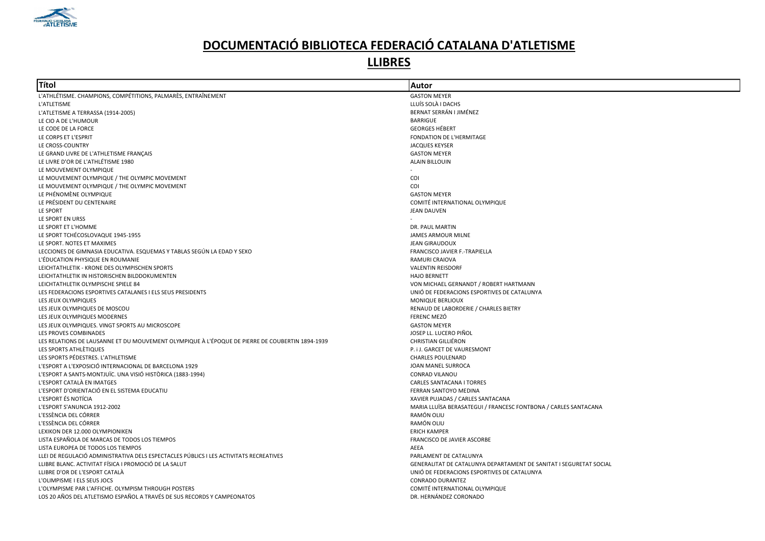

| Títol                                                                                           | Autor                                                              |
|-------------------------------------------------------------------------------------------------|--------------------------------------------------------------------|
| L'ATHLÉTISME. CHAMPIONS, COMPÉTITIONS, PALMARÈS, ENTRAÎNEMENT                                   | <b>GASTON MEYER</b>                                                |
| L'ATLETISME                                                                                     | LLUÍS SOLÀ I DACHS                                                 |
| L'ATLETISME A TERRASSA (1914-2005)                                                              | BERNAT SERRÁN I JIMÉNEZ                                            |
| LE CIO A DE L'HUMOUR                                                                            | <b>BARRIGUE</b>                                                    |
| LE CODE DE LA FORCE                                                                             | <b>GEORGES HÉBERT</b>                                              |
| LE CORPS ET L'ESPRIT                                                                            | FONDATION DE L'HERMITAGE                                           |
| LE CROSS-COUNTRY                                                                                | <b>JACQUES KEYSER</b>                                              |
| LE GRAND LIVRE DE L'ATHLETISME FRANÇAIS                                                         | <b>GASTON MEYER</b>                                                |
| LE LIVRE D'OR DE L'ATHLÉTISME 1980                                                              | <b>ALAIN BILLOUIN</b>                                              |
| LE MOUVEMENT OLYMPIQUE                                                                          |                                                                    |
| LE MOUVEMENT OLYMPIQUE / THE OLYMPIC MOVEMENT                                                   | COI                                                                |
| LE MOUVEMENT OLYMPIQUE / THE OLYMPIC MOVEMENT                                                   | COI                                                                |
| LE PHÉNOMÈNE OLYMPIQUE                                                                          | <b>GASTON MEYER</b>                                                |
| LE PRÉSIDENT DU CENTENAIRE                                                                      | COMITÉ INTERNATIONAL OLYMPIQUE                                     |
| LE SPORT                                                                                        | <b>JEAN DAUVEN</b>                                                 |
| LE SPORT EN URSS                                                                                |                                                                    |
| LE SPORT ET L'HOMME                                                                             | DR. PAUL MARTIN                                                    |
| LE SPORT TCHÉCOSLOVAQUE 1945-1955                                                               | <b>JAMES ARMOUR MILNE</b>                                          |
| LE SPORT. NOTES ET MAXIMES                                                                      | <b>JEAN GIRAUDOUX</b>                                              |
| LECCIONES DE GIMNASIA EDUCATIVA. ESQUEMAS Y TABLAS SEGÚN LA EDAD Y SEXO                         | FRANCISCO JAVIER F.-TRAPIELLA                                      |
| L'ÉDUCATION PHYSIQUE EN ROUMANIE                                                                | RAMURI CRAIOVA                                                     |
| LEICHTATHLETIK - KRONE DES OLYMPISCHEN SPORTS                                                   | <b>VALENTIN REISDORF</b>                                           |
| LEICHTATHLETIK IN HISTORISCHEN BILDDOKUMENTEN                                                   | <b>HAJO BERNETT</b>                                                |
| LEICHTATHLETIK OLYMPISCHE SPIELE 84                                                             | VON MICHAEL GERNANDT / ROBERT HARTMANN                             |
| LES FEDERACIONS ESPORTIVES CATALANES I ELS SEUS PRESIDENTS                                      | UNIÓ DE FEDERACIONS ESPORTIVES DE CATALUNYA                        |
| LES JEUX OLYMPIQUES                                                                             | <b>MONIQUE BERLIOUX</b>                                            |
| LES JEUX OLYMPIQUES DE MOSCOU                                                                   | RENAUD DE LABORDERIE / CHARLES BIETRY                              |
| LES JEUX OLYMPIQUES MODERNES                                                                    | FERENC MEZÓ                                                        |
| LES JEUX OLYMPIQUES. VINGT SPORTS AU MICROSCOPE                                                 | <b>GASTON MEYER</b>                                                |
| LES PROVES COMBINADES                                                                           | JOSEP LL. LUCERO PIÑOL                                             |
| LES RELATIONS DE LAUSANNE ET DU MOUVEMENT OLYMPIQUE À L'ÉPOQUE DE PIERRE DE COUBERTIN 1894-1939 | CHRISTIAN GILLIÉRON                                                |
| LES SPORTS ATHLÈTIQUES                                                                          | P. i J. GARCET DE VAURESMONT                                       |
| LES SPORTS PÉDESTRES. L'ATHLETISME                                                              | <b>CHARLES POULENARD</b>                                           |
| L'ESPORT A L'EXPOSICIÓ INTERNACIONAL DE BARCELONA 1929                                          | JOAN MANEL SURROCA                                                 |
| L'ESPORT A SANTS-MONTJUÏC. UNA VISIÓ HISTÒRICA (1883-1994)                                      | CONRAD VILANOU                                                     |
| L'ESPORT CATALÀ EN IMATGES                                                                      | <b>CARLES SANTACANA I TORRES</b>                                   |
| L'ESPORT D'ORIENTACIÓ EN EL SISTEMA EDUCATIU                                                    | FERRAN SANTOYO MEDINA                                              |
| L'ESPORT ÉS NOTÍCIA                                                                             | XAVIER PUJADAS / CARLES SANTACANA                                  |
| L'ESPORT S'ANUNCIA 1912-2002                                                                    | MARIA LLUÏSA BERASATEGUI / FRANCESC FONTBONA / CARLES SANTACANA    |
| L'ESSÈNCIA DEL CÓRRER                                                                           | RAMÓN OLIU                                                         |
| L'ESSÈNCIA DEL CÓRRER                                                                           | RAMÓN OLIU                                                         |
| LEXIKON DER 12.000 OLYMPIONIKEN                                                                 | <b>ERICH KAMPER</b>                                                |
| LISTA ESPAÑOLA DE MARCAS DE TODOS LOS TIEMPOS                                                   | FRANCISCO DE JAVIER ASCORBE                                        |
| LISTA EUROPEA DE TODOS LOS TIEMPOS                                                              | AEEA                                                               |
| LLEI DE REGULACIÓ ADMINISTRATIVA DELS ESPECTACLES PÚBLICS I LES ACTIVITATS RECREATIVES          | PARLAMENT DE CATALUNYA                                             |
| LLIBRE BLANC. ACTIVITAT FÍSICA I PROMOCIÓ DE LA SALUT                                           | GENERALITAT DE CATALUNYA DEPARTAMENT DE SANITAT I SEGURETAT SOCIAL |
| LLIBRE D'OR DE L'ESPORT CATALÀ                                                                  | UNIÓ DE FEDERACIONS ESPORTIVES DE CATALUNYA                        |
| L'OLIMPISME I ELS SEUS JOCS                                                                     | CONRADO DURANTEZ                                                   |
| L'OLYMPISME PAR L'AFFICHE. OLYMPISM THROUGH POSTERS                                             | COMITÉ INTERNATIONAL OLYMPIQUE                                     |
| LOS 20 AÑOS DEL ATLETISMO ESPAÑOL A TRAVÉS DE SUS RECORDS Y CAMPEONATOS                         | DR. HERNÁNDEZ CORONADO                                             |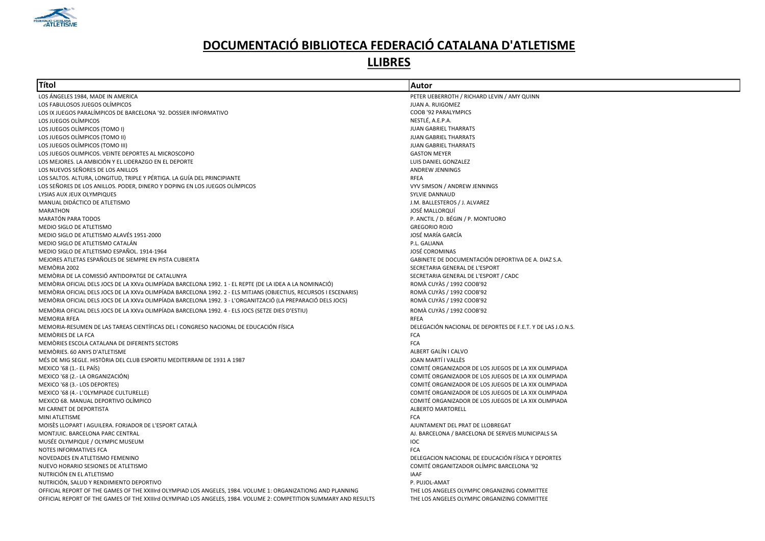

| Títol                                                                                                             | Autor                                                       |
|-------------------------------------------------------------------------------------------------------------------|-------------------------------------------------------------|
| LOS ÁNGELES 1984, MADE IN AMERICA                                                                                 | PETER UEBERROTH / RICHARD LEVIN / AMY QUINN                 |
| LOS FABULOSOS JUEGOS OLÍMPICOS                                                                                    | JUAN A. RUIGOMEZ                                            |
| LOS IX JUEGOS PARALÍMPICOS DE BARCELONA '92. DOSSIER INFORMATIVO                                                  | COOB '92 PARALYMPICS                                        |
| LOS JUEGOS OLÍMPICOS                                                                                              | NESTLÉ, A.E.P.A.                                            |
| LOS JUEGOS OLÍMPICOS (TOMO I)                                                                                     | JUAN GABRIEL THARRATS                                       |
| LOS JUEGOS OLÍMPICOS (TOMO II)                                                                                    | JUAN GABRIEL THARRATS                                       |
| LOS JUEGOS OLÍMPICOS (TOMO III)                                                                                   | JUAN GABRIEL THARRATS                                       |
| LOS JUEGOS OLIMPICOS. VEINTE DEPORTES AL MICROSCOPIO                                                              | <b>GASTON MEYER</b>                                         |
| LOS MEJORES. LA AMBICIÓN Y EL LIDERAZGO EN EL DEPORTE                                                             | LUIS DANIEL GONZALEZ                                        |
| LOS NUEVOS SEÑORES DE LOS ANILLOS                                                                                 | <b>ANDREW JENNINGS</b>                                      |
| LOS SALTOS. ALTURA, LONGITUD, TRIPLE Y PÉRTIGA. LA GUÍA DEL PRINCIPIANTE                                          | <b>RFEA</b>                                                 |
| LOS SEÑORES DE LOS ANILLOS. PODER, DINERO Y DOPING EN LOS JUEGOS OLÍMPICOS                                        | VYV SIMSON / ANDREW JENNINGS                                |
| LYSIAS AUX JEUX OLYMPIQUES                                                                                        | SYLVIE DANNAUD                                              |
| MANUAL DIDÁCTICO DE ATLETISMO                                                                                     | J.M. BALLESTEROS / J. ALVAREZ                               |
| <b>MARATHON</b>                                                                                                   | JOSÉ MALLORQUÍ                                              |
| MARATÓN PARA TODOS                                                                                                | P. ANCTIL / D. BÉGIN / P. MONTUORO                          |
| MEDIO SIGLO DE ATLETISMO                                                                                          | <b>GREGORIO ROJO</b>                                        |
| MEDIO SIGLO DE ATLETISMO ALAVÉS 1951-2000                                                                         | JOSÉ MARÍA GARCÍA                                           |
| MEDIO SIGLO DE ATLETISMO CATALÁN                                                                                  | P.L. GALIANA                                                |
| MEDIO SIGLO DE ATLETISMO ESPAÑOL. 1914-1964                                                                       | <b>JOSÉ COROMINAS</b>                                       |
| MEJORES ATLETAS ESPAÑOLES DE SIEMPRE EN PISTA CUBIERTA                                                            | GABINETE DE DOCUMENTACIÓN DEPORTIVA DE A. DIAZ S.A.         |
| MEMÒRIA 2002                                                                                                      | SECRETARIA GENERAL DE L'ESPORT                              |
| MEMÒRIA DE LA COMISSIÓ ANTIDOPATGE DE CATALUNYA                                                                   | SECRETARIA GENERAL DE L'ESPORT / CADC                       |
| MEMÒRIA OFICIAL DELS JOCS DE LA XXVa OLIMPÍADA BARCELONA 1992. 1 - EL REPTE (DE LA IDEA A LA NOMINACIÓ)           | ROMÀ CUYÀS / 1992 COOB'92                                   |
| MEMÒRIA OFICIAL DELS JOCS DE LA XXVa OLIMPÍADA BARCELONA 1992. 2 - ELS MITJANS (OBJECTIUS, RECURSOS I ESCENARIS)  | ROMÀ CUYÀS / 1992 COOB'92                                   |
| MEMÒRIA OFICIAL DELS JOCS DE LA XXVa OLIMPÍADA BARCELONA 1992. 3 - L'ORGANITZACIÓ (LA PREPARACIÓ DELS JOCS)       | ROMÀ CUYAS / 1992 COOB'92                                   |
| MEMÒRIA OFICIAL DELS JOCS DE LA XXVa OLIMPÍADA BARCELONA 1992. 4 - ELS JOCS (SETZE DIES D'ESTIU)                  | ROMÀ CUYÀS / 1992 COOB'92                                   |
| <b>MEMORIA RFEA</b>                                                                                               | RFEA                                                        |
| MEMORIA-RESUMEN DE LAS TAREAS CIENTÍFICAS DEL I CONGRESO NACIONAL DE EDUCACIÓN FÍSICA                             | DELEGACIÓN NACIONAL DE DEPORTES DE F.E.T. Y DE LAS J.O.N.S. |
| MEMORIES DE LA FCA                                                                                                | <b>FCA</b>                                                  |
| MEMORIES ESCOLA CATALANA DE DIFERENTS SECTORS                                                                     | <b>FCA</b>                                                  |
| MEMORIES, 60 ANYS D'ATLETISME                                                                                     | ALBERT GALÍN I CALVO                                        |
| MÉS DE MIG SEGLE. HISTÒRIA DEL CLUB ESPORTIU MEDITERRANI DE 1931 A 1987                                           | JOAN MARTÍ I VALLÈS                                         |
| MEXICO '68 (1.- EL PAÍS)                                                                                          | COMITÉ ORGANIZADOR DE LOS JUEGOS DE LA XIX OLIMPIADA        |
| MEXICO '68 (2 .- LA ORGANIZACIÓN)                                                                                 | COMITÉ ORGANIZADOR DE LOS JUEGOS DE LA XIX OLIMPIADA        |
| MEXICO '68 (3.- LOS DEPORTES)                                                                                     | COMITÉ ORGANIZADOR DE LOS JUEGOS DE LA XIX OLIMPIADA        |
| MEXICO '68 (4.- L'OLYMPIADE CULTURELLE)                                                                           | COMITÉ ORGANIZADOR DE LOS JUEGOS DE LA XIX OLIMPIADA        |
| MEXICO 68. MANUAL DEPORTIVO OLÍMPICO                                                                              | COMITÉ ORGANIZADOR DE LOS JUEGOS DE LA XIX OLIMPIADA        |
| MI CARNET DE DEPORTISTA                                                                                           | ALBERTO MARTORELL                                           |
| MINI ATLETISME                                                                                                    | <b>FCA</b>                                                  |
| MOISÈS LLOPART I AGUILERA. FORJADOR DE L'ESPORT CATALÀ                                                            | AJUNTAMENT DEL PRAT DE LLOBREGAT                            |
| MONTJUIC. BARCELONA PARC CENTRAL                                                                                  | AJ. BARCELONA / BARCELONA DE SERVEIS MUNICIPALS SA          |
| MUSÉE OLYMPIQUE / OLYMPIC MUSEUM                                                                                  | <b>IOC</b>                                                  |
| NOTES INFORMATIVES FCA                                                                                            | <b>FCA</b>                                                  |
| NOVEDADES EN ATLETISMO FEMENINO                                                                                   | DELEGACION NACIONAL DE EDUCACIÓN FÍSICA Y DEPORTES          |
| NUEVO HORARIO SESIONES DE ATLETISMO                                                                               | COMITÉ ORGANITZADOR OLÍMPIC BARCELONA '92                   |
| NUTRICIÓN EN EL ATLETISMO                                                                                         | <b>IAAF</b>                                                 |
| NUTRICIÓN, SALUD Y RENDIMIENTO DEPORTIVO                                                                          | P. PUJOL-AMAT                                               |
| OFFICIAL REPORT OF THE GAMES OF THE XXIIIrd OLYMPIAD LOS ANGELES, 1984. VOLUME 1: ORGANIZATIONG AND PLANNING      | THE LOS ANGELES OLYMPIC ORGANIZING COMMITTEE                |
| OFFICIAL REPORT OF THE GAMES OF THE XXIIIrd OLYMPIAD LOS ANGELES, 1984. VOLUME 2: COMPETITION SUMMARY AND RESULTS | THE LOS ANGELES OLYMPIC ORGANIZING COMMITTEE                |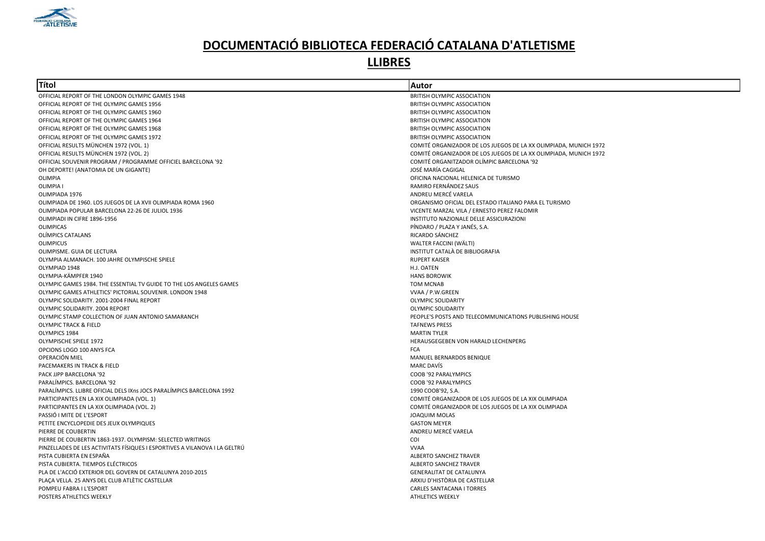

| <b>Títol</b>                                                                                           | Autor                                                            |
|--------------------------------------------------------------------------------------------------------|------------------------------------------------------------------|
| OFFICIAL REPORT OF THE LONDON OLYMPIC GAMES 1948                                                       | <b>BRITISH OLYMPIC ASSOCIATION</b>                               |
| OFFICIAL REPORT OF THE OLYMPIC GAMES 1956                                                              | <b>BRITISH OLYMPIC ASSOCIATION</b>                               |
| OFFICIAL REPORT OF THE OLYMPIC GAMES 1960                                                              | BRITISH OLYMPIC ASSOCIATION                                      |
| OFFICIAL REPORT OF THE OLYMPIC GAMES 1964                                                              | BRITISH OLYMPIC ASSOCIATION                                      |
| OFFICIAL REPORT OF THE OLYMPIC GAMES 1968                                                              | BRITISH OLYMPIC ASSOCIATION                                      |
| OFFICIAL REPORT OF THE OLYMPIC GAMES 1972                                                              | BRITISH OLYMPIC ASSOCIATION                                      |
| OFFICIAL RESULTS MÜNCHEN 1972 (VOL. 1)                                                                 | COMITÉ ORGANIZADOR DE LOS JUEGOS DE LA XX OLIMPIADA, MUNICH 1972 |
| OFFICIAL RESULTS MÜNCHEN 1972 (VOL. 2)                                                                 | COMITÉ ORGANIZADOR DE LOS JUEGOS DE LA XX OLIMPIADA, MUNICH 1972 |
| OFFICIAL SOUVENIR PROGRAM / PROGRAMME OFFICIEL BARCELONA '92                                           | COMITÉ ORGANITZADOR OLÍMPIC BARCELONA '92                        |
| OH DEPORTE! (ANATOMIA DE UN GIGANTE)                                                                   | JOSÉ MARÍA CAGIGAL                                               |
| OLIMPIA                                                                                                | OFICINA NACIONAL HELENICA DE TURISMO                             |
| <b>OLIMPIA</b>                                                                                         | RAMIRO FERNÁNDEZ SAUS                                            |
| OLIMPIADA 1976                                                                                         | ANDREU MERCÉ VARELA                                              |
| OLIMPIADA DE 1960. LOS JUEGOS DE LA XVII OLIMPIADA ROMA 1960                                           | ORGANISMO OFICIAL DEL ESTADO ITALIANO PARA EL TURISMO            |
| OLIMPIADA POPULAR BARCELONA 22-26 DE JULIOL 1936                                                       | VICENTE MARZAL VILA / ERNESTO PEREZ FALOMIR                      |
| OLIMPIADI IN CIFRE 1896-1956                                                                           | INSTITUTO NAZIONALE DELLE ASSICURAZIONI                          |
| <b>OLIMPICAS</b>                                                                                       | PÍNDARO / PLAZA Y JANÉS, S.A.                                    |
| OLÍMPICS CATALANS                                                                                      | RICARDO SÁNCHEZ                                                  |
| <b>OLIMPICUS</b>                                                                                       | WALTER FACCINI (WÄLTI)                                           |
| OLIMPISME. GUIA DE LECTURA                                                                             | INSTITUT CATALÀ DE BIBLIOGRAFIA                                  |
| OLYMPIA ALMANACH. 100 JAHRE OLYMPISCHE SPIELE                                                          | <b>RUPERT KAISER</b>                                             |
| OLYMPIAD 1948                                                                                          | H.J. OATEN                                                       |
| OLYMPIA-KÄMPFER 1940                                                                                   | <b>HANS BOROWIK</b>                                              |
| OLYMPIC GAMES 1984. THE ESSENTIAL TV GUIDE TO THE LOS ANGELES GAMES                                    | <b>TOM MCNAB</b>                                                 |
| OLYMPIC GAMES ATHLETICS' PICTORIAL SOUVENIR. LONDON 1948                                               | VVAA / P.W.GREEN                                                 |
| OLYMPIC SOLIDARITY. 2001-2004 FINAL REPORT                                                             | <b>OLYMPIC SOLIDARITY</b>                                        |
| OLYMPIC SOLIDARITY, 2004 REPORT                                                                        | <b>OLYMPIC SOLIDARITY</b>                                        |
| OLYMPIC STAMP COLLECTION OF JUAN ANTONIO SAMARANCH                                                     | PEOPLE'S POSTS AND TELECOMMUNICATIONS PUBLISHING HOUSE           |
| <b>OLYMPIC TRACK &amp; FIELD</b>                                                                       | <b>TAFNEWS PRESS</b>                                             |
| OLYMPICS 1984                                                                                          | <b>MARTIN TYLER</b>                                              |
| OLYMPISCHE SPIELE 1972                                                                                 | HERAUSGEGEBEN VON HARALD LECHENPERG                              |
| OPCIONS LOGO 100 ANYS FCA                                                                              | <b>FCA</b>                                                       |
| OPERACIÓN MIEL                                                                                         | MANUEL BERNARDOS BENIQUE                                         |
| PACEMAKERS IN TRACK & FIELD                                                                            | <b>MARC DAVÍS</b>                                                |
| PACK JJPP BARCELONA '92                                                                                | COOB '92 PARALYMPICS                                             |
| PARALÍMPICS. BARCELONA '92                                                                             | COOB '92 PARALYMPICS                                             |
| PARALÍMPICS. LLIBRE OFICIAL DELS IXns JOCS PARALÍMPICS BARCELONA 1992                                  | 1990 COOB'92, S.A.                                               |
| PARTICIPANTES EN LA XIX OLIMPIADA (VOL. 1)                                                             | COMITÉ ORGANIZADOR DE LOS JUEGOS DE LA XIX OLIMPIADA             |
| PARTICIPANTES EN LA XIX OLIMPIADA (VOL. 2)                                                             | COMITÉ ORGANIZADOR DE LOS JUEGOS DE LA XIX OLIMPIADA             |
| PASSIÓ I MITE DE L'ESPORT                                                                              | <b>JOAQUIM MOLAS</b>                                             |
| PETITE ENCYCLOPEDIE DES JEUX OLYMPIQUES                                                                | <b>GASTON MEYER</b>                                              |
| PIERRE DE COUBERTIN                                                                                    | ANDREU MERCÉ VARELA                                              |
| PIERRE DE COUBERTIN 1863-1937. OLYMPISM: SELECTED WRITINGS                                             | COI                                                              |
| PINZELLADES DE LES ACTIVITATS FÍSIQUES I ESPORTIVES A VILANOVA I LA GELTRÚ<br>PISTA CUBIERTA EN ESPAÑA | <b>VVAA</b>                                                      |
| PISTA CUBIERTA. TIEMPOS ELÉCTRICOS                                                                     | ALBERTO SANCHEZ TRAVER<br><b>ALBERTO SANCHEZ TRAVER</b>          |
| PLA DE L'ACCIÓ EXTERIOR DEL GOVERN DE CATALUNYA 2010-2015                                              | <b>GENERALITAT DE CATALUNYA</b>                                  |
| PLAÇA VELLA. 25 ANYS DEL CLUB ATLÈTIC CASTELLAR                                                        | ARXIU D'HISTÒRIA DE CASTELLAR                                    |
| POMPEU FABRA I L'ESPORT                                                                                | <b>CARLES SANTACANA I TORRES</b>                                 |
| POSTERS ATHLETICS WEEKLY                                                                               | <b>ATHLETICS WEEKLY</b>                                          |
|                                                                                                        |                                                                  |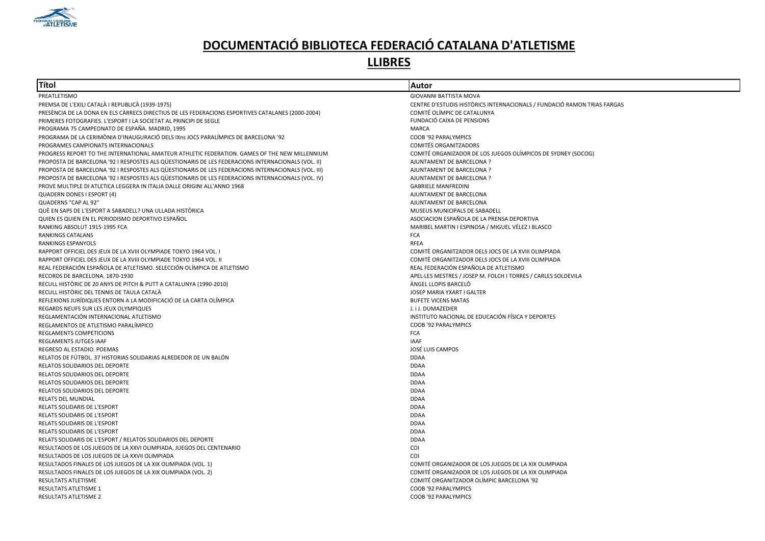

| Títol                                                                                               | Autor                                                                   |
|-----------------------------------------------------------------------------------------------------|-------------------------------------------------------------------------|
| PREATLETISMO                                                                                        | GIOVANNI BATTISTA MOVA                                                  |
| PREMSA DE L'EXILI CATALÀ I REPUBLICÀ (1939-1975)                                                    | CENTRE D'ESTUDIS HISTÒRICS INTERNACIONALS / FUNDACIÓ RAMON TRIAS FARGAS |
| PRESÈNCIA DE LA DONA EN ELS CÀRRECS DIRECTIUS DE LES FEDERACIONS ESPORTIVES CATALANES (2000-2004)   | COMITÉ OLÍMPIC DE CATALUNYA                                             |
| PRIMERES FOTOGRAFIES. L'ESPORT I LA SOCIETAT AL PRINCIPI DE SEGLE                                   | FUNDACIÓ CAIXA DE PENSIONS                                              |
| PROGRAMA 75 CAMPEONATO DE ESPAÑA. MADRID, 1995                                                      | MARCA                                                                   |
| PROGRAMA DE LA CERIMÒNIA D'INAUGURACIÓ DELS IXns JOCS PARALÍMPICS DE BARCELONA '92                  | COOB '92 PARALYMPICS                                                    |
| PROGRAMES CAMPIONATS INTERNACIONALS                                                                 | COMITÉS ORGANITZADORS                                                   |
| PROGRESS REPORT TO THE INTERNATIONAL AMATEUR ATHLETIC FEDERATION. GAMES OF THE NEW MILLENNIUM       | COMITÉ ORGANIZADOR DE LOS JUEGOS OLÍMPICOS DE SYDNEY (SOCOG)            |
| PROPOSTA DE BARCELONA '92 I RESPOSTES ALS QÜESTIONARIS DE LES FEDERACIONS INTERNACIONALS (VOL. II)  | AJUNTAMENT DE BARCELONA ?                                               |
| PROPOSTA DE BARCELONA '92 I RESPOSTES ALS QÜESTIONARIS DE LES FEDERACIONS INTERNACIONALS (VOL. III) | AJUNTAMENT DE BARCELONA ?                                               |
| PROPOSTA DE BARCELONA '92 I RESPOSTES ALS QUESTIONARIS DE LES FEDERACIONS INTERNACIONALS (VOL. IV)  | AJUNTAMENT DE BARCELONA ?                                               |
| PROVE MULTIPLE DI ATLETICA LEGGERA IN ITALIA DALLE ORIGINI ALL'ANNO 1968                            | <b>GABRIELE MANFREDINI</b>                                              |
| QUADERN DONES I ESPORT (4)                                                                          | AJUNTAMENT DE BARCELONA                                                 |
| QUADERNS "CAP AL 92"                                                                                | AJUNTAMENT DE BARCELONA                                                 |
| QUÈ EN SAPS DE L'ESPORT A SABADELL? UNA ULLADA HISTÒRICA                                            | MUSEUS MUNICIPALS DE SABADELL                                           |
| QUIEN ES QUIEN EN EL PERIODISMO DEPORTIVO ESPAÑOL                                                   | ASOCIACION ESPAÑOLA DE LA PRENSA DEPORTIVA                              |
| RANKING ABSOLUT 1915-1995 FCA                                                                       | MARIBEL MARTIN I ESPINOSA / MIGUEL VÉLEZ I BLASCO                       |
| RANKINGS CATALANS                                                                                   | FCA                                                                     |
| RANKINGS ESPANYOLS                                                                                  | <b>RFEA</b>                                                             |
| RAPPORT OFFICIEL DES JEUX DE LA XVIII OLYMPIADE TOKYO 1964 VOL. I                                   | COMITÈ ORGANITZADOR DELS JOCS DE LA XVIII OLIMPIADA                     |
| RAPPORT OFFICIEL DES JEUX DE LA XVIII OLYMPIADE TOKYO 1964 VOL. II                                  | COMITÈ ORGANITZADOR DELS JOCS DE LA XVIII OLIMPIADA                     |
| REAL FEDERACIÓN ESPAÑOLA DE ATLETISMO. SELECCIÓN OLÍMPICA DE ATLETISMO                              | REAL FEDERACIÓN ESPAÑOLA DE ATLETISMO                                   |
| RECORDS DE BARCELONA. 1870-1930                                                                     | APEL·LES MESTRES / JOSEP M. FOLCH I TORRES / CARLES SOLDEVILA           |
| RECULL HISTÒRIC DE 20 ANYS DE PITCH & PUTT A CATALUNYA (1990-2010)                                  | ÀNGEL LLOPIS BARCELO                                                    |
| RECULL HISTORIC DEL TENNIS DE TAULA CATALÀ                                                          | JOSEP MARIA YXART I GALTER                                              |
| REFLEXIONS JURÍDIQUES ENTORN A LA MODIFICACIÓ DE LA CARTA OLÍMPICA                                  | <b>BUFETE VICENS MATAS</b>                                              |
| REGARDS NEUFS SUR LES JEUX OLYMPIQUES                                                               | J. i J. DUMAZEDIER                                                      |
| REGLAMENTACIÓN INTERNACIONAL ATLETISMO                                                              | INSTITUTO NACIONAL DE EDUCACIÓN FÍSICA Y DEPORTES                       |
| REGLAMENTOS DE ATLETISMO PARALÍMPICO                                                                | COOB '92 PARALYMPICS                                                    |
| REGLAMENTS COMPETICIONS                                                                             | <b>FCA</b>                                                              |
| REGLAMENTS JUTGES IAAF                                                                              | <b>IAAF</b>                                                             |
| REGRESO AL ESTADIO. POEMAS                                                                          | JOSÉ LUIS CAMPOS                                                        |
| RELATOS DE FÚTBOL. 37 HISTORIAS SOLIDARIAS ALREDEDOR DE UN BALÓN                                    | <b>DDAA</b>                                                             |
| RELATOS SOLIDARIOS DEL DEPORTE                                                                      | <b>DDAA</b>                                                             |
| RELATOS SOLIDARIOS DEL DEPORTE                                                                      | <b>DDAA</b>                                                             |
| RELATOS SOLIDARIOS DEL DEPORTE                                                                      | <b>DDAA</b>                                                             |
| RELATOS SOLIDARIOS DEL DEPORTE                                                                      | <b>DDAA</b>                                                             |
| RELATS DEL MUNDIAL                                                                                  | <b>DDAA</b>                                                             |
| <b>RELATS SOLIDARIS DE L'ESPORT</b>                                                                 | <b>DDAA</b>                                                             |
| RELATS SOLIDARIS DE L'ESPORT                                                                        | <b>DDAA</b>                                                             |
| RELATS SOLIDARIS DE L'ESPORT                                                                        | <b>DDAA</b>                                                             |
| <b>RELATS SOLIDARIS DE L'ESPORT</b>                                                                 | <b>DDAA</b>                                                             |
| RELATS SOLIDARIS DE L'ESPORT / RELATOS SOLIDARIOS DEL DEPORTE                                       | <b>DDAA</b>                                                             |
| RESULTADOS DE LOS JUEGOS DE LA XXVI OLIMPIADA, JUEGOS DEL CENTENARIO                                | COI                                                                     |
| RESULTADOS DE LOS JUEGOS DE LA XXVII OLIMPIADA                                                      | COI                                                                     |
| RESULTADOS FINALES DE LOS JUEGOS DE LA XIX OLIMPIADA (VOL. 1)                                       | COMITÉ ORGANIZADOR DE LOS JUEGOS DE LA XIX OLIMPIADA                    |
|                                                                                                     |                                                                         |
| RESULTADOS FINALES DE LOS JUEGOS DE LA XIX OLIMPIADA (VOL. 2)                                       | COMITÉ ORGANIZADOR DE LOS JUEGOS DE LA XIX OLIMPIADA                    |
| RESULTATS ATLETISME                                                                                 | COMITÉ ORGANITZADOR OLÍMPIC BARCELONA '92                               |
| <b>RESULTATS ATLETISME 1</b>                                                                        | COOB '92 PARALYMPICS                                                    |
| <b>RESULTATS ATLETISME 2</b>                                                                        | COOB '92 PARALYMPICS                                                    |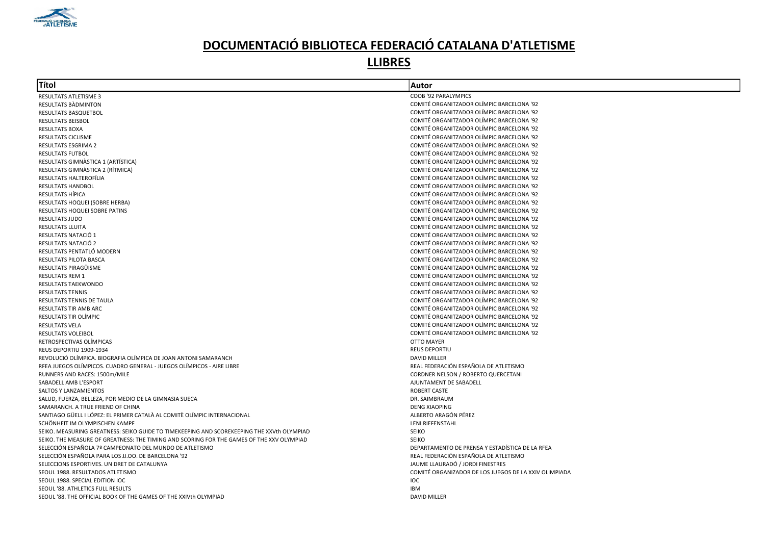

| Títol                                                                                      | Autor                                                 |
|--------------------------------------------------------------------------------------------|-------------------------------------------------------|
| <b>RESULTATS ATLETISME 3</b>                                                               | COOB '92 PARALYMPICS                                  |
| RESULTATS BADMINTON                                                                        | COMITÉ ORGANITZADOR OLÍMPIC BARCELONA '92             |
| RESULTATS BASQUETBOL                                                                       | COMITÉ ORGANITZADOR OLÍMPIC BARCELONA '92             |
| <b>RESULTATS BEISBOL</b>                                                                   | COMITÉ ORGANITZADOR OLÍMPIC BARCELONA '92             |
| <b>RESULTATS BOXA</b>                                                                      | COMITÉ ORGANITZADOR OLÍMPIC BARCELONA '92             |
| <b>RESULTATS CICLISME</b>                                                                  | COMITÉ ORGANITZADOR OLÍMPIC BARCELONA '92             |
| RESULTATS ESGRIMA 2                                                                        | COMITÉ ORGANITZADOR OLÍMPIC BARCELONA '92             |
| <b>RESULTATS FUTBOL</b>                                                                    | COMITÉ ORGANITZADOR OLÍMPIC BARCELONA '92             |
| RESULTATS GIMNASTICA 1 (ARTÍSTICA)                                                         | COMITÉ ORGANITZADOR OLÍMPIC BARCELONA '92             |
| RESULTATS GIMNASTICA 2 (RÍTMICA)                                                           | COMITÉ ORGANITZADOR OLÍMPIC BARCELONA '92             |
| RESULTATS HALTEROFÍLIA                                                                     | COMITÉ ORGANITZADOR OLÍMPIC BARCELONA '92             |
| <b>RESULTATS HANDBOL</b>                                                                   | COMITÉ ORGANITZADOR OLÍMPIC BARCELONA '92             |
| RESULTATS HÍPICA                                                                           | COMITÉ ORGANITZADOR OLÍMPIC BARCELONA '92             |
| RESULTATS HOQUEI (SOBRE HERBA)                                                             | COMITÉ ORGANITZADOR OLÍMPIC BARCELONA '92             |
| RESULTATS HOQUEI SOBRE PATINS                                                              | COMITÉ ORGANITZADOR OLÍMPIC BARCELONA '92             |
| <b>RESULTATS JUDO</b>                                                                      | COMITÉ ORGANITZADOR OLÍMPIC BARCELONA '92             |
| <b>RESULTATS LLUITA</b>                                                                    | COMITÉ ORGANITZADOR OLÍMPIC BARCELONA '92             |
| RESULTATS NATACIÓ 1                                                                        | COMITÉ ORGANITZADOR OLÍMPIC BARCELONA '92             |
| RESULTATS NATACIÓ 2                                                                        | COMITÉ ORGANITZADOR OLÍMPIC BARCELONA '92             |
| RESULTATS PENTATLÓ MODERN                                                                  | COMITÉ ORGANITZADOR OLÍMPIC BARCELONA '92             |
| <b>RESULTATS PILOTA BASCA</b>                                                              | COMITÉ ORGANITZADOR OLÍMPIC BARCELONA '92             |
| RESULTATS PIRAGÜISME                                                                       | COMITÉ ORGANITZADOR OLÍMPIC BARCELONA '92             |
| <b>RESULTATS REM 1</b>                                                                     | COMITÉ ORGANITZADOR OLÍMPIC BARCELONA '92             |
| RESULTATS TAEKWONDO                                                                        | COMITÉ ORGANITZADOR OLÍMPIC BARCELONA '92             |
| <b>RESULTATS TENNIS</b>                                                                    | COMITÉ ORGANITZADOR OLÍMPIC BARCELONA '92             |
| <b>RESULTATS TENNIS DE TAULA</b>                                                           | COMITÉ ORGANITZADOR OLÍMPIC BARCELONA '92             |
| <b>RESULTATS TIR AMB ARC</b>                                                               | COMITÉ ORGANITZADOR OLÍMPIC BARCELONA '92             |
| RESULTATS TIR OLÍMPIC                                                                      | COMITÉ ORGANITZADOR OLÍMPIC BARCELONA '92             |
| <b>RESULTATS VELA</b>                                                                      | COMITÉ ORGANITZADOR OLÍMPIC BARCELONA '92             |
| <b>RESULTATS VOLEIBOL</b>                                                                  | COMITÉ ORGANITZADOR OLÍMPIC BARCELONA '92             |
| RETROSPECTIVAS OLÍMPICAS                                                                   | <b>OTTO MAYER</b>                                     |
| REUS DEPORTIU 1909-1934                                                                    | <b>REUS DEPORTIU</b>                                  |
| REVOLUCIÓ OLÍMPICA. BIOGRAFIA OLÍMPICA DE JOAN ANTONI SAMARANCH                            | <b>DAVID MILLER</b>                                   |
| RFEA JUEGOS OLÍMPICOS. CUADRO GENERAL - JUEGOS OLÍMPICOS - AIRE LIBRE                      | REAL FEDERACIÓN ESPAÑOLA DE ATLETISMO                 |
| RUNNERS AND RACES: 1500m/MILE                                                              | CORDNER NELSON / ROBERTO QUERCETANI                   |
| SABADELL AMB L'ESPORT                                                                      | AJUNTAMENT DE SABADELL                                |
| SALTOS Y LANZAMIENTOS                                                                      | <b>ROBERT CASTE</b>                                   |
| SALUD, FUERZA, BELLEZA, POR MEDIO DE LA GIMNASIA SUECA                                     | DR. SAIMBRAUM                                         |
| SAMARANCH. A TRUE FRIEND OF CHINA                                                          | <b>DENG XIAOPING</b>                                  |
| SANTIAGO GÜELL I LÓPEZ: EL PRIMER CATALÀ AL COMITÈ OLÍMPIC INTERNACIONAL                   | ALBERTO ARAGÓN PÉREZ                                  |
| SCHÖNHEIT IM OLYMPISCHEN KAMPF                                                             | LENI RIEFENSTAHL                                      |
| SEIKO. MEASURING GREATNESS: SEIKO GUIDE TO TIMEKEEPING AND SCOREKEEPING THE XXVth OLYMPIAD | <b>SEIKO</b>                                          |
| SEIKO. THE MEASURE OF GREATNESS: THE TIMING AND SCORING FOR THE GAMES OF THE XXV OLYMPIAD  | <b>SEIKO</b>                                          |
| SELECCIÓN ESPAÑOLA 7º CAMPEONATO DEL MUNDO DE ATLETISMO                                    | DEPARTAMENTO DE PRENSA Y ESTADÍSTICA DE LA RFEA       |
| SELECCIÓN ESPAÑOLA PARA LOS JJ.OO. DE BARCELONA '92                                        | REAL FEDERACIÓN ESPAÑOLA DE ATLETISMO                 |
| SELECCIONS ESPORTIVES. UN DRET DE CATALUNYA                                                | JAUME LLAURADÓ / JORDI FINESTRES                      |
| SEOUL 1988. RESULTADOS ATLETISMO                                                           | COMITÉ ORGANIZADOR DE LOS JUEGOS DE LA XXIV OLIMPIADA |
| SEOUL 1988. SPECIAL EDITION IOC                                                            | IOC                                                   |
| SEOUL '88. ATHLETICS FULL RESULTS                                                          | <b>IBM</b>                                            |
| SEOUL '88. THE OFFICIAL BOOK OF THE GAMES OF THE XXIVth OLYMPIAD                           | <b>DAVID MILLER</b>                                   |
|                                                                                            |                                                       |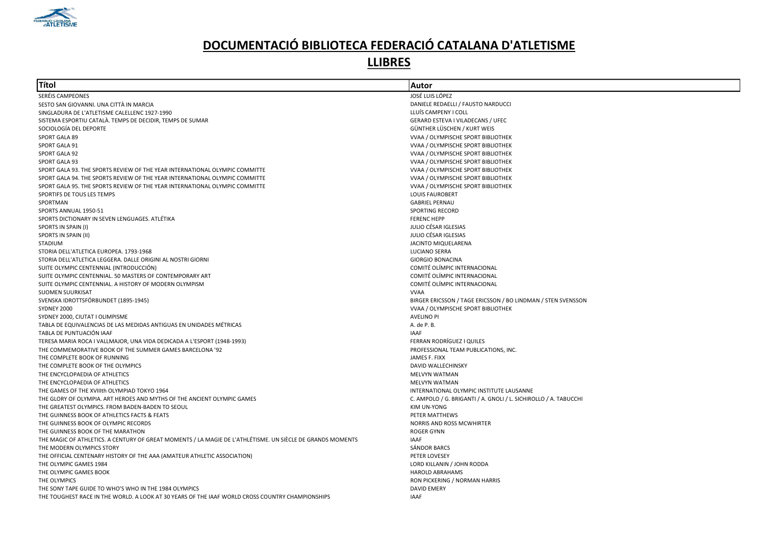

| lTítol                                                                                                     | Autor                                                            |
|------------------------------------------------------------------------------------------------------------|------------------------------------------------------------------|
| SERÉIS CAMPEONES                                                                                           | JOSÉ LUIS LÓPEZ                                                  |
| SESTO SAN GIOVANNI. UNA CITTÀ IN MARCIA                                                                    | DANIELE REDAELLI / FAUSTO NARDUCCI                               |
| SINGLADURA DE L'ATLETISME CALELLENC 1927-1990                                                              | LLUÍS CAMPENY I COLL                                             |
| SISTEMA ESPORTIU CATALÀ. TEMPS DE DECIDIR, TEMPS DE SUMAR                                                  | GERARD ESTEVA I VILADECANS / UFEC                                |
| SOCIOLOGÍA DEL DEPORTE                                                                                     | GÜNTHER LÜSCHEN / KURT WEIS                                      |
| SPORT GALA 89                                                                                              | VVAA / OLYMPISCHE SPORT BIBLIOTHEK                               |
| SPORT GALA 91                                                                                              | VVAA / OLYMPISCHE SPORT BIBLIOTHEK                               |
| SPORT GALA 92                                                                                              | VVAA / OLYMPISCHE SPORT BIBLIOTHEK                               |
| SPORT GALA 93                                                                                              | VVAA / OLYMPISCHE SPORT BIBLIOTHEK                               |
| SPORT GALA 93. THE SPORTS REVIEW OF THE YEAR INTERNATIONAL OLYMPIC COMMITTE                                | VVAA / OLYMPISCHE SPORT BIBLIOTHEK                               |
| SPORT GALA 94. THE SPORTS REVIEW OF THE YEAR INTERNATIONAL OLYMPIC COMMITTE                                | VVAA / OLYMPISCHE SPORT BIBLIOTHEK                               |
| SPORT GALA 95. THE SPORTS REVIEW OF THE YEAR INTERNATIONAL OLYMPIC COMMITTE                                | VVAA / OLYMPISCHE SPORT BIBLIOTHEK                               |
| SPORTIFS DE TOUS LES TEMPS                                                                                 | <b>LOUIS FAUROBERT</b>                                           |
| SPORTMAN                                                                                                   | <b>GABRIEL PERNAU</b>                                            |
| SPORTS ANNUAL 1950-51                                                                                      | <b>SPORTING RECORD</b>                                           |
| SPORTS DICTIONARY IN SEVEN LENGUAGES. ATLÉTIKA                                                             | <b>FERENC HEPP</b>                                               |
| SPORTS IN SPAIN (I)                                                                                        | JULIO CÉSAR IGLESIAS                                             |
| SPORTS IN SPAIN (II)                                                                                       | JULIO CÉSAR IGLESIAS                                             |
| <b>STADIUM</b>                                                                                             | JACINTO MIQUELARENA                                              |
| STORIA DELL'ATLETICA EUROPEA. 1793-1968                                                                    | <b>LUCIANO SERRA</b>                                             |
| STORIA DELL'ATLETICA LEGGERA. DALLE ORIGINI AL NOSTRI GIORNI                                               | <b>GIORGIO BONACINA</b>                                          |
| SUITE OLYMPIC CENTENNIAL (INTRODUCCIÓN)                                                                    | COMITÉ OLÍMPIC INTERNACIONAL                                     |
| SUITE OLYMPIC CENTENNIAL. 50 MASTERS OF CONTEMPORARY ART                                                   | COMITÉ OLÍMPIC INTERNACIONAL                                     |
| SUITE OLYMPIC CENTENNIAL. A HISTORY OF MODERN OLYMPISM                                                     | COMITÉ OLÍMPIC INTERNACIONAL                                     |
| <b>SUOMEN SUURKISAT</b>                                                                                    | <b>VVAA</b>                                                      |
| SVENSKA IDROTTSFÖRBUNDET (1895-1945)                                                                       | BIRGER ERICSSON / TAGE ERICSSON / BO LINDMAN / STEN SVENSSON     |
| SYDNEY 2000                                                                                                | VVAA / OLYMPISCHE SPORT BIBLIOTHEK                               |
| SYDNEY 2000, CIUTAT I OLIMPISME                                                                            | <b>AVELINO PI</b>                                                |
| TABLA DE EQUIVALENCIAS DE LAS MEDIDAS ANTIGUAS EN UNIDADES MÉTRICAS                                        | A. de P. B.                                                      |
| TABLA DE PUNTUACIÓN IAAF                                                                                   | <b>IAAF</b>                                                      |
| TERESA MARIA ROCA I VALLMAJOR, UNA VIDA DEDICADA A L'ESPORT (1948-1993)                                    | <b>FERRAN RODRÍGUEZ I QUILES</b>                                 |
| THE COMMEMORATIVE BOOK OF THE SUMMER GAMES BARCELONA '92                                                   | PROFESSIONAL TEAM PUBLICATIONS, INC.                             |
| THE COMPLETE BOOK OF RUNNING                                                                               | JAMES F. FIXX                                                    |
| THE COMPLETE BOOK OF THE OLYMPICS                                                                          | DAVID WALLECHINSKY                                               |
| THE ENCYCLOPAEDIA OF ATHLETICS                                                                             | MELVYN WATMAN                                                    |
| THE ENCYCLOPAEDIA OF ATHLETICS                                                                             | <b>MELVYN WATMAN</b>                                             |
| THE GAMES OF THE XVIIIth OLYMPIAD TOKYO 1964                                                               | INTERNATIONAL OLYMPIC INSTITUTE LAUSANNE                         |
| THE GLORY OF OLYMPIA. ART HEROES AND MYTHS OF THE ANCIENT OLYMPIC GAMES                                    | C. AMPOLO / G. BRIGANTI / A. GNOLI / L. SICHIROLLO / A. TABUCCHI |
| THE GREATEST OLYMPICS. FROM BADEN-BADEN TO SEOUL                                                           | KIM UN-YONG                                                      |
| THE GUINNESS BOOK OF ATHLETICS FACTS & FEATS                                                               | PETER MATTHEWS                                                   |
| THE GUINNESS BOOK OF OLYMPIC RECORDS                                                                       | <b>NORRIS AND ROSS MCWHIRTER</b>                                 |
| THE GUINNESS BOOK OF THE MARATHON                                                                          | <b>ROGER GYNN</b>                                                |
| THE MAGIC OF ATHLETICS. A CENTURY OF GREAT MOMENTS / LA MAGIE DE L'ATHLÉTISME. UN SIÈCLE DE GRANDS MOMENTS | IAAF                                                             |
| THE MODERN OLYMPICS STORY                                                                                  | <b>SÁNDOR BARCS</b>                                              |
| THE OFFICIAL CENTENARY HISTORY OF THE AAA (AMATEUR ATHLETIC ASSOCIATION)                                   | PETER LOVESEY                                                    |
| THE OLYMPIC GAMES 1984                                                                                     | LORD KILLANIN / JOHN RODDA                                       |
| THE OLYMPIC GAMES BOOK                                                                                     | <b>HAROLD ABRAHAMS</b>                                           |
| THE OLYMPICS                                                                                               | RON PICKERING / NORMAN HARRIS                                    |
| THE SONY TAPE GUIDE TO WHO'S WHO IN THE 1984 OLYMPICS                                                      | DAVID EMERY                                                      |
| THE TOUGHEST RACE IN THE WORLD. A LOOK AT 30 YEARS OF THE IAAF WORLD CROSS COUNTRY CHAMPIONSHIPS           | <b>IAAF</b>                                                      |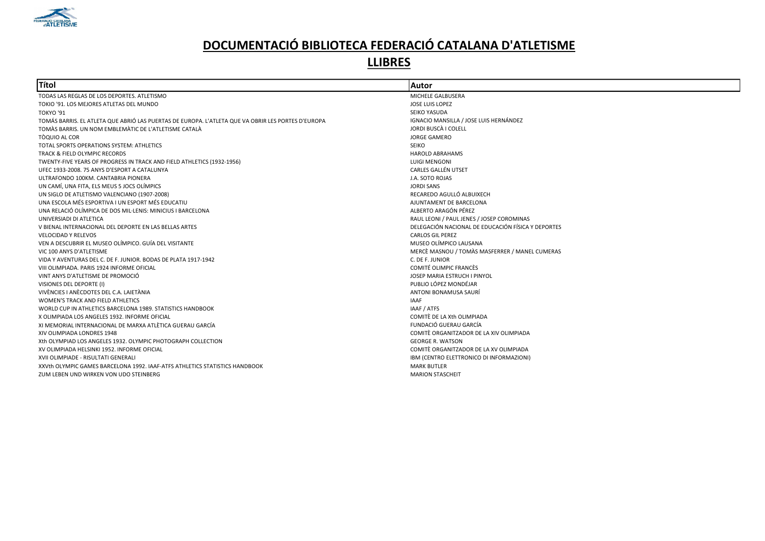

| Títol                                                                                              | Autor                                              |
|----------------------------------------------------------------------------------------------------|----------------------------------------------------|
| TODAS LAS REGLAS DE LOS DEPORTES. ATLETISMO                                                        | MICHELE GALBUSERA                                  |
| TOKIO '91. LOS MEJORES ATLETAS DEL MUNDO                                                           | JOSE LUIS LOPEZ                                    |
| <b>TOKYO '91</b>                                                                                   | SEIKO YASUDA                                       |
| TOMÁS BARRIS. EL ATLETA QUE ABRIÓ LAS PUERTAS DE EUROPA. L'ATLETA QUE VA OBRIR LES PORTES D'EUROPA | IGNACIO MANSILLA / JOSE LUIS HERNÁNDEZ             |
| TOMÀS BARRIS. UN NOM EMBLEMÀTIC DE L'ATLETISME CATALÀ                                              | JORDI BUSCÀ I COLELL                               |
| TÒQUIO AL COR                                                                                      | <b>JORGE GAMERO</b>                                |
| TOTAL SPORTS OPERATIONS SYSTEM: ATHLETICS                                                          | <b>SEIKO</b>                                       |
| TRACK & FIELD OLYMPIC RECORDS                                                                      | <b>HAROLD ABRAHAMS</b>                             |
| TWENTY-FIVE YEARS OF PROGRESS IN TRACK AND FIELD ATHLETICS (1932-1956)                             | <b>LUIGI MENGONI</b>                               |
| UFEC 1933-2008, 75 ANYS D'ESPORT A CATALUNYA                                                       | CARLES GALLÉN UTSET                                |
| ULTRAFONDO 100KM, CANTABRIA PIONERA                                                                | J.A. SOTO ROJAS                                    |
| UN CAMÍ, UNA FITA, ELS MEUS 5 JOCS OLÍMPICS                                                        | <b>JORDI SANS</b>                                  |
| UN SIGLO DE ATLETISMO VALENCIANO (1907-2008)                                                       | RECAREDO AGULLÓ ALBUIXECH                          |
| UNA ESCOLA MÉS ESPORTIVA I UN ESPORT MÉS EDUCATIU                                                  | AJUNTAMENT DE BARCELONA                            |
| UNA RELACIÓ OLÍMPICA DE DOS MIL·LENIS: MINICIUS I BARCELONA                                        | ALBERTO ARAGÓN PÉREZ                               |
| UNIVERSIADI DI ATLETICA                                                                            | RAUL LEONI / PAUL JENES / JOSEP COROMINAS          |
| V BIENAL INTERNACIONAL DEL DEPORTE EN LAS BELLAS ARTES                                             | DELEGACIÓN NACIONAL DE EDUCACIÓN FÍSICA Y DEPORTES |
| <b>VELOCIDAD Y RELEVOS</b>                                                                         | <b>CARLOS GIL PEREZ</b>                            |
| VEN A DESCUBRIR EL MUSEO OLÍMPICO. GUÍA DEL VISITANTE                                              | MUSEO OLÍMPICO LAUSANA                             |
| VIC 100 ANYS D'ATLETISME                                                                           | MERCÈ MASNOU / TOMÀS MASFERRER / MANEL CUMERAS     |
| VIDA Y AVENTURAS DEL C. DE F. JUNIOR. BODAS DE PLATA 1917-1942                                     | C. DE F. JUNIOR                                    |
| VIII OLIMPIADA. PARIS 1924 INFORME OFICIAL                                                         | <b>COMITÉ OLIMPIC FRANCÈS</b>                      |
| VINT ANYS D'ATLETISME DE PROMOCIÓ                                                                  | JOSEP MARIA ESTRUCH I PINYOL                       |
| VISIONES DEL DEPORTE (I)                                                                           | PUBLIO LÓPEZ MONDÉJAR                              |
| VIVÈNCIES I ANÈCDOTES DEL C.A. LAIETÀNIA                                                           | ANTONI BONAMUSA SAURÍ                              |
| WOMEN'S TRACK AND FIELD ATHLETICS                                                                  | <b>IAAF</b>                                        |
| WORLD CUP IN ATHLETICS BARCELONA 1989. STATISTICS HANDBOOK                                         | IAAF / ATFS                                        |
| X OLIMPIADA LOS ANGELES 1932. INFORME OFICIAL                                                      | COMITÈ DE LA Xth OLIMPIADA                         |
| XI MEMORIAL INTERNACIONAL DE MARXA ATLÈTICA GUERAU GARCÍA                                          | FUNDACIÓ GUERAU GARCÍA                             |
| XIV OLIMPIADA LONDRES 1948                                                                         | COMITÈ ORGANITZADOR DE LA XIV OLIMPIADA            |
| Xth OLYMPIAD LOS ANGELES 1932, OLYMPIC PHOTOGRAPH COLLECTION                                       | <b>GEORGE R. WATSON</b>                            |
| XV OLIMPIADA HELSINKI 1952. INFORME OFICIAL                                                        | COMITÈ ORGANITZADOR DE LA XV OLIMPIADA             |
| XVII OLIMPIADE - RISULTATI GENERALI                                                                | IBM (CENTRO ELETTRONICO DI INFORMAZIONI)           |
| XXVth OLYMPIC GAMES BARCELONA 1992. IAAF-ATFS ATHLETICS STATISTICS HANDBOOK                        | <b>MARK BUTLER</b>                                 |
| ZUM LEBEN UND WIRKEN VON UDO STEINBERG                                                             | <b>MARION STASCHEIT</b>                            |
|                                                                                                    |                                                    |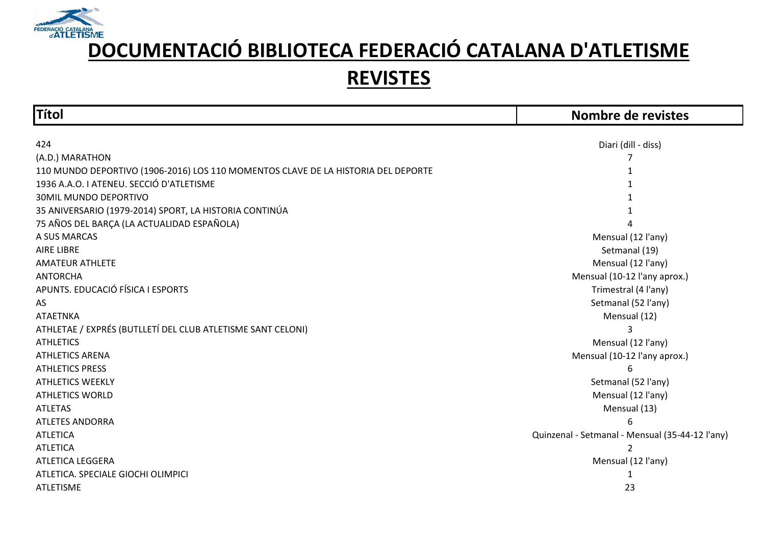

| <b>Títol</b>                                                                      | Nombre de revistes                              |
|-----------------------------------------------------------------------------------|-------------------------------------------------|
|                                                                                   |                                                 |
| 424                                                                               | Diari (dill - diss)                             |
| (A.D.) MARATHON                                                                   |                                                 |
| 110 MUNDO DEPORTIVO (1906-2016) LOS 110 MOMENTOS CLAVE DE LA HISTORIA DEL DEPORTE |                                                 |
| 1936 A.A.O. I ATENEU. SECCIÓ D'ATLETISME                                          |                                                 |
| <b>30MIL MUNDO DEPORTIVO</b>                                                      |                                                 |
| 35 ANIVERSARIO (1979-2014) SPORT, LA HISTORIA CONTINÚA                            |                                                 |
| 75 AÑOS DEL BARÇA (LA ACTUALIDAD ESPAÑOLA)                                        |                                                 |
| A SUS MARCAS                                                                      | Mensual (12 l'any)                              |
| <b>AIRE LIBRE</b>                                                                 | Setmanal (19)                                   |
| <b>AMATEUR ATHLETE</b>                                                            | Mensual (12 l'any)                              |
| <b>ANTORCHA</b>                                                                   | Mensual (10-12 l'any aprox.)                    |
| APUNTS. EDUCACIÓ FÍSICA I ESPORTS                                                 | Trimestral (4 l'any)                            |
| AS                                                                                | Setmanal (52 l'any)                             |
| <b>ATAETNKA</b>                                                                   | Mensual (12)                                    |
| ATHLETAE / EXPRÉS (BUTLLETÍ DEL CLUB ATLETISME SANT CELONI)                       |                                                 |
| <b>ATHLETICS</b>                                                                  | Mensual (12 l'any)                              |
| <b>ATHLETICS ARENA</b>                                                            | Mensual (10-12 l'any aprox.)                    |
| <b>ATHLETICS PRESS</b>                                                            | 6                                               |
| <b>ATHLETICS WEEKLY</b>                                                           | Setmanal (52 l'any)                             |
| <b>ATHLETICS WORLD</b>                                                            | Mensual (12 l'any)                              |
| <b>ATLETAS</b>                                                                    | Mensual (13)                                    |
| <b>ATLETES ANDORRA</b>                                                            | հ                                               |
| <b>ATLETICA</b>                                                                   | Quinzenal - Setmanal - Mensual (35-44-12 l'any) |
| <b>ATLETICA</b>                                                                   | $\overline{2}$                                  |
| ATLETICA LEGGERA                                                                  | Mensual (12 l'any)                              |
| ATLETICA. SPECIALE GIOCHI OLIMPICI                                                |                                                 |
| <b>ATLETISME</b>                                                                  | 23                                              |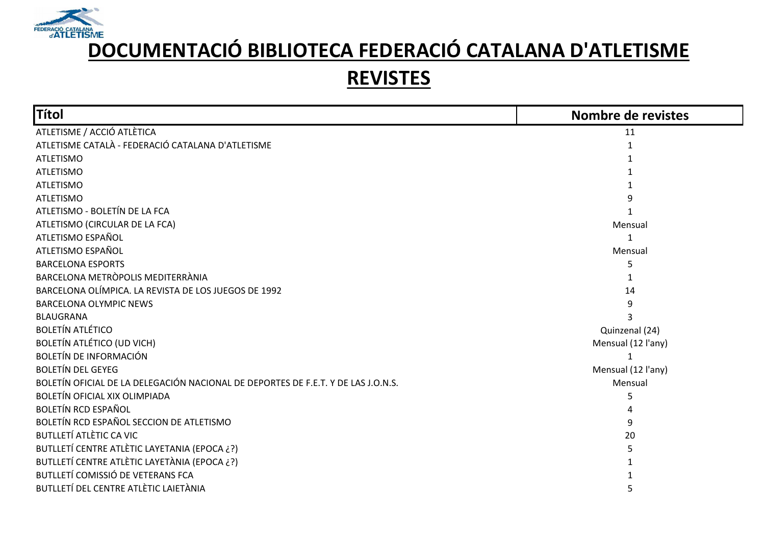

| <b>Títol</b>                                                                      | Nombre de revistes |
|-----------------------------------------------------------------------------------|--------------------|
| ATLETISME / ACCIÓ ATLÈTICA                                                        | 11                 |
| ATLETISME CATALÀ - FEDERACIÓ CATALANA D'ATLETISME                                 |                    |
| <b>ATLETISMO</b>                                                                  |                    |
| <b>ATLETISMO</b>                                                                  |                    |
| <b>ATLETISMO</b>                                                                  |                    |
| <b>ATLETISMO</b>                                                                  |                    |
| ATLETISMO - BOLETÍN DE LA FCA                                                     |                    |
| ATLETISMO (CIRCULAR DE LA FCA)                                                    | Mensual            |
| ATLETISMO ESPAÑOL                                                                 |                    |
| ATLETISMO ESPAÑOL                                                                 | Mensual            |
| <b>BARCELONA ESPORTS</b>                                                          |                    |
| BARCELONA METRÒPOLIS MEDITERRÀNIA                                                 |                    |
| BARCELONA OLÍMPICA. LA REVISTA DE LOS JUEGOS DE 1992                              | 14                 |
| <b>BARCELONA OLYMPIC NEWS</b>                                                     | 9                  |
| <b>BLAUGRANA</b>                                                                  |                    |
| <b>BOLETÍN ATLÉTICO</b>                                                           | Quinzenal (24)     |
| <b>BOLETÍN ATLÉTICO (UD VICH)</b>                                                 | Mensual (12 l'any) |
| <b>BOLETÍN DE INFORMACIÓN</b>                                                     | 1                  |
| <b>BOLETÍN DEL GEYEG</b>                                                          | Mensual (12 l'any) |
| BOLETÍN OFICIAL DE LA DELEGACIÓN NACIONAL DE DEPORTES DE F.E.T. Y DE LAS J.O.N.S. | Mensual            |
| <b>BOLETÍN OFICIAL XIX OLIMPIADA</b>                                              | 5                  |
| <b>BOLETÍN RCD ESPAÑOL</b>                                                        |                    |
| BOLETÍN RCD ESPAÑOL SECCION DE ATLETISMO                                          | 9                  |
| <b>BUTLLETÍ ATLÈTIC CA VIC</b>                                                    | 20                 |
| BUTLLETÍ CENTRE ATLÈTIC LAYETANIA (EPOCA ¿?)                                      |                    |
| BUTLLETÍ CENTRE ATLÈTIC LAYETÀNIA (EPOCA ¿?)                                      |                    |
| BUTLLETÍ COMISSIÓ DE VETERANS FCA                                                 |                    |
| BUTLLETÍ DEL CENTRE ATLÈTIC LAIETÀNIA                                             |                    |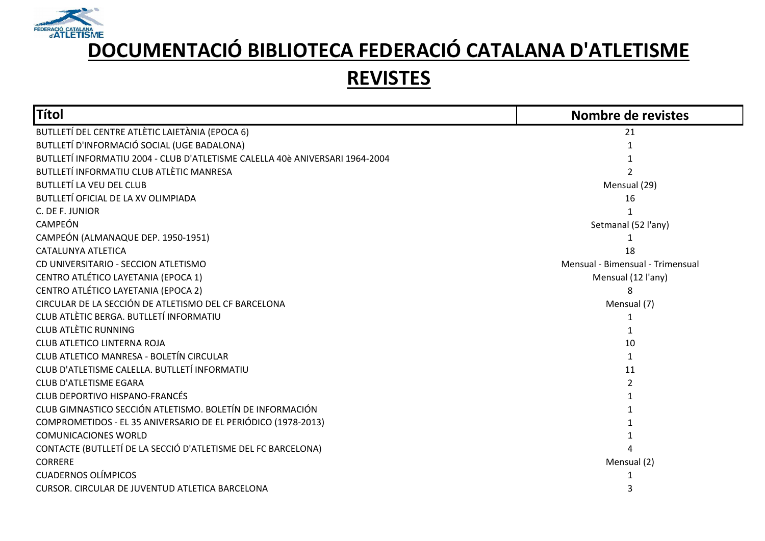

| Títol                                                                        | Nombre de revistes               |
|------------------------------------------------------------------------------|----------------------------------|
| BUTLLETÍ DEL CENTRE ATLÈTIC LAIETÀNIA (EPOCA 6)                              | 21                               |
| BUTLLETÍ D'INFORMACIÓ SOCIAL (UGE BADALONA)                                  |                                  |
| BUTLLETÍ INFORMATIU 2004 - CLUB D'ATLETISME CALELLA 40è ANIVERSARI 1964-2004 |                                  |
| BUTLLETÍ INFORMATIU CLUB ATLÈTIC MANRESA                                     |                                  |
| <b>BUTLLETÍ LA VEU DEL CLUB</b>                                              | Mensual (29)                     |
| BUTLLETÍ OFICIAL DE LA XV OLIMPIADA                                          | 16                               |
| C. DE F. JUNIOR                                                              |                                  |
| CAMPEÓN                                                                      | Setmanal (52 l'any)              |
| CAMPEÓN (ALMANAQUE DEP. 1950-1951)                                           |                                  |
| CATALUNYA ATLETICA                                                           | 18                               |
| CD UNIVERSITARIO - SECCION ATLETISMO                                         | Mensual - Bimensual - Trimensual |
| CENTRO ATLÉTICO LAYETANIA (EPOCA 1)                                          | Mensual (12 l'any)               |
| CENTRO ATLÉTICO LAYETANIA (EPOCA 2)                                          |                                  |
| CIRCULAR DE LA SECCIÓN DE ATLETISMO DEL CF BARCELONA                         | Mensual (7)                      |
| CLUB ATLÈTIC BERGA. BUTLLETÍ INFORMATIU                                      |                                  |
| <b>CLUB ATLÈTIC RUNNING</b>                                                  |                                  |
| CLUB ATLETICO LINTERNA ROJA                                                  | 10                               |
| CLUB ATLETICO MANRESA - BOLETÍN CIRCULAR                                     |                                  |
| CLUB D'ATLETISME CALELLA. BUTLLETÍ INFORMATIU                                | 11                               |
| <b>CLUB D'ATLETISME EGARA</b>                                                |                                  |
| <b>CLUB DEPORTIVO HISPANO-FRANCÉS</b>                                        |                                  |
| CLUB GIMNASTICO SECCIÓN ATLETISMO. BOLETÍN DE INFORMACIÓN                    |                                  |
| COMPROMETIDOS - EL 35 ANIVERSARIO DE EL PERIÓDICO (1978-2013)                |                                  |
| <b>COMUNICACIONES WORLD</b>                                                  |                                  |
| CONTACTE (BUTLLETÍ DE LA SECCIÓ D'ATLETISME DEL FC BARCELONA)                |                                  |
| <b>CORRERE</b>                                                               | Mensual (2)                      |
| <b>CUADERNOS OLÍMPICOS</b>                                                   |                                  |
| CURSOR. CIRCULAR DE JUVENTUD ATLETICA BARCELONA                              |                                  |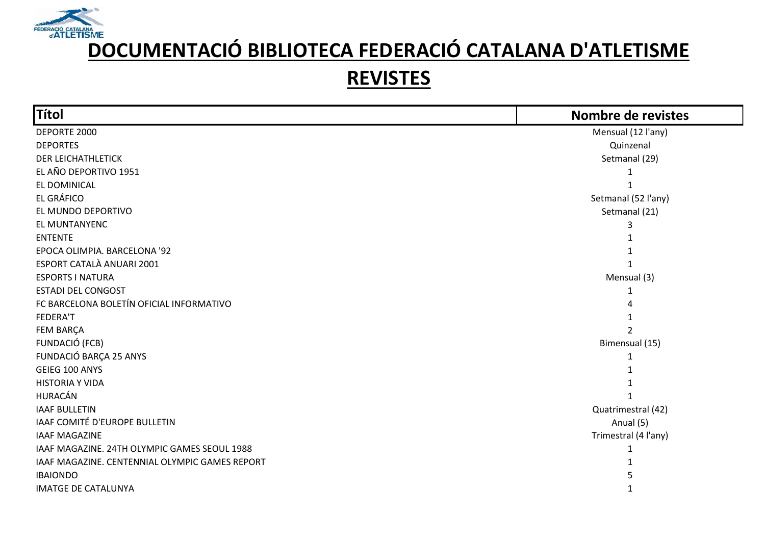

| Títol                                          | Nombre de revistes   |
|------------------------------------------------|----------------------|
| DEPORTE 2000                                   | Mensual (12 l'any)   |
| <b>DEPORTES</b>                                | Quinzenal            |
| <b>DER LEICHATHLETICK</b>                      | Setmanal (29)        |
| EL AÑO DEPORTIVO 1951                          | 1                    |
| EL DOMINICAL                                   |                      |
| EL GRÁFICO                                     | Setmanal (52 l'any)  |
| EL MUNDO DEPORTIVO                             | Setmanal (21)        |
| EL MUNTANYENC                                  |                      |
| <b>ENTENTE</b>                                 |                      |
| EPOCA OLIMPIA. BARCELONA '92                   |                      |
| ESPORT CATALÀ ANUARI 2001                      |                      |
| <b>ESPORTS I NATURA</b>                        | Mensual (3)          |
| <b>ESTADI DEL CONGOST</b>                      |                      |
| FC BARCELONA BOLETÍN OFICIAL INFORMATIVO       |                      |
| FEDERA'T                                       |                      |
| FEM BARÇA                                      |                      |
| FUNDACIÓ (FCB)                                 | Bimensual (15)       |
| FUNDACIÓ BARÇA 25 ANYS                         | 1                    |
| GEIEG 100 ANYS                                 |                      |
| <b>HISTORIA Y VIDA</b>                         |                      |
| HURACÁN                                        |                      |
| <b>IAAF BULLETIN</b>                           | Quatrimestral (42)   |
| IAAF COMITÉ D'EUROPE BULLETIN                  | Anual (5)            |
| <b>IAAF MAGAZINE</b>                           | Trimestral (4 l'any) |
| IAAF MAGAZINE. 24TH OLYMPIC GAMES SEOUL 1988   |                      |
| IAAF MAGAZINE. CENTENNIAL OLYMPIC GAMES REPORT |                      |
| <b>IBAIONDO</b>                                |                      |
| <b>IMATGE DE CATALUNYA</b>                     |                      |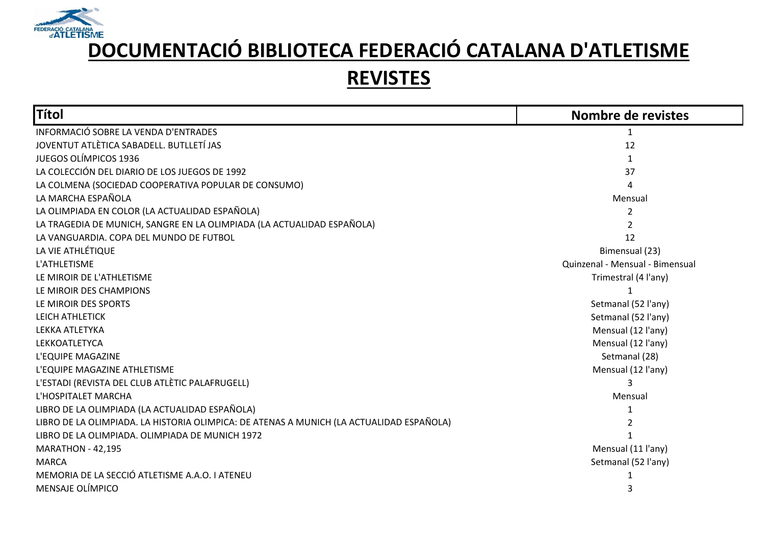

| <b>Títol</b>                                                                             | Nombre de revistes              |
|------------------------------------------------------------------------------------------|---------------------------------|
| INFORMACIÓ SOBRE LA VENDA D'ENTRADES                                                     |                                 |
| JOVENTUT ATLÈTICA SABADELL. BUTLLETÍ JAS                                                 | 12                              |
| <b>JUEGOS OLÍMPICOS 1936</b>                                                             | 1                               |
| LA COLECCIÓN DEL DIARIO DE LOS JUEGOS DE 1992                                            | 37                              |
| LA COLMENA (SOCIEDAD COOPERATIVA POPULAR DE CONSUMO)                                     |                                 |
| LA MARCHA ESPAÑOLA                                                                       | Mensual                         |
| LA OLIMPIADA EN COLOR (LA ACTUALIDAD ESPAÑOLA)                                           | 2                               |
| LA TRAGEDIA DE MUNICH, SANGRE EN LA OLIMPIADA (LA ACTUALIDAD ESPAÑOLA)                   |                                 |
| LA VANGUARDIA. COPA DEL MUNDO DE FUTBOL                                                  | 12                              |
| LA VIE ATHLÉTIQUE                                                                        | Bimensual (23)                  |
| L'ATHLETISME                                                                             | Quinzenal - Mensual - Bimensual |
| LE MIROIR DE L'ATHLETISME                                                                | Trimestral (4 l'any)            |
| LE MIROIR DES CHAMPIONS                                                                  |                                 |
| LE MIROIR DES SPORTS                                                                     | Setmanal (52 l'any)             |
| LEICH ATHLETICK                                                                          | Setmanal (52 l'any)             |
| LEKKA ATLETYKA                                                                           | Mensual (12 l'any)              |
| LEKKOATLETYCA                                                                            | Mensual (12 l'any)              |
| L'EQUIPE MAGAZINE                                                                        | Setmanal (28)                   |
| L'EQUIPE MAGAZINE ATHLETISME                                                             | Mensual (12 l'any)              |
| L'ESTADI (REVISTA DEL CLUB ATLÈTIC PALAFRUGELL)                                          |                                 |
| L'HOSPITALET MARCHA                                                                      | Mensual                         |
| LIBRO DE LA OLIMPIADA (LA ACTUALIDAD ESPAÑOLA)                                           |                                 |
| LIBRO DE LA OLIMPIADA. LA HISTORIA OLIMPICA: DE ATENAS A MUNICH (LA ACTUALIDAD ESPAÑOLA) |                                 |
| LIBRO DE LA OLIMPIADA. OLIMPIADA DE MUNICH 1972                                          |                                 |
| <b>MARATHON - 42,195</b>                                                                 | Mensual (11 l'any)              |
| <b>MARCA</b>                                                                             | Setmanal (52 l'any)             |
| MEMORIA DE LA SECCIÓ ATLETISME A.A.O. I ATENEU                                           |                                 |
| MENSAJE OLÍMPICO                                                                         | 3                               |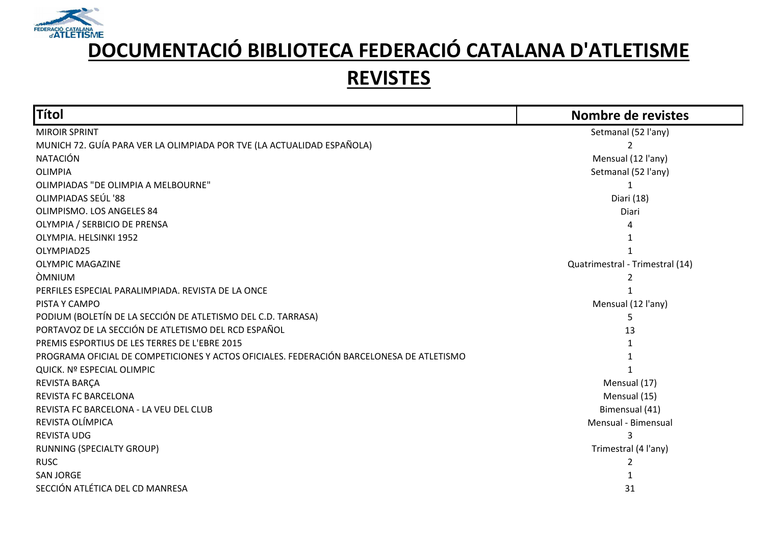

| Títol                                                                                    | Nombre de revistes              |
|------------------------------------------------------------------------------------------|---------------------------------|
| <b>MIROIR SPRINT</b>                                                                     | Setmanal (52 l'any)             |
| MUNICH 72. GUÍA PARA VER LA OLIMPIADA POR TVE (LA ACTUALIDAD ESPAÑOLA)                   |                                 |
| <b>NATACIÓN</b>                                                                          | Mensual (12 l'any)              |
| <b>OLIMPIA</b>                                                                           | Setmanal (52 l'any)             |
| OLIMPIADAS "DE OLIMPIA A MELBOURNE"                                                      |                                 |
| OLIMPIADAS SEÚL '88                                                                      | Diari (18)                      |
| OLIMPISMO. LOS ANGELES 84                                                                | Diari                           |
| OLYMPIA / SERBICIO DE PRENSA                                                             |                                 |
| OLYMPIA. HELSINKI 1952                                                                   |                                 |
| OLYMPIAD25                                                                               |                                 |
| <b>OLYMPIC MAGAZINE</b>                                                                  | Quatrimestral - Trimestral (14) |
| <b>OMNIUM</b>                                                                            |                                 |
| PERFILES ESPECIAL PARALIMPIADA. REVISTA DE LA ONCE                                       |                                 |
| PISTA Y CAMPO                                                                            | Mensual (12 l'any)              |
| PODIUM (BOLETÍN DE LA SECCIÓN DE ATLETISMO DEL C.D. TARRASA)                             | 5                               |
| PORTAVOZ DE LA SECCIÓN DE ATLETISMO DEL RCD ESPAÑOL                                      | 13                              |
| PREMIS ESPORTIUS DE LES TERRES DE L'EBRE 2015                                            |                                 |
| PROGRAMA OFICIAL DE COMPETICIONES Y ACTOS OFICIALES. FEDERACIÓN BARCELONESA DE ATLETISMO |                                 |
| QUICK. Nº ESPECIAL OLIMPIC                                                               |                                 |
| REVISTA BARÇA                                                                            | Mensual (17)                    |
| REVISTA FC BARCELONA                                                                     | Mensual (15)                    |
| REVISTA FC BARCELONA - LA VEU DEL CLUB                                                   | Bimensual (41)                  |
| REVISTA OLÍMPICA                                                                         | Mensual - Bimensual             |
| <b>REVISTA UDG</b>                                                                       |                                 |
| RUNNING (SPECIALTY GROUP)                                                                | Trimestral (4 l'any)            |
| <b>RUSC</b>                                                                              | 2                               |
| <b>SAN JORGE</b>                                                                         |                                 |
| SECCIÓN ATLÉTICA DEL CD MANRESA                                                          | 31                              |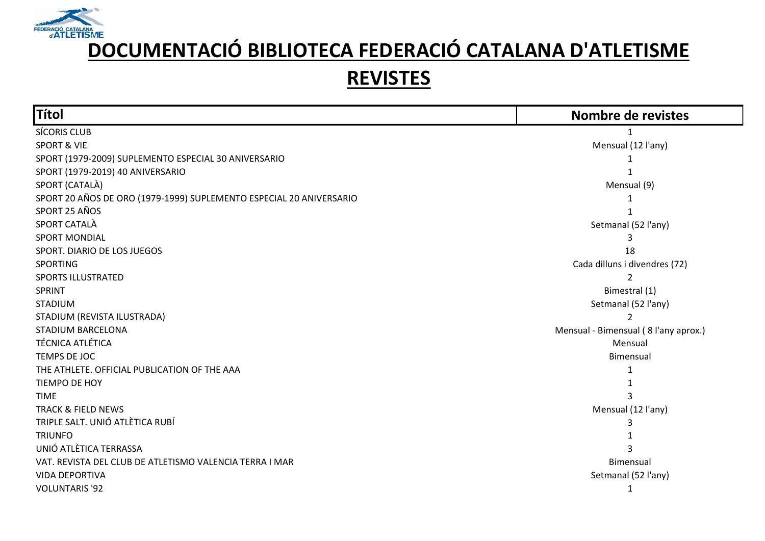

| Títol                                                               | Nombre de revistes                   |
|---------------------------------------------------------------------|--------------------------------------|
| SÍCORIS CLUB                                                        |                                      |
| <b>SPORT &amp; VIE</b>                                              | Mensual (12 l'any)                   |
| SPORT (1979-2009) SUPLEMENTO ESPECIAL 30 ANIVERSARIO                |                                      |
| SPORT (1979-2019) 40 ANIVERSARIO                                    |                                      |
| SPORT (CATALÀ)                                                      | Mensual (9)                          |
| SPORT 20 AÑOS DE ORO (1979-1999) SUPLEMENTO ESPECIAL 20 ANIVERSARIO |                                      |
| SPORT 25 AÑOS                                                       |                                      |
| SPORT CATALÀ                                                        | Setmanal (52 l'any)                  |
| <b>SPORT MONDIAL</b>                                                |                                      |
| SPORT. DIARIO DE LOS JUEGOS                                         | 18                                   |
| <b>SPORTING</b>                                                     | Cada dilluns i divendres (72)        |
| SPORTS ILLUSTRATED                                                  |                                      |
| SPRINT                                                              | Bimestral (1)                        |
| <b>STADIUM</b>                                                      | Setmanal (52 l'any)                  |
| STADIUM (REVISTA ILUSTRADA)                                         | 2                                    |
| STADIUM BARCELONA                                                   | Mensual - Bimensual (8 l'any aprox.) |
| <b>TÉCNICA ATLÉTICA</b>                                             | Mensual                              |
| TEMPS DE JOC                                                        | Bimensual                            |
| THE ATHLETE. OFFICIAL PUBLICATION OF THE AAA                        | 1                                    |
| TIEMPO DE HOY                                                       |                                      |
| <b>TIME</b>                                                         |                                      |
| <b>TRACK &amp; FIELD NEWS</b>                                       | Mensual (12 l'any)                   |
| TRIPLE SALT. UNIÓ ATLÈTICA RUBÍ                                     | 3                                    |
| <b>TRIUNFO</b>                                                      |                                      |
| UNIÓ ATLÈTICA TERRASSA                                              |                                      |
| VAT. REVISTA DEL CLUB DE ATLETISMO VALENCIA TERRA I MAR             | Bimensual                            |
| <b>VIDA DEPORTIVA</b>                                               | Setmanal (52 l'any)                  |
| <b>VOLUNTARIS '92</b>                                               | 1                                    |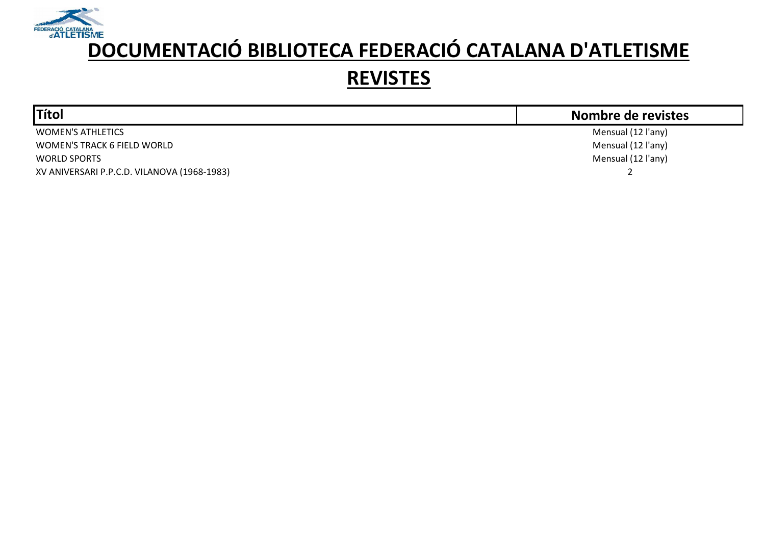

| <b>Títol</b>                                | Nombre de revistes |
|---------------------------------------------|--------------------|
| <b>WOMEN'S ATHLETICS</b>                    | Mensual (12 l'any) |
| WOMEN'S TRACK 6 FIELD WORLD                 | Mensual (12 l'any) |
| <b>WORLD SPORTS</b>                         | Mensual (12 l'any) |
| XV ANIVERSARI P.P.C.D. VILANOVA (1968-1983) |                    |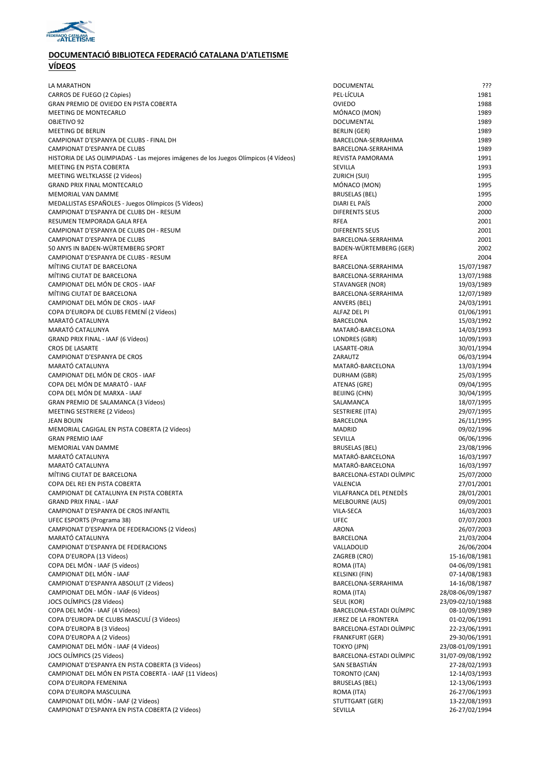

| LA MARATHON                                                                          | <b>DOCUMENTAL</b>        | ???              |
|--------------------------------------------------------------------------------------|--------------------------|------------------|
| CARROS DE FUEGO (2 Còpies)                                                           | PEL·LÍCULA               | 1981             |
| GRAN PREMIO DE OVIEDO EN PISTA COBERTA                                               | <b>OVIEDO</b>            | 1988             |
| MEETING DE MONTECARLO                                                                | MÓNACO (MON)             | 1989             |
| OBJETIVO 92                                                                          | DOCUMENTAL               | 1989             |
| <b>MEETING DE BERLIN</b>                                                             | BERLIN (GER)             | 1989             |
| CAMPIONAT D'ESPANYA DE CLUBS - FINAL DH                                              | BARCELONA-SERRAHIMA      | 1989             |
| CAMPIONAT D'ESPANYA DE CLUBS                                                         | BARCELONA-SERRAHIMA      | 1989             |
| HISTORIA DE LAS OLIMPIADAS - Las mejores imágenes de los Juegos Olímpicos (4 Vídeos) | REVISTA PAMORAMA         | 1991             |
| MEETING EN PISTA COBERTA                                                             | SEVILLA                  | 1993             |
| MEETING WELTKLASSE (2 Vídeos)                                                        | ZURICH (SUI)             | 1995             |
| <b>GRAND PRIX FINAL MONTECARLO</b>                                                   | MÓNACO (MON)             | 1995             |
| <b>MEMORIAL VAN DAMME</b>                                                            | BRUSELAS (BEL)           | 1995             |
| MEDALLISTAS ESPAÑOLES - Juegos Olímpicos (5 Vídeos)                                  | DIARI EL PAÍS            | 2000             |
| CAMPIONAT D'ESPANYA DE CLUBS DH - RESUM                                              | <b>DIFERENTS SEUS</b>    | 2000             |
|                                                                                      |                          |                  |
| RESUMEN TEMPORADA GALA RFEA                                                          | <b>RFEA</b>              | 2001             |
| CAMPIONAT D'ESPANYA DE CLUBS DH - RESUM                                              | <b>DIFERENTS SEUS</b>    | 2001             |
| CAMPIONAT D'ESPANYA DE CLUBS                                                         | BARCELONA-SERRAHIMA      | 2001             |
| 50 ANYS IN BADEN-WÜRTEMBERG SPORT                                                    | BADEN-WÜRTEMBERG (GER)   | 2002             |
| CAMPIONAT D'ESPANYA DE CLUBS - RESUM                                                 | <b>RFEA</b>              | 2004             |
| MÍTING CIUTAT DE BARCELONA                                                           | BARCELONA-SERRAHIMA      | 15/07/1987       |
| MÍTING CIUTAT DE BARCELONA                                                           | BARCELONA-SERRAHIMA      | 13/07/1988       |
| CAMPIONAT DEL MÓN DE CROS - IAAF                                                     | STAVANGER (NOR)          | 19/03/1989       |
| MÍTING CIUTAT DE BARCELONA                                                           | BARCELONA-SERRAHIMA      | 12/07/1989       |
| CAMPIONAT DEL MÓN DE CROS - IAAF                                                     | ANVERS (BEL)             | 24/03/1991       |
| COPA D'EUROPA DE CLUBS FEMENÍ (2 Vídeos)                                             | ALFAZ DEL PI             | 01/06/1991       |
| MARATÓ CATALUNYA                                                                     | BARCELONA                | 15/03/1992       |
| MARATÓ CATALUNYA                                                                     | MATARÓ-BARCELONA         | 14/03/1993       |
| GRAND PRIX FINAL - IAAF (6 Vídeos)                                                   | LONDRES (GBR)            | 10/09/1993       |
| <b>CROS DE LASARTE</b>                                                               | LASARTE-ORIA             | 30/01/1994       |
| CAMPIONAT D'ESPANYA DE CROS                                                          | ZARAUTZ                  | 06/03/1994       |
| MARATÓ CATALUNYA                                                                     | MATARÓ-BARCELONA         | 13/03/1994       |
|                                                                                      |                          |                  |
| CAMPIONAT DEL MÓN DE CROS - IAAF                                                     | DURHAM (GBR)             | 25/03/1995       |
| COPA DEL MÓN DE MARATÓ - IAAF                                                        | ATENAS (GRE)             | 09/04/1995       |
| COPA DEL MÓN DE MARXA - IAAF                                                         | BEIJING (CHN)            | 30/04/1995       |
| GRAN PREMIO DE SALAMANCA (3 Vídeos)                                                  | SALAMANCA                | 18/07/1995       |
| MEETING SESTRIERE (2 Vídeos)                                                         | SESTRIERE (ITA)          | 29/07/1995       |
| <b>JEAN BOUIN</b>                                                                    | BARCELONA                | 26/11/1995       |
| MEMORIAL CAGIGAL EN PISTA COBERTA (2 Vídeos)                                         | <b>MADRID</b>            | 09/02/1996       |
| <b>GRAN PREMIO IAAF</b>                                                              | SEVILLA                  | 06/06/1996       |
| <b>MEMORIAL VAN DAMME</b>                                                            | <b>BRUSELAS (BEL)</b>    | 23/08/1996       |
| MARATÓ CATALUNYA                                                                     | MATARÓ-BARCELONA         | 16/03/1997       |
| MARATÓ CATALUNYA                                                                     | MATARÓ-BARCELONA         | 16/03/1997       |
| MÍTING CIUTAT DE BARCELONA                                                           | BARCELONA-ESTADI OLÍMPIC | 25/07/2000       |
| COPA DEL REI EN PISTA COBERTA                                                        | VALENCIA                 | 27/01/2001       |
| CAMPIONAT DE CATALUNYA EN PISTA COBERTA                                              | VILAFRANCA DEL PENEDES   | 28/01/2001       |
| <b>GRAND PRIX FINAL - IAAF</b>                                                       | MELBOURNE (AUS)          | 09/09/2001       |
| CAMPIONAT D'ESPANYA DE CROS INFANTIL                                                 | VILA-SECA                | 16/03/2003       |
| UFEC ESPORTS (Programa 38)                                                           | <b>UFEC</b>              | 07/07/2003       |
| CAMPIONAT D'ESPANYA DE FEDERACIONS (2 Vídeos)                                        | <b>ARONA</b>             | 26/07/2003       |
| MARATÓ CATALUNYA                                                                     | BARCELONA                | 21/03/2004       |
|                                                                                      |                          |                  |
| CAMPIONAT D'ESPANYA DE FEDERACIONS                                                   | VALLADOLID               | 26/06/2004       |
| COPA D'EUROPA (13 Vídeos)                                                            | ZAGREB (CRO)             | 15-16/08/1981    |
| COPA DEL MÓN - IAAF (5 vídeos)                                                       | ROMA (ITA)               | 04-06/09/1981    |
| CAMPIONAT DEL MÓN - IAAF                                                             | KELSINKI (FIN)           | 07-14/08/1983    |
| CAMPIONAT D'ESPANYA ABSOLUT (2 Vídeos)                                               | BARCELONA-SERRAHIMA      | 14-16/08/1987    |
| CAMPIONAT DEL MÓN - IAAF (6 Vídeos)                                                  | ROMA (ITA)               | 28/08-06/09/1987 |
| JOCS OLÍMPICS (28 Vídeos)                                                            | SEUL (KOR)               | 23/09-02/10/1988 |
| COPA DEL MÓN - IAAF (4 Vídeos)                                                       | BARCELONA-ESTADI OLÍMPIC | 08-10/09/1989    |
| COPA D'EUROPA DE CLUBS MASCULÍ (3 Vídeos)                                            | JEREZ DE LA FRONTERA     | 01-02/06/1991    |
| COPA D'EUROPA B (3 Vídeos)                                                           | BARCELONA-ESTADI OLÍMPIC | 22-23/06/1991    |
| COPA D'EUROPA A (2 Vídeos)                                                           | <b>FRANKFURT (GER)</b>   | 29-30/06/1991    |
| CAMPIONAT DEL MÓN - IAAF (4 Vídeos)                                                  | TOKYO (JPN)              | 23/08-01/09/1991 |
| JOCS OLÍMPICS (25 Vídeos)                                                            | BARCELONA-ESTADI OLÍMPIC | 31/07-09/08/1992 |
| CAMPIONAT D'ESPANYA EN PISTA COBERTA (3 Vídeos)                                      | SAN SEBASTIÁN            | 27-28/02/1993    |
| CAMPIONAT DEL MÓN EN PISTA COBERTA - IAAF (11 Vídeos)                                | TORONTO (CAN)            | 12-14/03/1993    |
| COPA D'EUROPA FEMENINA                                                               | <b>BRUSELAS (BEL)</b>    | 12-13/06/1993    |
| COPA D'EUROPA MASCULINA                                                              | ROMA (ITA)               | 26-27/06/1993    |
| CAMPIONAT DEL MÓN - IAAF (2 Vídeos)                                                  | STUTTGART (GER)          | 13-22/08/1993    |
|                                                                                      |                          |                  |
| CAMPIONAT D'ESPANYA EN PISTA COBERTA (2 Vídeos)                                      | SEVILLA                  | 26-27/02/1994    |